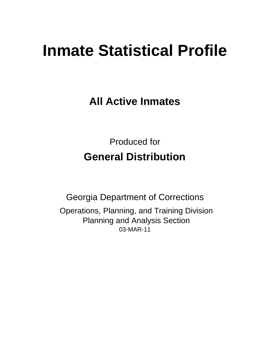# **Inmate Statistical Profile**

**All Active Inmates**

Produced for **General Distribution**

03-MAR-11 Georgia Department of Corrections Operations, Planning, and Training Division Planning and Analysis Section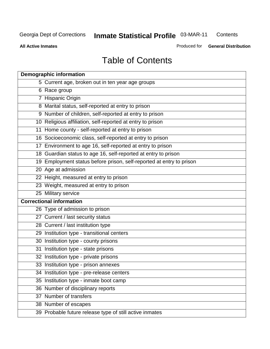**Contents** 

**All Active Inmates**

Produced for **General Distribution**

# Table of Contents

| <b>Demographic information</b>                                       |
|----------------------------------------------------------------------|
| 5 Current age, broken out in ten year age groups                     |
| 6 Race group                                                         |
| 7 Hispanic Origin                                                    |
| 8 Marital status, self-reported at entry to prison                   |
| 9 Number of children, self-reported at entry to prison               |
| 10 Religious affiliation, self-reported at entry to prison           |
| 11 Home county - self-reported at entry to prison                    |
| 16 Socioeconomic class, self-reported at entry to prison             |
| 17 Environment to age 16, self-reported at entry to prison           |
| 18 Guardian status to age 16, self-reported at entry to prison       |
| 19 Employment status before prison, self-reported at entry to prison |
| 20 Age at admission                                                  |
| 22 Height, measured at entry to prison                               |
| 23 Weight, measured at entry to prison                               |
| 25 Military service                                                  |
| <b>Correctional information</b>                                      |
| 26 Type of admission to prison                                       |
| 27 Current / last security status                                    |
| 28 Current / last institution type                                   |
| 29 Institution type - transitional centers                           |
| 30 Institution type - county prisons                                 |
| 31 Institution type - state prisons                                  |
| 32 Institution type - private prisons                                |
| 33 Institution type - prison annexes                                 |
| 34 Institution type - pre-release centers                            |
| 35 Institution type - inmate boot camp                               |
| 36 Number of disciplinary reports                                    |
| 37 Number of transfers                                               |
| 38 Number of escapes                                                 |
| 39 Probable future release type of still active inmates              |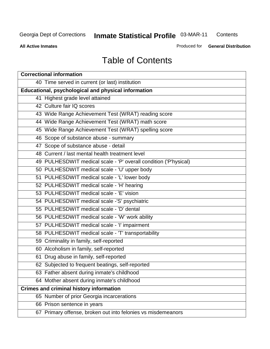**Contents** 

**All Active Inmates**

Produced for **General Distribution**

# Table of Contents

| <b>Correctional information</b>                                  |  |  |  |  |  |  |  |
|------------------------------------------------------------------|--|--|--|--|--|--|--|
| 40 Time served in current (or last) institution                  |  |  |  |  |  |  |  |
| Educational, psychological and physical information              |  |  |  |  |  |  |  |
| 41 Highest grade level attained                                  |  |  |  |  |  |  |  |
| 42 Culture fair IQ scores                                        |  |  |  |  |  |  |  |
| 43 Wide Range Achievement Test (WRAT) reading score              |  |  |  |  |  |  |  |
| 44 Wide Range Achievement Test (WRAT) math score                 |  |  |  |  |  |  |  |
| 45 Wide Range Achievement Test (WRAT) spelling score             |  |  |  |  |  |  |  |
| 46 Scope of substance abuse - summary                            |  |  |  |  |  |  |  |
| 47 Scope of substance abuse - detail                             |  |  |  |  |  |  |  |
| 48 Current / last mental health treatment level                  |  |  |  |  |  |  |  |
| 49 PULHESDWIT medical scale - 'P' overall condition ('P'hysical) |  |  |  |  |  |  |  |
| 50 PULHESDWIT medical scale - 'U' upper body                     |  |  |  |  |  |  |  |
| 51 PULHESDWIT medical scale - 'L' lower body                     |  |  |  |  |  |  |  |
| 52 PULHESDWIT medical scale - 'H' hearing                        |  |  |  |  |  |  |  |
| 53 PULHESDWIT medical scale - 'E' vision                         |  |  |  |  |  |  |  |
| 54 PULHESDWIT medical scale -'S' psychiatric                     |  |  |  |  |  |  |  |
| 55 PULHESDWIT medical scale - 'D' dental                         |  |  |  |  |  |  |  |
| 56 PULHESDWIT medical scale - 'W' work ability                   |  |  |  |  |  |  |  |
| 57 PULHESDWIT medical scale - 'I' impairment                     |  |  |  |  |  |  |  |
| 58 PULHESDWIT medical scale - 'T' transportability               |  |  |  |  |  |  |  |
| 59 Criminality in family, self-reported                          |  |  |  |  |  |  |  |
| 60 Alcoholism in family, self-reported                           |  |  |  |  |  |  |  |
| 61 Drug abuse in family, self-reported                           |  |  |  |  |  |  |  |
| 62 Subjected to frequent beatings, self-reported                 |  |  |  |  |  |  |  |
| 63 Father absent during inmate's childhood                       |  |  |  |  |  |  |  |
| 64 Mother absent during inmate's childhood                       |  |  |  |  |  |  |  |
| <b>Crimes and criminal history information</b>                   |  |  |  |  |  |  |  |
| 65 Number of prior Georgia incarcerations                        |  |  |  |  |  |  |  |
| 66 Prison sentence in years                                      |  |  |  |  |  |  |  |
| 67 Primary offense, broken out into felonies vs misdemeanors     |  |  |  |  |  |  |  |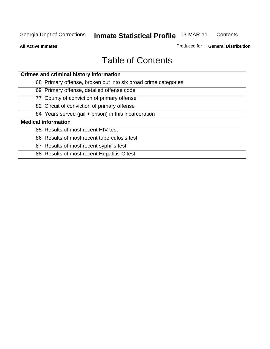**All Active Inmates**

Produced for **General Distribution**

# Table of Contents

| <b>Crimes and criminal history information</b>                 |
|----------------------------------------------------------------|
| 68 Primary offense, broken out into six broad crime categories |
| 69 Primary offense, detailed offense code                      |
| 77 County of conviction of primary offense                     |
| 82 Circuit of conviction of primary offense                    |
| 84 Years served (jail + prison) in this incarceration          |
| <b>Medical information</b>                                     |
| 85 Results of most recent HIV test                             |
| 86 Results of most recent tuberculosis test                    |
| 87 Results of most recent syphilis test                        |
| 88 Results of most recent Hepatitis-C test                     |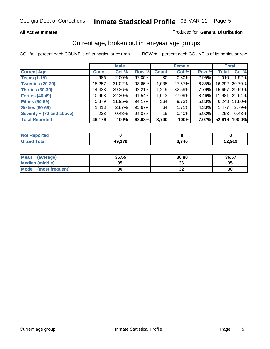#### **All Active Inmates**

#### Produced for **General Distribution**

#### Current age, broken out in ten-year age groups

|                          |              | <b>Male</b> |        |              | <b>Female</b> |          | <b>Total</b> |        |
|--------------------------|--------------|-------------|--------|--------------|---------------|----------|--------------|--------|
| <b>Current Age</b>       | <b>Count</b> | Col %       | Row %  | <b>Count</b> | Col %         | Row %    | <b>Total</b> | Col %  |
| <b>Teens (1-19)</b>      | 986          | $2.00\%$    | 97.05% | 30 l         | $0.80\%$      | $2.95\%$ | 1,016        | 1.92%  |
| <b>Twenties (20-29)</b>  | 15,257       | $31.02\%$   | 93.65% | 1,035        | 27.67%        | $6.35\%$ | 16,292       | 30.79% |
| <b>Thirties (30-39)</b>  | 14,438       | 29.36%      | 92.21% | 1,219        | 32.59%        | 7.79%    | 15,657       | 29.59% |
| <b>Forties (40-49)</b>   | 10,968       | 22.30%      | 91.54% | 1,013        | 27.09%        | 8.46%    | 11,981       | 22.64% |
| <b>Fifties (50-59)</b>   | 5,879        | 11.95%      | 94.17% | 364          | 9.73%         | 5.83%    | 6,243        | 11.80% |
| <b>Sixties (60-69)</b>   | 1,413        | 2.87%       | 95.67% | 64           | 1.71%         | 4.33%    | 1,477        | 2.79%  |
| Seventy + (70 and above) | 238          | 0.48%       | 94.07% | 15           | $0.40\%$      | $5.93\%$ | 253          | 0.48%  |
| <b>Total Reported</b>    | 49,179       | 100%        | 92.93% | 3,740        | 100%          | 7.07%    | 52,919       | 100.0% |

| <b>Not Reported</b> |        |       |        |
|---------------------|--------|-------|--------|
| Tota'               | 10 170 | 3,740 | 52.919 |

| <b>Mean</b><br>(average) | 36.55     | 36.80                      | 36.57 |
|--------------------------|-----------|----------------------------|-------|
| Median (middle)          | 25<br>JJ. | 36                         | 35    |
| Mode<br>(most frequent)  | 30        | $\ddot{\phantom{0}}$<br>JZ | 30    |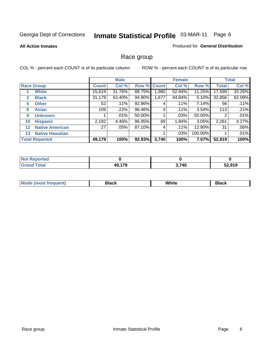#### **All Active Inmates**

#### Produced for **General Distribution**

### Race group

|                   |                        |              | <b>Male</b> |        |              | <b>Female</b> |         |              | <b>Total</b> |  |
|-------------------|------------------------|--------------|-------------|--------|--------------|---------------|---------|--------------|--------------|--|
|                   | <b>Race Group</b>      | <b>Count</b> | Col %       | Row %  | <b>Count</b> | Col %         | Row %   | <b>Total</b> | Col %        |  |
|                   | <b>White</b>           | 15,619       | 31.76%      | 88.75% | ,980         | 52.94%        | 11.25%  | 17,599       | 33.26%       |  |
| 2                 | <b>Black</b>           | 31,179       | 63.40%      | 94.90% | 1,677        | 44.84%        | 5.10%   | 32,856       | 62.09%       |  |
| 5.                | <b>Other</b>           | 52           | .11%        | 92.86% | 4            | .11%          | 7.14%   | 56           | .11%         |  |
| 6                 | <b>Asian</b>           | 109          | $.22\%$     | 96.46% | 4            | .11%          | 3.54%   | 113          | .21%         |  |
| 9                 | <b>Unknown</b>         |              | .01%        | 50.00% |              | .03%          | 50.00%  | 2            | .01%         |  |
| 10                | <b>Hispanic</b>        | 2,192        | 4.46%       | 96.95% | 69           | 1.84%         | 3.05%   | 2,261        | 4.27%        |  |
| $12 \overline{ }$ | <b>Native American</b> | 27           | .05%        | 87.10% | 4            | .11%          | 12.90%  | 31           | .06%         |  |
| 13                | <b>Native Hawaiian</b> |              |             |        |              | .03%          | 100.00% |              | .01%         |  |
|                   | <b>Total Reported</b>  | 49,179       | 100%        | 92.93% | 3,740        | 100%          | 7.07%   | 52,919       | 100%         |  |

| eported       |        |       |        |
|---------------|--------|-------|--------|
| ſotal<br>Grar | 49,179 | 3,740 | 52,919 |

| Mo<br> | <b>Black</b> | White<br>______ | Black |
|--------|--------------|-----------------|-------|
|        |              |                 |       |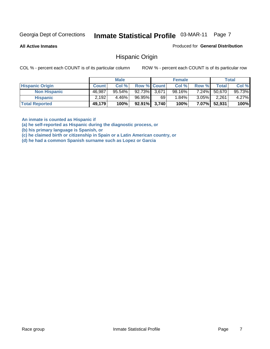**All Active Inmates**

Produced for **General Distribution**

#### Hispanic Origin

COL % - percent each COUNT is of its particular column ROW % - percent each COUNT is of its particular row

|                        |              | <b>Male</b> |                 |    | <b>Female</b> |          |        | <b>Total</b> |
|------------------------|--------------|-------------|-----------------|----|---------------|----------|--------|--------------|
| <b>Hispanic Origin</b> | <b>Count</b> | Col %       | Row % Count     |    | Col %         | Row %    | Total  | Col %        |
| <b>Non Hispanic</b>    | 46,987       | $95.54\%$   | 92.73% 3.671    |    | 98.16%        | 7.24%    | 50,670 | 95.73%       |
| <b>Hispanic</b>        | 2,192        | 4.46%       | 96.95%          | 69 | $1.84\%$      | $3.05\%$ | 2,261  | $4.27\%$     |
| <b>Total Reported</b>  | 49,179       | 100%        | $92.91\%$ 3,740 |    | 100%          | $7.07\%$ | 52,931 | 100%         |

**An inmate is counted as Hispanic if** 

**(a) he self-reported as Hispanic during the diagnostic process, or** 

**(b) his primary language is Spanish, or** 

**(c) he claimed birth or citizenship in Spain or a Latin American country, or** 

**(d) he had a common Spanish surname such as Lopez or Garcia**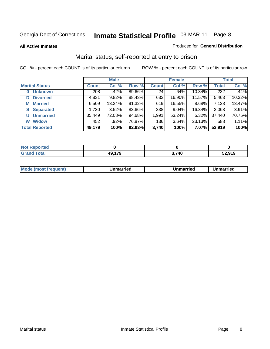**All Active Inmates**

#### Produced for **General Distribution**

### Marital status, self-reported at entry to prison

|                        | <b>Male</b>  |        |        | <b>Female</b> |        |        | <b>Total</b> |        |
|------------------------|--------------|--------|--------|---------------|--------|--------|--------------|--------|
| <b>Marital Status</b>  | <b>Count</b> | Col %  | Row %  | <b>Count</b>  | Col %  | Row %  | <b>Total</b> | Col %  |
| <b>Unknown</b><br>0    | 208          | .42%   | 89.66% | 24            | .64%   | 10.34% | 232          | .44%   |
| <b>Divorced</b><br>D   | 4,831        | 9.82%  | 88.43% | 632           | 16.90% | 11.57% | 5,463        | 10.32% |
| <b>Married</b><br>М    | 6,509        | 13.24% | 91.32% | 619           | 16.55% | 8.68%  | 7,128        | 13.47% |
| <b>Separated</b><br>S. | 1,730        | 3.52%  | 83.66% | 338           | 9.04%  | 16.34% | 2,068        | 3.91%  |
| <b>Unmarried</b><br>U  | 35,449       | 72.08% | 94.68% | 1,991         | 53.24% | 5.32%  | 37,440       | 70.75% |
| <b>Widow</b><br>W      | 452          | .92%   | 76.87% | 136           | 3.64%  | 23.13% | 588          | 1.11%  |
| <b>Total Reported</b>  | 49,179       | 100%   | 92.93% | 3,740         | 100%   | 7.07%  | 52,919       | 100%   |

| rrero |     |             |        |
|-------|-----|-------------|--------|
|       | 47c | 3,740<br>v. | 52.919 |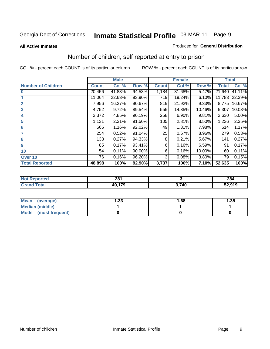#### **All Active Inmates**

#### Produced for **General Distribution**

### Number of children, self reported at entry to prison

|                           |              | <b>Male</b> |        |              | <b>Female</b> |          | <b>Total</b> |        |
|---------------------------|--------------|-------------|--------|--------------|---------------|----------|--------------|--------|
| <b>Number of Children</b> | <b>Count</b> | Col %       | Row %  | <b>Count</b> | Col %         | Row %    | <b>Total</b> | Col %  |
| $\bf{0}$                  | 20,456       | 41.83%      | 94.53% | 1,184        | 31.68%        | 5.47%    | 21,640       | 41.11% |
|                           | 11,064       | 22.63%      | 93.90% | 719          | 19.24%        | 6.10%    | 11,783       | 22.39% |
| $\overline{2}$            | 7,956        | 16.27%      | 90.67% | 819          | 21.92%        | 9.33%    | 8,775        | 16.67% |
| 3                         | 4,752        | 9.72%       | 89.54% | 555          | 14.85%        | 10.46%   | 5,307        | 10.08% |
| 4                         | 2,372        | 4.85%       | 90.19% | 258          | 6.90%         | 9.81%    | 2,630        | 5.00%  |
| 5                         | 1,131        | 2.31%       | 91.50% | 105          | 2.81%         | 8.50%    | 1,236        | 2.35%  |
| $6\phantom{a}$            | 565          | 1.16%       | 92.02% | 49           | 1.31%         | 7.98%    | 614          | 1.17%  |
| 7                         | 254          | 0.52%       | 91.04% | 25           | 0.67%         | 8.96%    | 279          | 0.53%  |
| 8                         | 133          | 0.27%       | 94.33% | 8            | 0.21%         | 5.67%    | 141          | 0.27%  |
| 9                         | 85           | 0.17%       | 93.41% | 6            | 0.16%         | 6.59%    | 91           | 0.17%  |
| 10                        | 54           | 0.11%       | 90.00% | 6            | 0.16%         | 10.00%   | 60           | 0.11%  |
| Over 10                   | 76           | 0.16%       | 96.20% | 3            | 0.08%         | $3.80\%$ | 79           | 0.15%  |
| <b>Total Reported</b>     | 48,898       | 100%        | 92.90% | 3,737        | 100%          | 7.10%    | 52,635       | 100%   |

| reo | 281<br>____ |     | 284<br>$\sim$ $\sim$ |
|-----|-------------|-----|----------------------|
| ota | 470         | 740 | 52,919               |

| Mean<br>(average)       | l.33 | 1.68 | 1.35 |
|-------------------------|------|------|------|
| <b>Median (middle)</b>  |      |      |      |
| Mode<br>(most frequent) |      |      |      |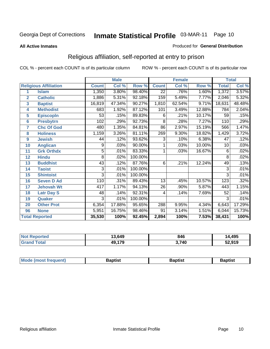#### **All Active Inmates**

#### Produced for **General Distribution**

### Religious affiliation, self-reported at entry to prison

|                  |                              | <b>Male</b>  |        |         | <b>Female</b>   |        |        | <b>Total</b>   |        |
|------------------|------------------------------|--------------|--------|---------|-----------------|--------|--------|----------------|--------|
|                  | <b>Religious Affiliation</b> | <b>Count</b> | Col %  | Row %   | <b>Count</b>    | Col %  | Row %  | <b>Total</b>   | Col %  |
| 1                | <b>Islam</b>                 | 1,350        | 3.80%  | 98.40%  | $\overline{22}$ | .76%   | 1.60%  | 1,372          | 3.57%  |
| $\overline{2}$   | <b>Catholic</b>              | 1,886        | 5.31%  | 92.18%  | 159             | 5.49%  | 7.77%  | 2,046          | 5.32%  |
| 3                | <b>Baptist</b>               | 16,819       | 47.34% | 90.27%  | 1,810           | 62.54% | 9.71%  | 18,631         | 48.48% |
| 4                | <b>Methodist</b>             | 683          | 1.92%  | 87.12%  | 101             | 3.49%  | 12.88% | 784            | 2.04%  |
| 5                | <b>EpiscopIn</b>             | 53           | .15%   | 89.83%  | 6               | .21%   | 10.17% | 59             | .15%   |
| 6                | <b>Presbytrn</b>             | 102          | .29%   | 92.73%  | $\overline{8}$  | .28%   | 7.27%  | 110            | .29%   |
| 7                | <b>Chc Of God</b>            | 480          | 1.35%  | 84.81%  | 86              | 2.97%  | 15.19% | 566            | 1.47%  |
| 8                | <b>Holiness</b>              | 1,159        | 3.26%  | 81.11%  | 269             | 9.30%  | 18.82% | 1,429          | 3.72%  |
| $\boldsymbol{9}$ | <b>Jewish</b>                | 44           | .12%   | 93.62%  | $\overline{3}$  | .10%   | 6.38%  | 47             | .12%   |
| 10               | <b>Anglican</b>              | 9            | .03%   | 90.00%  | 1               | .03%   | 10.00% | 10             | .03%   |
| 11               | <b>Grk Orthdx</b>            | 5            | .01%   | 83.33%  | 1               | .03%   | 16.67% | $\overline{6}$ | .02%   |
| 12               | <b>Hindu</b>                 | 8            | .02%   | 100.00% |                 |        |        | 8              | .02%   |
| 13               | <b>Buddhist</b>              | 43           | .12%   | 87.76%  | $\overline{6}$  | .21%   | 12.24% | 49             | .13%   |
| 14               | <b>Taoist</b>                | 3            | .01%   | 100.00% |                 |        |        | 3              | .01%   |
| 15               | <b>Shintoist</b>             | 3            | .01%   | 100.00% |                 |        |        | 3              | .01%   |
| 16               | <b>Seven D Ad</b>            | 110          | .31%   | 89.43%  | 13              | .45%   | 10.57% | 123            | .32%   |
| 17               | <b>Jehovah Wt</b>            | 417          | 1.17%  | 94.13%  | 26              | .90%   | 5.87%  | 443            | 1.15%  |
| 18               | <b>Latr Day S</b>            | 48           | .14%   | 92.31%  | 4               | .14%   | 7.69%  | 52             | .14%   |
| 19               | Quaker                       | 3            | .01%   | 100.00% |                 |        |        | 3              | .01%   |
| 20               | <b>Other Prot</b>            | 6,354        | 17.88% | 95.65%  | 288             | 9.95%  | 4.34%  | 6,643          | 17.29% |
| 96               | <b>None</b>                  | 5,951        | 16.75% | 98.46%  | 91              | 3.14%  | 1.51%  | 6,044          | 15.73% |
|                  | <b>Total Reported</b>        | 35,530       | 100%   | 92.45%  | 2,894           | 100%   | 7.53%  | 38,431         | 100%   |

| <b>Not Reported</b> | 13,649       | 846   | 14,495 |
|---------------------|--------------|-------|--------|
| Total<br>Grand      | .179<br>49,1 | 3,740 | 52,919 |

|  | <b>Mode</b><br>frequent)<br><b>IMOST</b> 1 | 3aptist<br>____ | 3aptist<br>__ | Baptist |
|--|--------------------------------------------|-----------------|---------------|---------|
|--|--------------------------------------------|-----------------|---------------|---------|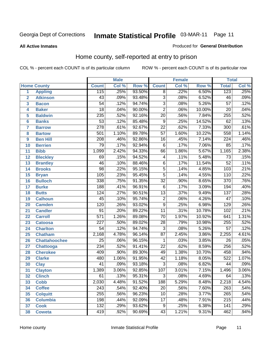**All Active Inmates**

#### Produced for **General Distribution**

### Home county, self-reported at entry to prison

|                 |                      |                  | <b>Male</b> |        | <b>Female</b>           |       |          | <b>Total</b>     |       |  |
|-----------------|----------------------|------------------|-------------|--------|-------------------------|-------|----------|------------------|-------|--|
|                 | <b>Home County</b>   | <b>Count</b>     | Col %       | Row %  | <b>Count</b>            | Col % | Row %    | <b>Total</b>     | Col % |  |
| 1               | <b>Appling</b>       | 115              | .25%        | 93.50% | $\overline{8}$          | .22%  | 6.50%    | 123              | .25%  |  |
| $\overline{2}$  | <b>Atkinson</b>      | $\overline{43}$  | .09%        | 93.48% | $\overline{3}$          | .08%  | 6.52%    | $\overline{46}$  | .09%  |  |
| 3               | <b>Bacon</b>         | $\overline{54}$  | .12%        | 94.74% | $\overline{3}$          | .08%  | 5.26%    | $\overline{57}$  | .12%  |  |
| 4               | <b>Baker</b>         | $\overline{18}$  | .04%        | 90.00% | $\overline{2}$          | .06%  | 10.00%   | $\overline{20}$  | .04%  |  |
| 5               | <b>Baldwin</b>       | 235              | .52%        | 92.16% | $\overline{20}$         | .56%  | 7.84%    | 255              | .52%  |  |
| $6\phantom{a}$  | <b>Banks</b>         | $\overline{53}$  | .12%        | 85.48% | $\overline{9}$          | .25%  | 14.52%   | $\overline{62}$  | .13%  |  |
| $\overline{7}$  | <b>Barrow</b>        | $\overline{278}$ | .61%        | 92.67% | $\overline{22}$         | .62%  | 7.33%    | $\overline{300}$ | .61%  |  |
| 8               | <b>Bartow</b>        | 501              | 1.10%       | 89.78% | $\overline{57}$         | 1.60% | 10.22%   | 558              | 1.14% |  |
| 9               | <b>Ben Hill</b>      | 208              | .46%        | 92.86% | $\overline{16}$         | .45%  | 7.14%    | $\overline{224}$ | .46%  |  |
| 10              | <b>Berrien</b>       | $\overline{79}$  | .17%        | 92.94% | $\overline{6}$          | .17%  | 7.06%    | 85               | .17%  |  |
| 11              | <b>Bibb</b>          | 1,099            | 2.42%       | 94.33% | 66                      | 1.86% | 5.67%    | 1,165            | 2.38% |  |
| 12              | <b>Bleckley</b>      | 69               | .15%        | 94.52% | $\overline{\mathbf{4}}$ | .11%  | 5.48%    | $\overline{73}$  | .15%  |  |
| 13              | <b>Brantley</b>      | $\overline{46}$  | .10%        | 88.46% | $\overline{6}$          | .17%  | 11.54%   | $\overline{52}$  | .11%  |  |
| 14              | <b>Brooks</b>        | $\overline{98}$  | .22%        | 95.15% | $\overline{5}$          | .14%  | 4.85%    | $\overline{103}$ | .21%  |  |
| 15              | <b>Bryan</b>         | 105              | .23%        | 95.45% | $\overline{5}$          | .14%  | 4.55%    | 110              | .22%  |  |
| 16              | <b>Bulloch</b>       | 338              | .75%        | 91.35% | $\overline{32}$         | .90%  | 8.65%    | $\overline{370}$ | .76%  |  |
| $\overline{17}$ | <b>Burke</b>         | 188              | .41%        | 96.91% | $\overline{6}$          | .17%  | 3.09%    | 194              | .40%  |  |
| 18              | <b>Butts</b>         | 124              | .27%        | 90.51% | $\overline{13}$         | .37%  | 9.49%    | 137              | .28%  |  |
| 19              | <b>Calhoun</b>       | $\overline{45}$  | .10%        | 95.74% | $\overline{2}$          | .06%  | 4.26%    | $\overline{47}$  | .10%  |  |
| 20              | <b>Camden</b>        | 120              | .26%        | 93.02% | $\overline{9}$          | .25%  | 6.98%    | 129              | .26%  |  |
| 21              | <b>Candler</b>       | $\overline{91}$  | .20%        | 89.22% | $\overline{11}$         | .31%  | 10.78%   | 102              | .21%  |  |
| $\overline{22}$ | <b>Carroll</b>       | $\overline{571}$ | 1.26%       | 89.08% | $\overline{70}$         | 1.97% | 10.92%   | 641              | 1.31% |  |
| 23              | <b>Catoosa</b>       | $\overline{227}$ | .50%        | 89.02% | $\overline{28}$         | .79%  | 10.98%   | 255              | .52%  |  |
| 24              | <b>Charlton</b>      | $\overline{54}$  | .12%        | 94.74% | $\overline{3}$          | .08%  | 5.26%    | $\overline{57}$  | .12%  |  |
| 25              | <b>Chatham</b>       | 2,168            | 4.78%       | 96.14% | $\overline{87}$         | 2.45% | 3.86%    | 2,255            | 4.61% |  |
| 26              | <b>Chattahoochee</b> | $\overline{25}$  | .06%        | 96.15% | 1                       | .03%  | 3.85%    | $\overline{26}$  | .05%  |  |
| 27              | <b>Chattooga</b>     | 234              | .52%        | 91.41% | $\overline{22}$         | .62%  | 8.59%    | 256              | .52%  |  |
| 28              | <b>Cherokee</b>      | 409              | .90%        | 89.30% | 49                      | 1.38% | 10.70%   | 458              | .94%  |  |
| 29              | <b>Clarke</b>        | 480              | 1.06%       | 91.95% | $\overline{42}$         | 1.18% | 8.05%    | 522              | 1.07% |  |
| 30              | <b>Clay</b>          | $\overline{41}$  | .09%        | 93.18% | $\overline{3}$          | .08%  | 6.82%    | $\overline{44}$  | .09%  |  |
| $\overline{31}$ | <b>Clayton</b>       | 1,389            | 3.06%       | 92.85% | 107                     | 3.01% | 7.15%    | 1,496            | 3.06% |  |
| 32              | <b>Clinch</b>        | 61               | .13%        | 95.31% | 3                       | .08%  | $4.69\%$ | 64               | .13%  |  |
| 33              | <b>Cobb</b>          | 2,030            | 4.48%       | 91.52% | 188                     | 5.29% | 8.48%    | 2,218            | 4.54% |  |
| 34              | <b>Coffee</b>        | $\overline{243}$ | .54%        | 92.40% | $\overline{20}$         | .56%  | 7.60%    | $\overline{263}$ | .54%  |  |
| 35              | <b>Colquitt</b>      | 255              | .56%        | 96.23% | $\overline{10}$         | .28%  | 3.77%    | 265              | .54%  |  |
| 36              | <b>Columbia</b>      | 198              | .44%        | 92.09% | $\overline{17}$         | .48%  | 7.91%    | $\overline{215}$ | .44%  |  |
| 37              | <b>Cook</b>          | $\overline{132}$ | .29%        | 93.62% | $\overline{9}$          | .25%  | 6.38%    | 141              | .29%  |  |
| 38              | <b>Coweta</b>        | 419              | .92%        | 90.69% | $\overline{43}$         | 1.21% | 9.31%    | 462              | .94%  |  |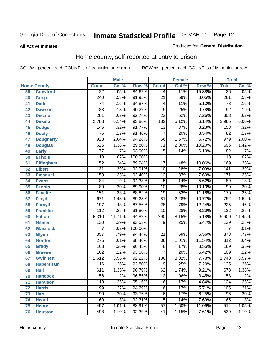#### **All Active Inmates**

#### Produced for **General Distribution**

### Home county, self-reported at entry to prison

|                 |                    | <b>Male</b>      |        | <b>Female</b>    |                  |       | <b>Total</b> |                  |        |
|-----------------|--------------------|------------------|--------|------------------|------------------|-------|--------------|------------------|--------|
|                 | <b>Home County</b> | <b>Count</b>     | Col %  | Row <sup>%</sup> | <b>Count</b>     | Col % | Row %        | <b>Total</b>     | Col %  |
| 39              | <b>Crawford</b>    | $\overline{22}$  | .05%   | 84.62%           | 4                | .11%  | 15.38%       | 26               | .05%   |
| 40              | <b>Crisp</b>       | $\overline{240}$ | .53%   | 91.95%           | $\overline{21}$  | .59%  | 8.05%        | 261              | .53%   |
| 41              | <b>Dade</b>        | 74               | .16%   | 94.87%           | 4                | .11%  | 5.13%        | 78               | .16%   |
| 42              | <b>Dawson</b>      | 83               | .18%   | 90.22%           | $\overline{9}$   | .25%  | 9.78%        | $\overline{92}$  | .19%   |
| 43              | <b>Decatur</b>     | 281              | .62%   | 92.74%           | $\overline{22}$  | .62%  | 7.26%        | $\overline{303}$ | .62%   |
| 44              | <b>Dekalb</b>      | 2,783            | 6.14%  | 93.86%           | $\overline{182}$ | 5.12% | 6.14%        | 2,965            | 6.06%  |
| 45              | <b>Dodge</b>       | 145              | .32%   | 91.77%           | $\overline{13}$  | .37%  | 8.23%        | 158              | .32%   |
| 46              | <b>Dooly</b>       | $\overline{75}$  | .17%   | 91.46%           | $\overline{7}$   | .20%  | 8.54%        | $\overline{82}$  | .17%   |
| 47              | <b>Dougherty</b>   | $\overline{923}$ | 2.04%  | 94.28%           | $\overline{56}$  | 1.57% | 5.72%        | 979              | 2.00%  |
| 48              | <b>Douglas</b>     | 625              | 1.38%  | 89.80%           | $\overline{71}$  | 2.00% | 10.20%       | 696              | 1.42%  |
| 49              | <b>Early</b>       | $\overline{77}$  | .17%   | 93.90%           | 5                | .14%  | 6.10%        | $\overline{82}$  | .17%   |
| 50              | <b>Echols</b>      | $\overline{10}$  | .02%   | 100.00%          |                  |       |              | $\overline{10}$  | .02%   |
| $\overline{51}$ | Effingham          | 152              | .34%   | 89.94%           | $\overline{17}$  | .48%  | 10.06%       | 169              | .35%   |
| 52              | <b>Elbert</b>      | $\overline{131}$ | .29%   | 92.91%           | $\overline{10}$  | .28%  | 7.09%        | $\overline{141}$ | .29%   |
| 53              | <b>Emanuel</b>     | 158              | .35%   | 92.40%           | $\overline{13}$  | .37%  | 7.60%        | 171              | .35%   |
| 54              | <b>Evans</b>       | 84               | .19%   | 94.38%           | $\overline{5}$   | .14%  | 5.62%        | 89               | .18%   |
| 55              | <b>Fannin</b>      | 89               | .20%   | 89.90%           | $\overline{10}$  | .28%  | 10.10%       | 99               | .20%   |
| 56              | <b>Fayette</b>     | 151              | .33%   | 88.82%           | $\overline{19}$  | .53%  | 11.18%       | 170              | .35%   |
| 57              | <b>Floyd</b>       | 671              | 1.48%  | 89.23%           | $\overline{81}$  | 2.28% | 10.77%       | 752              | 1.54%  |
| 58              | <b>Forsyth</b>     | 197              | .43%   | 87.56%           | $\overline{28}$  | .79%  | 12.44%       | 225              | .46%   |
| 59              | <b>Franklin</b>    | 112              | .25%   | 91.80%           | $\overline{10}$  | .28%  | 8.20%        | $\overline{122}$ | .25%   |
| 60              | <b>Fulton</b>      | 5,310            | 11.71% | 94.82%           | 290              | 8.15% | 5.18%        | 5,600            | 11.45% |
| 61              | Gilmer             | $\overline{130}$ | .29%   | 93.53%           | 9                | .25%  | 6.47%        | 139              | .28%   |
| 62              | <b>Glascock</b>    | $\overline{7}$   | .02%   | 100.00%          |                  |       |              | $\overline{7}$   | .01%   |
| 63              | <b>Glynn</b>       | $\overline{357}$ | .79%   | 94.44%           | $\overline{21}$  | .59%  | 5.56%        | $\overline{378}$ | .77%   |
| 64              | <b>Gordon</b>      | $\overline{276}$ | .61%   | 88.46%           | $\overline{36}$  | 1.01% | 11.54%       | $\overline{312}$ | .64%   |
| 65              | <b>Grady</b>       | 163              | .36%   | 96.45%           | $\overline{6}$   | .17%  | 3.55%        | 169              | .35%   |
| 66              | <b>Greene</b>      | 102              | .22%   | 93.58%           | 7                | .20%  | 6.42%        | 109              | .22%   |
| 67              | <b>Gwinnett</b>    | 1,612            | 3.56%  | 92.22%           | 136              | 3.82% | 7.78%        | 1,748            | 3.57%  |
| 68              | <b>Habersham</b>   | 116              | .26%   | 92.80%           | 9                | .25%  | 7.20%        | 125              | .26%   |
| 69              | <b>Hall</b>        | $\overline{611}$ | 1.35%  | 90.79%           | 62               | 1.74% | 9.21%        | 673              | 1.38%  |
| 70              | <b>Hancock</b>     | 56               | .12%   | 96.55%           | 2                | .06%  | 3.45%        | 58               | .12%   |
| 71              | <b>Haralson</b>    | $\overline{118}$ | .26%   | 95.16%           | $\overline{6}$   | .17%  | 4.84%        | 124              | .25%   |
| 72              | <b>Harris</b>      | 99               | .22%   | 94.29%           | $\overline{6}$   | .17%  | 5.71%        | 105              | .21%   |
| 73              | <b>Hart</b>        | $\overline{90}$  | .20%   | 93.75%           | $\overline{6}$   | .17%  | 6.25%        | $\overline{96}$  | .20%   |
| 74              | <b>Heard</b>       | 60               | .13%   | 92.31%           | $\overline{5}$   | .14%  | 7.69%        | 65               | .13%   |
| 75              | <b>Henry</b>       | 457              | 1.01%  | 88.91%           | $\overline{57}$  | 1.60% | 11.09%       | 514              | 1.05%  |
| 76              | <b>Houston</b>     | 498              | 1.10%  | 92.39%           | 41               | 1.15% | 7.61%        | 539              | 1.10%  |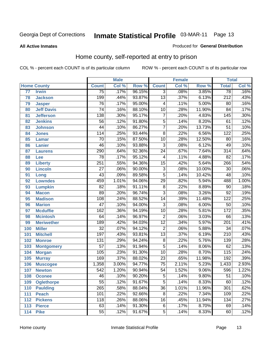#### **All Active Inmates**

#### Produced for **General Distribution**

### Home county, self-reported at entry to prison

|                 |                    |                 | <b>Male</b> |        |                 | <b>Female</b> |        | <b>Total</b>     |                            |
|-----------------|--------------------|-----------------|-------------|--------|-----------------|---------------|--------|------------------|----------------------------|
|                 | <b>Home County</b> | <b>Count</b>    | Col %       | Row %  | <b>Count</b>    | Col %         | Row %  | <b>Total</b>     | $\overline{\text{Col }\%}$ |
| $\overline{77}$ | <b>Irwin</b>       | $\overline{75}$ | .17%        | 96.15% | $\overline{3}$  | .08%          | 3.85%  | $\overline{78}$  | .16%                       |
| 78              | <b>Jackson</b>     | 199             | .44%        | 93.87% | $\overline{13}$ | .37%          | 6.13%  | $\overline{212}$ | .43%                       |
| 79              | <b>Jasper</b>      | $\overline{76}$ | .17%        | 95.00% | 4               | .11%          | 5.00%  | 80               | .16%                       |
| 80              | <b>Jeff Davis</b>  | $\overline{74}$ | .16%        | 88.10% | $\overline{10}$ | .28%          | 11.90% | $\overline{84}$  | .17%                       |
| 81              | <b>Jefferson</b>   | 138             | .30%        | 95.17% | $\overline{7}$  | .20%          | 4.83%  | $\overline{145}$ | .30%                       |
| 82              | <b>Jenkins</b>     | $\overline{56}$ | .12%        | 91.80% | $\overline{5}$  | .14%          | 8.20%  | $\overline{61}$  | .12%                       |
| 83              | <b>Johnson</b>     | $\overline{44}$ | .10%        | 86.27% | $\overline{7}$  | .20%          | 13.73% | $\overline{51}$  | .10%                       |
| 84              | <b>Jones</b>       | 114             | .25%        | 93.44% | $\overline{8}$  | .22%          | 6.56%  | $\overline{122}$ | .25%                       |
| 85              | <b>Lamar</b>       | $\overline{70}$ | .15%        | 87.50% | $\overline{10}$ | .28%          | 12.50% | 80               | .16%                       |
| 86              | <b>Lanier</b>      | 46              | .10%        | 93.88% | $\overline{3}$  | .08%          | 6.12%  | 49               | .10%                       |
| 87              | <b>Laurens</b>     | 290             | .64%        | 92.36% | $\overline{24}$ | .67%          | 7.64%  | $\overline{314}$ | .64%                       |
| 88              | Lee                | $\overline{78}$ | .17%        | 95.12% | 4               | .11%          | 4.88%  | $\overline{82}$  | .17%                       |
| 89              | <b>Liberty</b>     | 251             | .55%        | 94.36% | $\overline{15}$ | .42%          | 5.64%  | 266              | .54%                       |
| 90              | <b>Lincoln</b>     | $\overline{27}$ | .06%        | 90.00% | $\overline{3}$  | .08%          | 10.00% | $\overline{30}$  | .06%                       |
| 91              | Long               | 43              | .09%        | 89.58% | $\overline{5}$  | .14%          | 10.42% | $\overline{48}$  | .10%                       |
| 92              | <b>Lowndes</b>     | 459             | 1.01%       | 94.06% | $\overline{29}$ | .82%          | 5.94%  | 488              | 1.00%                      |
| 93              | <b>Lumpkin</b>     | $\overline{82}$ | .18%        | 91.11% | $\overline{8}$  | .22%          | 8.89%  | $\overline{90}$  | .18%                       |
| 94              | <b>Macon</b>       | $\overline{89}$ | .20%        | 96.74% | $\overline{3}$  | .08%          | 3.26%  | $\overline{92}$  | .19%                       |
| 95              | <b>Madison</b>     | 108             | .24%        | 88.52% | $\overline{14}$ | .39%          | 11.48% | $\overline{122}$ | .25%                       |
| 96              | <b>Marion</b>      | $\overline{47}$ | .10%        | 94.00% | $\overline{3}$  | .08%          | 6.00%  | $\overline{50}$  | .10%                       |
| 97              | <b>Mcduffie</b>    | 162             | .36%        | 94.19% | $\overline{10}$ | .28%          | 5.81%  | 172              | .35%                       |
| 98              | <b>Mcintosh</b>    | 64              | .14%        | 96.97% | $\overline{2}$  | .06%          | 3.03%  | 66               | .13%                       |
| 99              | <b>Meriwether</b>  | 189             | .42%        | 94.03% | $\overline{12}$ | .34%          | 5.97%  | $\overline{201}$ | .41%                       |
| 100             | <b>Miller</b>      | $\overline{32}$ | .07%        | 94.12% | $\overline{2}$  | .06%          | 5.88%  | $\overline{34}$  | .07%                       |
| 101             | <b>Mitchell</b>    | 197             | .43%        | 93.81% | $\overline{13}$ | .37%          | 6.19%  | $\overline{210}$ | .43%                       |
| 102             | <b>Monroe</b>      | 131             | .29%        | 94.24% | $\overline{8}$  | .22%          | 5.76%  | 139              | .28%                       |
| 103             | <b>Montgomery</b>  | $\overline{57}$ | .13%        | 91.94% | $\overline{5}$  | .14%          | 8.06%  | 62               | .13%                       |
| 104             | <b>Morgan</b>      | 105             | .23%        | 91.30% | $\overline{10}$ | .28%          | 8.70%  | 115              | .24%                       |
| 105             | <b>Murray</b>      | 169             | .37%        | 88.02% | $\overline{23}$ | .65%          | 11.98% | 192              | .39%                       |
| 106             | <b>Muscogee</b>    | 1,358           | 3.00%       | 94.77% | $\overline{75}$ | 2.11%         | 5.23%  | 1,433            | 2.93%                      |
| 107             | <b>Newton</b>      | 542             | 1.20%       | 90.94% | $\overline{54}$ | 1.52%         | 9.06%  | 596              | 1.22%                      |
| 108             | <b>Oconee</b>      | 46              | .10%        | 90.20% | 5               | .14%          | 9.80%  | 51               | .10%                       |
| 109             | <b>Oglethorpe</b>  | $\overline{55}$ | .12%        | 91.67% | $\overline{5}$  | .14%          | 8.33%  | 60               | .12%                       |
| 110             | <b>Paulding</b>    | 265             | .58%        | 88.04% | $\overline{36}$ | 1.01%         | 11.96% | 301              | .62%                       |
| 111             | <b>Peach</b>       | 101             | .22%        | 92.66% | $\overline{8}$  | .22%          | 7.34%  | 109              | .22%                       |
| 112             | <b>Pickens</b>     | 118             | .26%        | 88.06% | $\overline{16}$ | .45%          | 11.94% | 134              | .27%                       |
| 113             | <b>Pierce</b>      | 63              | .14%        | 91.30% | $\overline{6}$  | .17%          | 8.70%  | 69               | .14%                       |
| 114             | <b>Pike</b>        | $\overline{55}$ | .12%        | 91.67% | 5               | .14%          | 8.33%  | 60               | .12%                       |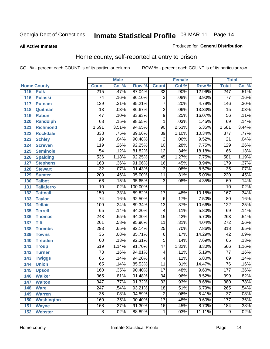#### **All Active Inmates**

#### Produced for **General Distribution**

### Home county, self-reported at entry to prison

|     |                    |                  | <b>Male</b> |         |                 | <b>Female</b> |          | <b>Total</b>     |                            |
|-----|--------------------|------------------|-------------|---------|-----------------|---------------|----------|------------------|----------------------------|
|     | <b>Home County</b> | <b>Count</b>     | Col %       | Row %   | <b>Count</b>    | Col %         | Row %    | <b>Total</b>     | $\overline{\text{Col }^9}$ |
| 115 | <b>Polk</b>        | 215              | .47%        | 87.04%  | $\overline{32}$ | .90%          | 12.96%   | 247              | .51%                       |
| 116 | <b>Pulaski</b>     | $\overline{74}$  | .16%        | 96.10%  | 3               | .08%          | 3.90%    | $\overline{77}$  | .16%                       |
| 117 | <b>Putnam</b>      | 139              | .31%        | 95.21%  | $\overline{7}$  | .20%          | 4.79%    | 146              | .30%                       |
| 118 | Quitman            | $\overline{13}$  | .03%        | 86.67%  | $\overline{2}$  | .06%          | 13.33%   | 15               | .03%                       |
| 119 | <b>Rabun</b>       | $\overline{47}$  | .10%        | 83.93%  | $\overline{9}$  | .25%          | 16.07%   | $\overline{56}$  | .11%                       |
| 120 | <b>Randolph</b>    | 68               | .15%        | 98.55%  | 1               | .03%          | 1.45%    | 69               | .14%                       |
| 121 | <b>Richmond</b>    | 1,591            | 3.51%       | 94.65%  | $\overline{90}$ | 2.53%         | 5.35%    | 1,681            | 3.44%                      |
| 122 | <b>Rockdale</b>    | 338              | .75%        | 89.66%  | $\overline{39}$ | 1.10%         | 10.34%   | $\overline{377}$ | .77%                       |
| 123 | <b>Schley</b>      | $\overline{19}$  | .04%        | 90.48%  | $\overline{2}$  | .06%          | 9.52%    | $\overline{21}$  | .04%                       |
| 124 | <b>Screven</b>     | 119              | .26%        | 92.25%  | $\overline{10}$ | .28%          | 7.75%    | 129              | .26%                       |
| 125 | <b>Seminole</b>    | $\overline{54}$  | .12%        | 81.82%  | $\overline{12}$ | .34%          | 18.18%   | 66               | .13%                       |
| 126 | <b>Spalding</b>    | 536              | 1.18%       | 92.25%  | $\overline{45}$ | 1.27%         | 7.75%    | 581              | 1.19%                      |
| 127 | <b>Stephens</b>    | 163              | .36%        | 91.06%  | $\overline{16}$ | .45%          | 8.94%    | 179              | .37%                       |
| 128 | <b>Stewart</b>     | $\overline{32}$  | .07%        | 91.43%  | $\overline{3}$  | .08%          | 8.57%    | $\overline{35}$  | .07%                       |
| 129 | <b>Sumter</b>      | $\overline{209}$ | .46%        | 95.00%  | $\overline{11}$ | .31%          | 5.00%    | $\overline{220}$ | .45%                       |
| 130 | <b>Talbot</b>      | 66               | .15%        | 95.65%  | $\overline{3}$  | .08%          | 4.35%    | 69               | .14%                       |
| 131 | <b>Taliaferro</b>  | $\overline{10}$  | .02%        | 100.00% |                 |               |          | $\overline{10}$  | .02%                       |
| 132 | <b>Tattnall</b>    | 150              | .33%        | 89.82%  | $\overline{17}$ | .48%          | 10.18%   | 167              | .34%                       |
| 133 | <b>Taylor</b>      | $\overline{74}$  | .16%        | 92.50%  | $\overline{6}$  | .17%          | 7.50%    | 80               | .16%                       |
| 134 | <b>Telfair</b>     | 109              | .24%        | 89.34%  | $\overline{13}$ | .37%          | 10.66%   | 122              | .25%                       |
| 135 | <b>Terrell</b>     | $\overline{65}$  | .14%        | 94.20%  | 4               | .11%          | 5.80%    | 69               | .14%                       |
| 136 | <b>Thomas</b>      | 248              | .55%        | 94.30%  | $\overline{15}$ | .42%          | 5.70%    | 263              | .54%                       |
| 137 | <b>Tift</b>        | $\overline{261}$ | .58%        | 95.96%  | $\overline{11}$ | .31%          | 4.04%    | $\overline{272}$ | .56%                       |
| 138 | <b>Toombs</b>      | 293              | .65%        | 92.14%  | $\overline{25}$ | .70%          | 7.86%    | 318              | .65%                       |
| 139 | <b>Towns</b>       | $\overline{36}$  | .08%        | 85.71%  | $\overline{6}$  | .17%          | 14.29%   | 42               | .09%                       |
| 140 | <b>Treutlen</b>    | 60               | .13%        | 92.31%  | $\overline{5}$  | .14%          | 7.69%    | 65               | .13%                       |
| 141 | <b>Troup</b>       | 519              | 1.14%       | 91.70%  | $\overline{47}$ | 1.32%         | 8.30%    | 566              | 1.16%                      |
| 142 | <b>Turner</b>      | $\overline{73}$  | .16%        | 94.81%  | 4               | .11%          | 5.19%    | $\overline{77}$  | .16%                       |
| 143 | <b>Twiggs</b>      | 65               | .14%        | 94.20%  | 4               | .11%          | 5.80%    | 69               | .14%                       |
| 144 | <b>Union</b>       | $\overline{65}$  | .14%        | 85.53%  | 11              | .31%          | 14.47%   | 76               | .16%                       |
| 145 | <b>Upson</b>       | 160              | .35%        | 90.40%  | $\overline{17}$ | .48%          | 9.60%    | 177              | .36%                       |
| 146 | <b>Walker</b>      | 365              | .81%        | 91.48%  | 34              | .96%          | 8.52%    | 399              | .82%                       |
| 147 | <b>Walton</b>      | $\overline{347}$ | .77%        | 91.32%  | $\overline{33}$ | .93%          | 8.68%    | 380              | .78%                       |
| 148 | <b>Ware</b>        | $\overline{247}$ | .54%        | 93.21%  | $\overline{18}$ | .51%          | 6.79%    | 265              | .54%                       |
| 149 | <b>Warren</b>      | $\overline{35}$  | .08%        | 94.59%  | $\overline{2}$  | .06%          | 5.41%    | $\overline{37}$  | .08%                       |
| 150 | <b>Washington</b>  | 160              | .35%        | 90.40%  | $\overline{17}$ | .48%          | $9.60\%$ | 177              | .36%                       |
| 151 | <b>Wayne</b>       | 168              | .37%        | 91.30%  | $\overline{16}$ | .45%          | 8.70%    | 184              | .38%                       |
| 152 | <b>Webster</b>     | $\overline{8}$   | .02%        | 88.89%  | $\mathbf 1$     | .03%          | 11.11%   | $\overline{9}$   | .02%                       |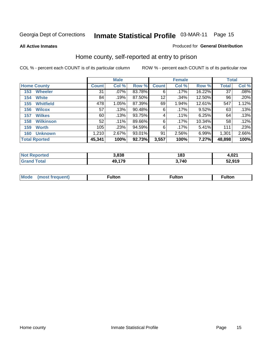#### **All Active Inmates**

#### Produced for **General Distribution**

### Home county, self-reported at entry to prison

|                    |                      | <b>Male</b>  |         |        |              | <b>Female</b> |          | <b>Total</b> |       |
|--------------------|----------------------|--------------|---------|--------|--------------|---------------|----------|--------------|-------|
| <b>Home County</b> |                      | <b>Count</b> | Col %   | Row %  | <b>Count</b> | Col %         | Row %    | Total        | Col % |
| 153                | <b>Wheeler</b>       | 31           | $.07\%$ | 83.78% | 6            | .17%          | 16.22%   | 37           | .08%  |
| 154                | <b>White</b>         | 84           | .19%    | 87.50% | 12           | .34%          | 12.50%   | 96           | .20%  |
| 155                | <b>Whitfield</b>     | 478          | 1.05%   | 87.39% | 69           | 1.94%         | 12.61%   | 547          | 1.12% |
| 156                | <b>Wilcox</b>        | 57           | .13%    | 90.48% | 6            | .17%          | 9.52%    | 63           | .13%  |
| 157                | <b>Wilkes</b>        | 60           | .13%    | 93.75% | 4            | .11%          | 6.25%    | 64           | .13%  |
| 158                | <b>Wilkinson</b>     | 52           | $.11\%$ | 89.66% | 6            | .17%          | 10.34%   | 58           | .12%  |
| 159                | <b>Worth</b>         | 105          | .23%    | 94.59% | 6            | .17%          | $5.41\%$ | 111          | .23%  |
| 160                | <b>Unknown</b>       | 1,210        | 2.67%   | 93.01% | 91           | 2.56%         | 6.99%    | 1,301        | 2.66% |
|                    | <b>Total Rported</b> | 45,341       | 100%    | 92.73% | 3,557        | 100%          | 7.27%    | 48,898       | 100%  |

| oorted<br>NOT               | 3,838       | 183   | 4,021  |
|-----------------------------|-------------|-------|--------|
| 'otal<br>$\cdot$ Gr $\cdot$ | .179<br>49, | 3,740 | 52,919 |

| <b>Mode</b> | ™ulton | <b>ulton</b> | ulton |
|-------------|--------|--------------|-------|
|             |        |              |       |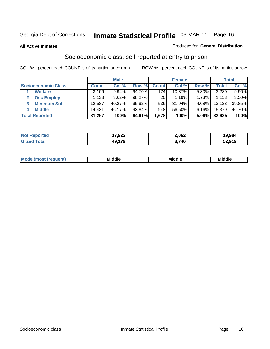#### **All Active Inmates**

#### Produced for **General Distribution**

### Socioeconomic class, self-reported at entry to prison

|                            | <b>Male</b>  |        |        | <b>Female</b> |        |       | <b>Total</b> |          |
|----------------------------|--------------|--------|--------|---------------|--------|-------|--------------|----------|
| <b>Socioeconomic Class</b> | <b>Count</b> | Col %  | Row %  | Count l       | Col %  | Row % | <b>Total</b> | Col %    |
| <b>Welfare</b>             | 3,106        | 9.94%  | 94.70% | 174           | 10.37% | 5.30% | 3,280        | $9.96\%$ |
| <b>Occ Employ</b>          | 1,133        | 3.62%  | 98.27% | 201           | 1.19%  | 1.73% | 1,153        | 3.50%    |
| <b>Minimum Std</b>         | 12,587       | 40.27% | 95.92% | 536           | 31.94% | 4.08% | 13,123       | 39.85%   |
| <b>Middle</b><br>4         | 14,431       | 46.17% | 93.84% | 948           | 56.50% | 6.16% | 15,379       | 46.70%   |
| <b>Total Reported</b>      | 31,257       | 100%   | 94.91% | 1,678         | 100%   | 5.09% | 32,935       | 100%     |

| NO | 17,922     | 2,062 | 19.984 |
|----|------------|-------|--------|
|    | 179<br>49. | .740  | 52,919 |

|  | w | - 11<br>.<br>Mı<br>זוה | ---<br>. .<br>. | Mi |
|--|---|------------------------|-----------------|----|
|--|---|------------------------|-----------------|----|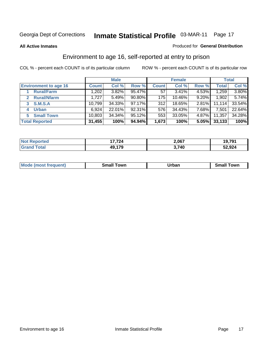#### **All Active Inmates**

#### Produced for **General Distribution**

### Environment to age 16, self-reported at entry to prison

|                                      | <b>Male</b>  |        | <b>Female</b> |              |        | <b>Total</b> |              |        |
|--------------------------------------|--------------|--------|---------------|--------------|--------|--------------|--------------|--------|
| <b>Environment to age 16</b>         | <b>Count</b> | Col %  | Row %         | <b>Count</b> | Col %  | Row %        | <b>Total</b> | Col %  |
| <b>Rural/Farm</b>                    | 1,202        | 3.82%  | 95.47%        | 57           | 3.41%  | $4.53\%$     | 1,259        | 3.80%  |
| <b>Rural/Nfarm</b><br>$\overline{2}$ | 1,727        | 5.49%  | 90.80%        | 175          | 10.46% | $9.20\%$     | 1,902        | 5.74%  |
| <b>S.M.S.A</b><br>3                  | 10,799       | 34.33% | $97.17\%$     | 312          | 18.65% | $2.81\%$     | 11,114       | 33.54% |
| <b>Urban</b><br>4                    | 6,924        | 22.01% | 92.31%        | 576          | 34.43% | 7.68%        | 7,501        | 22.64% |
| <b>Small Town</b><br>5               | 10,803       | 34.34% | 95.12%        | 553          | 33.05% | 4.87%        | 11,357       | 34.28% |
| <b>Total Reported</b>                | 31,455       | 100%   | 94.94%        | 1,673        | 100%   | 5.05%        | 33,133       | 100%   |

| <b>Not Reported</b>           | 17,724 | 2,067 | 19,791 |
|-------------------------------|--------|-------|--------|
| <b>Total</b><br><b>⊍Grand</b> | 49,179 | 3,740 | 52,924 |

| Mo<br>. . | . owr | <u>'''' ''</u><br>roa<br>_____ | .0W <sub>r</sub> |
|-----------|-------|--------------------------------|------------------|
|           |       |                                |                  |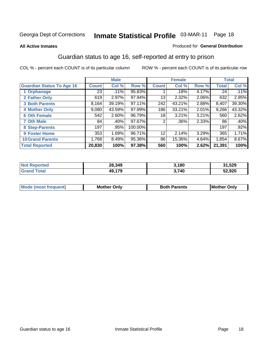#### **All Active Inmates**

#### Produced for **General Distribution**

### Guardian status to age 16, self-reported at entry to prison

|                                  |              | <b>Male</b> |         |                 | <b>Female</b> |       |              | <b>Total</b> |
|----------------------------------|--------------|-------------|---------|-----------------|---------------|-------|--------------|--------------|
| <b>Guardian Status To Age 16</b> | <b>Count</b> | Col %       | Row %   | <b>Count</b>    | Col %         | Row % | <b>Total</b> | Col %        |
| 1 Orphanage                      | 23           | .11%        | 95.83%  |                 | .18%          | 4.17% | 24           | .11%         |
| 2 Father Only                    | 619          | 2.97%       | 97.94%  | 13              | $2.32\%$      | 2.06% | 632          | 2.95%        |
| <b>3 Both Parents</b>            | 8,164        | 39.19%      | 97.11%  | 242             | 43.21%        | 2.88% | 8,407        | 39.30%       |
| <b>4 Mother Only</b>             | 9,080        | 43.59%      | 97.99%  | 186             | 33.21%        | 2.01% | 9,266        | 43.32%       |
| <b>6 Oth Female</b>              | 542          | 2.60%       | 96.79%  | 18              | 3.21%         | 3.21% | 560          | 2.62%        |
| <b>7 Oth Male</b>                | 84           | .40%        | 97.67%  | $\overline{2}$  | .36%          | 2.33% | 86           | .40%         |
| 8 Step-Parents                   | 197          | .95%        | 100.00% |                 |               |       | 197          | .92%         |
| 9 Foster Home                    | 353          | 1.69%       | 96.71%  | 12 <sup>°</sup> | 2.14%         | 3.29% | 365          | 1.71%        |
| <b>10 Grand Parents</b>          | 1,768        | 8.49%       | 95.36%  | 86              | 15.36%        | 4.64% | 1,854        | 8.67%        |
| <b>Total Reported</b>            | 20,830       | 100%        | 97.38%  | 560             | 100%          | 2.62% | 21,391       | 100%         |

| orted<br>. Nr | 28,349 | 3.180 | 1,529  |
|---------------|--------|-------|--------|
| . Gr          | 10.470 | 3,740 | 52,920 |

| Mode | Onlv<br>Mot | <b>Roth</b><br>Parents | <b>IMot</b><br>Onlv<br>∵hei |
|------|-------------|------------------------|-----------------------------|
|      |             |                        |                             |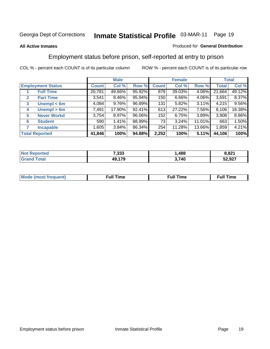#### **All Active Inmates**

#### Produced for **General Distribution**

### Employment status before prison, self-reported at entry to prison

|                          |                       |              | <b>Male</b> |        |              | <b>Female</b> |        |        | <b>Total</b> |  |
|--------------------------|-----------------------|--------------|-------------|--------|--------------|---------------|--------|--------|--------------|--|
| <b>Employment Status</b> |                       | <b>Count</b> | Col %       | Row %  | <b>Count</b> | Col %         | Row %  | Total  | Col %        |  |
|                          | <b>Full Time</b>      | 20,781       | 49.66%      | 95.92% | 879          | 39.03%        | 4.06%  | 21,664 | 49.12%       |  |
| $\mathbf{2}$             | <b>Part Time</b>      | 3,541        | 8.46%       | 95.94% | 150          | 6.66%         | 4.06%  | 3,691  | 8.37%        |  |
| 3                        | Unempl $<$ 6m         | 4,084        | 9.76%       | 96.89% | 131          | 5.82%         | 3.11%  | 4,215  | 9.56%        |  |
| 4                        | Unempl > 6m           | 7,491        | 17.90%      | 92.41% | 613          | 27.22%        | 7.56%  | 8,106  | 18.38%       |  |
| 5                        | <b>Never Workd</b>    | 3,754        | 8.97%       | 96.06% | 152          | 6.75%         | 3.89%  | 3,908  | 8.86%        |  |
| 6                        | <b>Student</b>        | 590          | 1.41%       | 88.99% | 73           | $3.24\%$      | 11.01% | 663    | 1.50%        |  |
| 7                        | <b>Incapable</b>      | 1,605        | 3.84%       | 86.34% | 254          | 11.28%        | 13.66% | 1,859  | 4.21%        |  |
|                          | <b>Total Reported</b> | 41,846       | 100%        | 94.88% | 2,252        | 100%          | 5.11%  | 44,106 | 100%         |  |

| 7,333             | .488  | ∕ مہ د<br>າ.o∠ .<br>--- |
|-------------------|-------|-------------------------|
| 170<br>$\sqrt{2}$ | 3,740 | 52,927                  |

| Mo | 'me<br>uн<br>the contract of the contract of the contract of the contract of the contract of the contract of the contract of | ïme<br>uı.<br>the contract of the contract of the contract of the contract of the contract of the contract of the contract of |
|----|------------------------------------------------------------------------------------------------------------------------------|-------------------------------------------------------------------------------------------------------------------------------|
|    |                                                                                                                              |                                                                                                                               |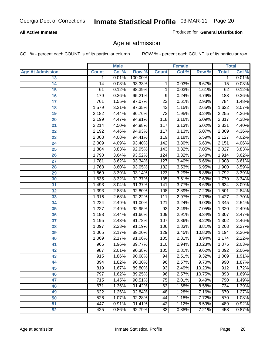#### **All Active Inmates**

Produced for **General Distribution**

### Age at admission

|                         |              | <b>Male</b> |         |                  | <b>Female</b> |        |                  | <b>Total</b> |
|-------------------------|--------------|-------------|---------|------------------|---------------|--------|------------------|--------------|
| <b>Age At Admission</b> | <b>Count</b> | Col %       | Row %   | <b>Count</b>     | Col %         | Row %  | <b>Total</b>     | Col %        |
| 13                      | 1            | 0.01%       | 100.00% |                  |               |        | 1                | 0.01%        |
| 14                      | 14           | 0.03%       | 93.33%  | 1                | 0.03%         | 6.67%  | 15               | 0.03%        |
| 15                      | 61           | 0.12%       | 98.39%  | 1                | 0.03%         | 1.61%  | 62               | 0.12%        |
| 16                      | 179          | 0.36%       | 95.21%  | 9                | 0.24%         | 4.79%  | 188              | 0.36%        |
| $\overline{17}$         | 761          | 1.55%       | 97.07%  | $\overline{23}$  | 0.61%         | 2.93%  | 784              | 1.48%        |
| 18                      | 1,579        | 3.21%       | 97.35%  | 43               | 1.15%         | 2.65%  | 1,622            | 3.07%        |
| 19                      | 2,182        | 4.44%       | 96.76%  | $\overline{73}$  | 1.95%         | 3.24%  | 2,255            | 4.26%        |
| 20                      | 2,199        | 4.47%       | 94.91%  | $\overline{118}$ | 3.16%         | 5.09%  | 2,317            | 4.38%        |
| 21                      | 2,214        | 4.50%       | 94.98%  | 117              | 3.13%         | 5.02%  | 2,331            | 4.40%        |
| 22                      | 2,192        | 4.46%       | 94.93%  | 117              | 3.13%         | 5.07%  | 2,309            | 4.36%        |
| 23                      | 2,008        | 4.08%       | 94.41%  | 119              | 3.18%         | 5.59%  | 2,127            | 4.02%        |
| 24                      | 2,009        | 4.09%       | 93.40%  | 142              | 3.80%         | 6.60%  | 2,151            | 4.06%        |
| $\overline{25}$         | 1,884        | 3.83%       | 92.95%  | $\overline{143}$ | 3.82%         | 7.05%  | 2,027            | 3.83%        |
| 26                      | 1,790        | 3.64%       | 93.52%  | 124              | 3.32%         | 6.48%  | 1,914            | 3.62%        |
| 27                      | 1,781        | 3.62%       | 93.34%  | 127              | 3.40%         | 6.66%  | 1,908            | 3.61%        |
| 28                      | 1,768        | 3.60%       | 93.05%  | 132              | 3.53%         | 6.95%  | 1,900            | 3.59%        |
| 29                      | 1,669        | 3.39%       | 93.14%  | 123              | 3.29%         | 6.86%  | 1,792            | 3.39%        |
| 30                      | 1,635        | 3.32%       | 92.37%  | 135              | 3.61%         | 7.63%  | 1,770            | 3.34%        |
| 31                      | 1,493        | 3.04%       | 91.37%  | 141              | 3.77%         | 8.63%  | 1,634            | 3.09%        |
| 32                      | 1,393        | 2.83%       | 92.80%  | 108              | 2.89%         | 7.20%  | 1,501            | 2.84%        |
| 33                      | 1,316        | 2.68%       | 92.22%  | 111              | 2.97%         | 7.78%  | 1,427            | 2.70%        |
| 34                      | 1,224        | 2.49%       | 91.00%  | 121              | 3.24%         | 9.00%  | 1,345            | 2.54%        |
| 35                      | 1,227        | 2.49%       | 92.95%  | 93               | 2.49%         | 7.05%  | 1,320            | 2.49%        |
| 36                      | 1,198        | 2.44%       | 91.66%  | 109              | 2.91%         | 8.34%  | 1,307            | 2.47%        |
| 37                      | 1,195        | 2.43%       | 91.78%  | 107              | 2.86%         | 8.22%  | 1,302            | 2.46%        |
| 38                      | 1,097        | 2.23%       | 91.19%  | 106              | 2.83%         | 8.81%  | 1,203            | 2.27%        |
| 39                      | 1,065        | 2.17%       | 89.20%  | 129              | 3.45%         | 10.80% | 1,194            | 2.26%        |
| 40                      | 1,069        | 2.17%       | 91.06%  | 105              | 2.81%         | 8.94%  | 1,174            | 2.22%        |
| 41                      | 965          | 1.96%       | 89.77%  | 110              | 2.94%         | 10.23% | 1,075            | 2.03%        |
| 42                      | 987          | 2.01%       | 90.38%  | 105              | 2.81%         | 9.62%  | 1,092            | 2.06%        |
| 43                      | 915          | 1.86%       | 90.68%  | 94               | 2.51%         | 9.32%  | 1,009            | 1.91%        |
| 44                      | 894          | 1.82%       | 90.30%  | 96               | 2.57%         | 9.70%  | 990              | 1.87%        |
| 45                      | 819          | 1.67%       | 89.80%  | $\overline{93}$  | 2.49%         | 10.20% | $\overline{912}$ | 1.72%        |
| 46                      | 797          | 1.62%       | 89.25%  | 96               | 2.57%         | 10.75% | 893              | 1.69%        |
| 47                      | 715          | 1.45%       | 90.51%  | 75               | 2.01%         | 9.49%  | 790              | 1.49%        |
| 48                      | 671          | 1.36%       | 91.42%  | 63               | 1.68%         | 8.58%  | 734              | 1.39%        |
| 49                      | 622          | 1.26%       | 92.84%  | 48               | 1.28%         | 7.16%  | 670              | 1.27%        |
| 50                      | 526          | 1.07%       | 92.28%  | 44               | 1.18%         | 7.72%  | 570              | 1.08%        |
| 51                      | 447          | 0.91%       | 91.41%  | 42               | 1.12%         | 8.59%  | 489              | 0.92%        |
| 52                      | 425          | 0.86%       | 92.79%  | 33               | 0.88%         | 7.21%  | 458              | 0.87%        |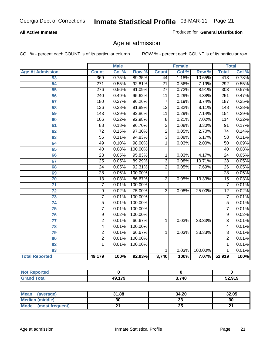#### **All Active Inmates**

Produced for **General Distribution**

### Age at admission

|                         |                  | <b>Male</b> |         |                 | <b>Female</b> |                  |                  | <b>Total</b> |
|-------------------------|------------------|-------------|---------|-----------------|---------------|------------------|------------------|--------------|
| <b>Age At Admission</b> | <b>Count</b>     | Col %       | Row %   | <b>Count</b>    | Col %         | Row <sup>%</sup> | <b>Total</b>     | Col %        |
| 53                      | 369              | 0.75%       | 89.35%  | 44              | 1.18%         | 10.65%           | 413              | 0.78%        |
| $\overline{54}$         | $\overline{271}$ | 0.55%       | 92.81%  | $\overline{21}$ | 0.56%         | 7.19%            | 292              | 0.55%        |
| $\overline{55}$         | $\overline{276}$ | 0.56%       | 91.09%  | $\overline{27}$ | 0.72%         | 8.91%            | $\overline{303}$ | 0.57%        |
| 56                      | 240              | 0.49%       | 95.62%  | $\overline{11}$ | 0.29%         | 4.38%            | 251              | 0.47%        |
| $\overline{57}$         | 180              | 0.37%       | 96.26%  | $\overline{7}$  | 0.19%         | 3.74%            | 187              | 0.35%        |
| 58                      | $\overline{136}$ | 0.28%       | 91.89%  | $\overline{12}$ | 0.32%         | 8.11%            | 148              | 0.28%        |
| 59                      | $\overline{143}$ | 0.29%       | 92.86%  | $\overline{11}$ | 0.29%         | 7.14%            | 154              | 0.29%        |
| 60                      | 106              | 0.22%       | 92.98%  | $\overline{8}$  | 0.21%         | 7.02%            | $\overline{114}$ | 0.22%        |
| 61                      | $\overline{88}$  | 0.18%       | 96.70%  | $\overline{3}$  | 0.08%         | 3.30%            | $\overline{91}$  | 0.17%        |
| 62                      | $\overline{72}$  | 0.15%       | 97.30%  | $\overline{2}$  | 0.05%         | 2.70%            | $\overline{74}$  | 0.14%        |
| 63                      | $\overline{55}$  | 0.11%       | 94.83%  | $\overline{3}$  | 0.08%         | 5.17%            | $\overline{58}$  | 0.11%        |
| 64                      | 49               | 0.10%       | 98.00%  | 1               | 0.03%         | 2.00%            | $\overline{50}$  | 0.09%        |
| 65                      | 40               | 0.08%       | 100.00% |                 |               |                  | 40               | 0.08%        |
| 66                      | $\overline{23}$  | 0.05%       | 95.83%  | $\mathbf{1}$    | 0.03%         | 4.17%            | $\overline{24}$  | 0.05%        |
| 67                      | $\overline{25}$  | 0.05%       | 89.29%  | $\overline{3}$  | 0.08%         | 10.71%           | $\overline{28}$  | 0.05%        |
| 68                      | $\overline{24}$  | 0.05%       | 92.31%  | $\overline{2}$  | 0.05%         | 7.69%            | $\overline{26}$  | 0.05%        |
| 69                      | $\overline{28}$  | 0.06%       | 100.00% |                 |               |                  | $\overline{28}$  | 0.05%        |
| 70                      | $\overline{13}$  | 0.03%       | 86.67%  | $\overline{2}$  | 0.05%         | 13.33%           | $\overline{15}$  | 0.03%        |
| $\overline{71}$         | $\overline{7}$   | 0.01%       | 100.00% |                 |               |                  | $\overline{7}$   | 0.01%        |
| $\overline{72}$         | $\overline{9}$   | 0.02%       | 75.00%  | $\overline{3}$  | 0.08%         | 25.00%           | $\overline{12}$  | 0.02%        |
| $\overline{73}$         | $\overline{7}$   | 0.01%       | 100.00% |                 |               |                  | $\overline{7}$   | 0.01%        |
| $\overline{74}$         | $\overline{5}$   | 0.01%       | 100.00% |                 |               |                  | $\overline{5}$   | 0.01%        |
| 75                      | $\overline{7}$   | 0.01%       | 100.00% |                 |               |                  | $\overline{7}$   | 0.01%        |
| 76                      | $\overline{9}$   | 0.02%       | 100.00% |                 |               |                  | 9                | 0.02%        |
| $\overline{77}$         | $\overline{2}$   | 0.01%       | 66.67%  | 1               | 0.03%         | 33.33%           | $\overline{3}$   | 0.01%        |
| 78                      | $\overline{4}$   | 0.01%       | 100.00% |                 |               |                  | $\overline{4}$   | 0.01%        |
| 79                      | $\overline{2}$   | 0.01%       | 66.67%  | $\overline{1}$  | 0.03%         | 33.33%           | $\overline{3}$   | 0.01%        |
| 80                      | $\overline{2}$   | 0.01%       | 100.00% |                 |               |                  | $\overline{2}$   | 0.01%        |
| 82                      | $\overline{1}$   | 0.01%       | 100.00% |                 |               |                  | 1                | 0.01%        |
| 83                      |                  |             |         | $\overline{1}$  | 0.03%         | 100.00%          | $\overline{1}$   | 0.01%        |
| <b>Total Reported</b>   | 49,179           | 100%        | 92.93%  | 3,740           | 100%          | 7.07%            | 52,919           | 100%         |

| <b>Not Reported</b>         |               |                      |        |
|-----------------------------|---------------|----------------------|--------|
| <b>Total</b><br><b>Gran</b> | <b>40 170</b> | $^{\backprime}$ .740 | 52,919 |

| <b>Mean</b><br>(average)       | 31.88 | 34.20    | 32.05 |
|--------------------------------|-------|----------|-------|
| <b>Median (middle)</b>         | 30    | ^^<br>vu | 30    |
| <b>Mode</b><br>(most frequent) |       | 23       | ົ     |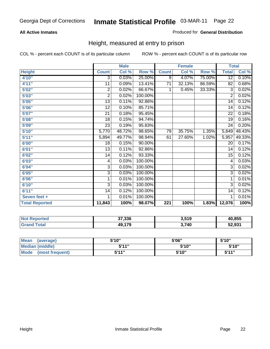#### **All Active Inmates**

#### Produced for **General Distribution**

### Height, measured at entry to prison

|                       |                 | <b>Male</b> |         |                 | <b>Female</b> |        | <b>Total</b>    |        |
|-----------------------|-----------------|-------------|---------|-----------------|---------------|--------|-----------------|--------|
| <b>Height</b>         | <b>Count</b>    | Col %       | Row %   | <b>Count</b>    | Col %         | Row %  | <b>Total</b>    | Col %  |
| 4'10"                 | $\overline{3}$  | 0.03%       | 25.00%  | $\overline{9}$  | 4.07%         | 75.00% | $\overline{12}$ | 0.10%  |
| 4'11''                | 11              | 0.09%       | 13.41%  | $\overline{71}$ | 32.13%        | 86.59% | 82              | 0.68%  |
| 5'02''                | $\overline{c}$  | 0.02%       | 66.67%  | 1               | 0.45%         | 33.33% | 3               | 0.02%  |
| 5'03"                 | 2               | 0.02%       | 100.00% |                 |               |        | $\overline{2}$  | 0.02%  |
| 5'05"                 | 13              | 0.11%       | 92.86%  |                 |               |        | $\overline{14}$ | 0.12%  |
| 5'06''                | 12              | 0.10%       | 85.71%  |                 |               |        | 14              | 0.12%  |
| 5'07''                | 21              | 0.18%       | 95.45%  |                 |               |        | $\overline{22}$ | 0.18%  |
| 5'08''                | $\overline{18}$ | 0.15%       | 94.74%  |                 |               |        | $\overline{19}$ | 0.16%  |
| 5'09''                | 23              | 0.19%       | 95.83%  |                 |               |        | 24              | 0.20%  |
| 5'10''                | 5,770           | 48.72%      | 98.65%  | 79              | 35.75%        | 1.35%  | 5,849           | 48.43% |
| 5'11''                | 5,894           | 49.77%      | 98.94%  | 61              | 27.60%        | 1.02%  | 5,957           | 49.33% |
| 6'00''                | 18              | 0.15%       | 90.00%  |                 |               |        | 20              | 0.17%  |
| 6'01''                | 13              | 0.11%       | 92.86%  |                 |               |        | 14              | 0.12%  |
| 6'02"                 | 14              | 0.12%       | 93.33%  |                 |               |        | $\overline{15}$ | 0.12%  |
| 6'03''                | 4               | 0.03%       | 100.00% |                 |               |        | 4               | 0.03%  |
| 6'04"                 | $\overline{3}$  | 0.03%       | 100.00% |                 |               |        | $\overline{3}$  | 0.02%  |
| 6'05''                | $\overline{3}$  | 0.03%       | 100.00% |                 |               |        | 3               | 0.02%  |
| 6'06"                 | 1               | 0.01%       | 100.00% |                 |               |        | 1               | 0.01%  |
| 6'10''                | $\overline{3}$  | 0.03%       | 100.00% |                 |               |        | $\overline{3}$  | 0.02%  |
| 6'11''                | 14              | 0.12%       | 100.00% |                 |               |        | $\overline{14}$ | 0.12%  |
| Seven feet +          | 1               | 0.01%       | 100.00% |                 |               |        | 1               | 0.01%  |
| <b>Total Reported</b> | 11,843          | 100%        | 98.07%  | 221             | 100%          | 1.83%  | 12,076          | 100%   |

| <b>Not</b><br><b>Reported</b> | 37,336 | 3,519       | 40,855 |
|-------------------------------|--------|-------------|--------|
| <b>Total</b>                  | 49,179 | 3 74በ<br>77 | 52,931 |

| <b>Mean</b><br>(average)       | 5'10" | 5'06" | 5'10''       |
|--------------------------------|-------|-------|--------------|
| Median (middle)                | 544 " | 5'10" | 5'10"        |
| <b>Mode</b><br>(most frequent) | 5'11" | 5'10" | <b>K'11"</b> |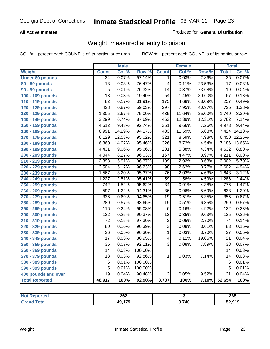#### **All Active Inmates**

#### Produced for **General Distribution**

### Weight, measured at entry to prison

|                        |                  | <b>Male</b> |         |                  | <b>Female</b> |                  | <b>Total</b>     |        |
|------------------------|------------------|-------------|---------|------------------|---------------|------------------|------------------|--------|
| <b>Weight</b>          | <b>Count</b>     | Col %       | Row %   | <b>Count</b>     | Col %         | Row <sup>%</sup> | <b>Total</b>     | Col %  |
| <b>Under 80 pounds</b> | $\overline{34}$  | 0.07%       | 97.14%  | 1                | 0.03%         | 2.86%            | $\overline{35}$  | 0.07%  |
| 80 - 89 pounds         | $\overline{13}$  | 0.03%       | 76.47%  | $\overline{4}$   | 0.11%         | 23.53%           | $\overline{17}$  | 0.03%  |
| 90 - 99 pounds         | $\overline{5}$   | 0.01%       | 26.32%  | $\overline{14}$  | 0.37%         | 73.68%           | $\overline{19}$  | 0.04%  |
| 100 - 109 pounds       | $\overline{13}$  | 0.03%       | 19.40%  | $\overline{54}$  | 1.45%         | 80.60%           | $\overline{67}$  | 0.13%  |
| 110 - 119 pounds       | $\overline{82}$  | 0.17%       | 31.91%  | 175              | 4.68%         | 68.09%           | $\overline{257}$ | 0.49%  |
| 120 - 129 pounds       | 428              | 0.87%       | 59.03%  | 297              | 7.95%         | 40.97%           | $\overline{725}$ | 1.38%  |
| 130 - 139 pounds       | 1,305            | 2.67%       | 75.00%  | 435              | 11.64%        | 25.00%           | 1,740            | 3.30%  |
| 140 - 149 pounds       | 3,299            | 6.74%       | 87.69%  | 463              | 12.39%        | 12.31%           | 3,762            | 7.14%  |
| 150 - 159 pounds       | 4,612            | 9.43%       | 92.74%  | 361              | 9.66%         | 7.26%            | 4,973            | 9.44%  |
| 160 - 169 pounds       | 6,991            | 14.29%      | 94.17%  | 433              | 11.59%        | 5.83%            | 7,424            | 14.10% |
| 170 - 179 pounds       | 6,129            | 12.53%      | 95.02%  | $\overline{321}$ | 8.59%         | 4.98%            | 6,450            | 12.25% |
| 180 - 189 pounds       | 6,860            | 14.02%      | 95.46%  | $\overline{326}$ | 8.72%         | 4.54%            | 7,186            | 13.65% |
| 190 - 199 pounds       | 4,431            | 9.06%       | 95.66%  | $\overline{201}$ | 5.38%         | 4.34%            | 4,632            | 8.80%  |
| 200 - 209 pounds       | 4,044            | 8.27%       | 96.03%  | 167              | 4.47%         | 3.97%            | 4,211            | 8.00%  |
| 210 - 219 pounds       | 2,893            | 5.91%       | 96.37%  | 109              | 2.92%         | 3.63%            | 3,002            | 5.70%  |
| 220 - 229 pounds       | 2,504            | 5.12%       | 96.23%  | $\overline{98}$  | 2.62%         | 3.77%            | 2,602            | 4.94%  |
| 230 - 239 pounds       | 1,567            | 3.20%       | 95.37%  | $\overline{76}$  | 2.03%         | 4.63%            | 1,643            | 3.12%  |
| 240 - 249 pounds       | 1,227            | 2.51%       | 95.41%  | $\overline{59}$  | 1.58%         | 4.59%            | 1,286            | 2.44%  |
| 250 - 259 pounds       | $\overline{742}$ | 1.52%       | 95.62%  | $\overline{34}$  | 0.91%         | 4.38%            | 776              | 1.47%  |
| 260 - 269 pounds       | 597              | 1.22%       | 94.31%  | $\overline{36}$  | 0.96%         | 5.69%            | 633              | 1.20%  |
| 270 - 279 pounds       | 336              | 0.69%       | 94.65%  | $\overline{19}$  | 0.51%         | 5.35%            | 355              | 0.67%  |
| 280 - 289 pounds       | 280              | 0.57%       | 93.65%  | $\overline{19}$  | 0.51%         | 6.35%            | 299              | 0.57%  |
| 290 - 299 pounds       | 116              | 0.24%       | 95.08%  | $\overline{6}$   | 0.16%         | 4.92%            | 122              | 0.23%  |
| 300 - 309 pounds       | 122              | 0.25%       | 90.37%  | $\overline{13}$  | 0.35%         | 9.63%            | 135              | 0.26%  |
| 310 - 319 pounds       | $\overline{72}$  | 0.15%       | 97.30%  | $\overline{2}$   | 0.05%         | 2.70%            | $\overline{74}$  | 0.14%  |
| 320 - 329 pounds       | 80               | 0.16%       | 96.39%  | $\overline{3}$   | 0.08%         | 3.61%            | 83               | 0.16%  |
| 330 - 339 pounds       | $\overline{26}$  | 0.05%       | 96.30%  | 1                | 0.03%         | 3.70%            | $\overline{27}$  | 0.05%  |
| 340 - 349 pounds       | $\overline{17}$  | 0.03%       | 80.95%  | $\overline{4}$   | 0.11%         | 19.05%           | $\overline{21}$  | 0.04%  |
| 350 - 359 pounds       | $\overline{35}$  | 0.07%       | 92.11%  | $\overline{3}$   | 0.08%         | 7.89%            | $\overline{38}$  | 0.07%  |
| 360 - 369 pounds       | 14               | 0.03%       | 100.00% |                  |               |                  | 14               | 0.03%  |
| 370 - 379 pounds       | 13               | 0.03%       | 92.86%  | 1                | 0.03%         | 7.14%            | 14               | 0.03%  |
| 380 - 389 pounds       | 6                | 0.01%       | 100.00% |                  |               |                  | 6                | 0.01%  |
| 390 - 399 pounds       | $\overline{5}$   | 0.01%       | 100.00% |                  |               |                  | $\overline{5}$   | 0.01%  |
| 400 pounds and over    | $\overline{19}$  | 0.04%       | 90.48%  | $\overline{2}$   | 0.05%         | 9.52%            | $\overline{21}$  | 0.04%  |
| <b>Total Reported</b>  | 48,917           | 100%        | 92.90%  | 3,737            | 100%          | 7.10%            | 52,654           | 100%   |

| Reported<br>' N∩t | 262         |       | 265    |
|-------------------|-------------|-------|--------|
| ⊺ota.<br>. Gr     | .470<br>49, | 3,740 | 52,919 |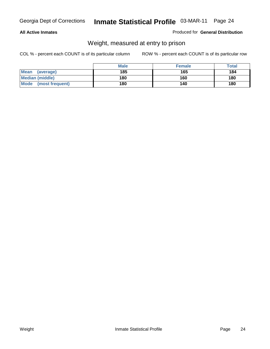#### **All Active Inmates**

#### Produced for **General Distribution**

### Weight, measured at entry to prison

|                                | <b>Male</b> | <b>Female</b> | Total |
|--------------------------------|-------------|---------------|-------|
| Mean<br>(average)              | 185         | 165           | 184   |
| <b>Median (middle)</b>         | 180         | 160           | 180   |
| <b>Mode</b><br>(most frequent) | 180         | 140           | 180   |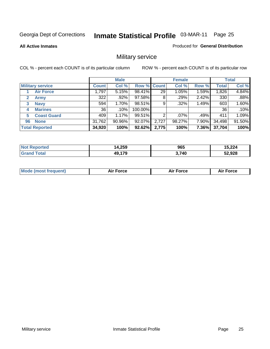**All Active Inmates**

Produced for **General Distribution**

### Military service

|                       |                         |              | <b>Male</b> |             |       | <b>Female</b> |       |              | <b>Total</b> |
|-----------------------|-------------------------|--------------|-------------|-------------|-------|---------------|-------|--------------|--------------|
|                       | <b>Military service</b> | <b>Count</b> | Col %       | Row % Count |       | Col %         | Row % | <b>Total</b> | Col %        |
|                       | <b>Air Force</b>        | 1,797        | 5.15%       | 98.41%      | 29    | 1.05%         | 1.59% | 1,826        | 4.84%        |
| $\mathbf{2}$          | <b>Army</b>             | 322          | .92%        | 97.58%      | 8     | .29%          | 2.42% | 330          | .88%         |
| 3                     | <b>Navy</b>             | 594          | 1.70%       | 98.51%      | 9     | .32%          | 1.49% | 603          | 1.60%        |
| 4                     | <b>Marines</b>          | 36           | .10%        | 100.00%     |       |               |       | 36           | .10%         |
| 5                     | <b>Coast Guard</b>      | 409          | 1.17%       | 99.51%      | 2     | $.07\%$       | .49%  | 411          | 1.09%        |
| 96                    | <b>None</b>             | 31,762       | 90.96%      | 92.07%      | 2,727 | 98.27%        | 7.90% | 34,498       | 91.50%       |
| <b>Total Reported</b> |                         | 34,920       | 100%        | 92.62%      | 2,775 | 100%          | 7.36% | 37,704       | 100%         |

| <b>rtea</b><br><b>NO1</b> | 14,259 | 965   | 5,224  |
|---------------------------|--------|-------|--------|
|                           | 49,179 | 3,740 | 52,928 |

| <b>Mode (most frequent)</b> | <b>Air Force</b> | $\lceil$ orce | ™orce |
|-----------------------------|------------------|---------------|-------|
|                             |                  |               |       |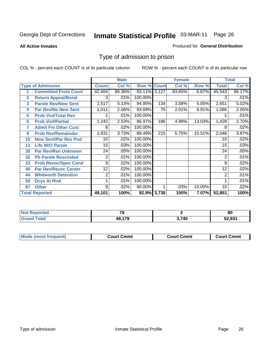**All Active Inmates**

#### Produced for **General Distribution**

### Type of admission to prison

|                |                             |              | <b>Male</b> |                    |     | <b>Female</b> |        |                    | <b>Total</b> |
|----------------|-----------------------------|--------------|-------------|--------------------|-----|---------------|--------|--------------------|--------------|
|                | <b>Type of Admission</b>    | <b>Count</b> | Col %       | <b>Row % Count</b> |     | Col %         | Row %  | <b>Total</b>       | Col %        |
|                | <b>Committed From Court</b> | 42,404       | 86.36%      | 93.11% 3,127       |     | 83.65%        | 6.87%  | 45,543             | 86.17%       |
| $\overline{2}$ | <b>Return Appeal/Bond</b>   | 3            | .01%        | $100.00\%$         |     |               |        | 3                  | .01%         |
| 3              | <b>Parole Rev/New Sent</b>  | 2,517        | 5.13%       | 94.95%             | 134 | 3.58%         | 5.05%  | 2,651              | 5.02%        |
| 4              | <b>Par Rev/No New Sent</b>  | 1,011        | 2.06%       | 93.09%             | 75  | 2.01%         | 6.91%  | 1,086              | 2.05%        |
| 5              | <b>Prob Viol/Total Rev</b>  |              | .01%        | 100.00%            |     |               |        |                    | .01%         |
| 6              | <b>Prob Viol/Partial</b>    | 1,242        | 2.53%       | 86.97%             | 186 | 4.98%         | 13.03% | 1,428              | 2.70%        |
| 7              | <b>Admit Fm Other Cust</b>  | 8            | $.02\%$     | 100.00%            |     |               |        | 8                  | .02%         |
| 9              | <b>Prob Rev/Remainder</b>   | 1,831        | 3.73%       | 89.49%             | 215 | 5.75%         | 10.51% | $\overline{2,046}$ | 3.87%        |
| 10             | <b>New Sent/Par Rev Pnd</b> | 10           | .02%        | 100.00%            |     |               |        | 10                 | .02%         |
| 11             | <b>Life W/O Parole</b>      | 15           | .03%        | 100.00%            |     |               |        | 15                 | .03%         |
| 30             | <b>Par Rev/Rsn Unknown</b>  | 24           | .05%        | 100.00%            |     |               |        | 24                 | .05%         |
| 32             | <b>Pb Parole Rescinded</b>  | 2            | .01%        | 100.00%            |     |               |        | 2                  | .01%         |
| 33             | <b>Prob Revoc/Spec Cond</b> | 9            | .02%        | 100.00%            |     |               |        | 9                  | .02%         |
| 40             | <b>Par Rev/Revoc Center</b> | 12           | $.02\%$     | 100.00%            |     |               |        | 12                 | .02%         |
| 44             | <b>Whitworth Detention</b>  | 2            | .01%        | 100.00%            |     |               |        | 2                  | .01%         |
| 50             | <b>Dcys At Risk</b>         |              | .01%        | 100.00%            |     |               |        |                    | .01%         |
| 97             | <b>Other</b>                | 9            | .02%        | 90.00%             |     | .03%          | 10.00% | 10                 | .02%         |
|                | <b>Total Reported</b>       | 49,101       | 100%        | 92.9% 3,738        |     | 100%          | 7.07%  | 52,851             | 100%         |

| <b>Not Reported</b> | $\overline{\phantom{a}}$ |       | or<br>οu |  |
|---------------------|--------------------------|-------|----------|--|
| <b>Total</b>        | 49 17 <sup>c</sup>       | 3,740 | 52,931   |  |

| <b>Mode (most frequent)</b><br><b>Court Cmmt</b><br>Court Cmmt | <b>Court Cmmt</b> |
|----------------------------------------------------------------|-------------------|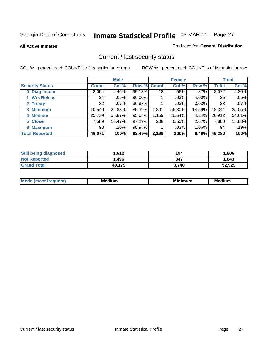**All Active Inmates**

#### Produced for **General Distribution**

### Current / last security status

|                        |         | <b>Male</b> |                    |       | <b>Female</b> |          |              | <b>Total</b> |
|------------------------|---------|-------------|--------------------|-------|---------------|----------|--------------|--------------|
| <b>Security Status</b> | Count l | Col %       | <b>Row % Count</b> |       | Col %         | Row %    | <b>Total</b> | Col %        |
| 0 Diag Incom           | 2,054   | 4.46%       | 99.13%             | 18    | $.56\%$       | $.87\%$  | 2,072        | 4.20%        |
| 1 Wrk Releas           | 24      | $.05\%$     | 96.00%             |       | $.03\%$       | $4.00\%$ | 25           | .05%         |
| 2 Trusty               | 32      | $.07\%$     | 96.97%             |       | .03%          | $3.03\%$ | 33           | .07%         |
| 3 Minimum              | 10,540  | 22.88%      | 85.39%             | 1,801 | 56.30%        | 14.59%   | 12,344       | 25.05%       |
| 4 Medium               | 25,739  | 55.87%      | 95.64%             | 1,169 | 36.54%        | $4.34\%$ | 26,912       | 54.61%       |
| 5 Close                | 7,589   | 16.47%      | 97.29%             | 208   | 6.50%         | 2.67%    | 7,800        | 15.83%       |
| <b>Maximum</b><br>6.   | 93      | .20%        | 98.94%             |       | .03%          | $1.06\%$ | 94           | .19%         |
| <b>Total Reported</b>  | 46,071  | 100%        | 93.49%             | 3,199 | 100%          | 6.49%    | 49,280       | 100%         |

| <b>Still being diagnosed</b> | .612   | 194   | .806   |
|------------------------------|--------|-------|--------|
| <b>Not Reported</b>          | .496   | 347   | 1,843  |
| <b>Grand Total</b>           | 49,179 | 3.740 | 52,929 |

| $M_{\Omega}$<br>יחב | M۵<br>dium | <b>BAL.</b><br>num | Mer<br>dium |
|---------------------|------------|--------------------|-------------|
|                     |            |                    |             |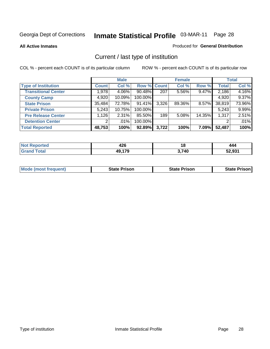**All Active Inmates**

#### Produced for **General Distribution**

### Current / last type of institution

|                            |                | <b>Male</b> |             |       | <b>Female</b> |          |              | <b>Total</b> |
|----------------------------|----------------|-------------|-------------|-------|---------------|----------|--------------|--------------|
| <b>Type of Institution</b> | <b>Count</b>   | Col %       | Row % Count |       | Col %         | Row %    | <b>Total</b> | Col %        |
| <b>Transitional Center</b> | 1,978          | 4.06%       | 90.48%      | 207   | 5.56%         | 9.47%    | 2,186        | 4.16%        |
| <b>County Camp</b>         | 4,920          | 10.09%      | 100.00%     |       |               |          | 4,920        | 9.37%        |
| <b>State Prison</b>        | 35,484         | 72.78%      | 91.41%      | 3,326 | 89.36%        | $8.57\%$ | 38,819       | 73.96%       |
| <b>Private Prison</b>      | 5,243          | 10.75%      | 100.00%     |       |               |          | 5,243        | 9.99%        |
| <b>Pre Release Center</b>  | 1,126          | $2.31\%$    | 85.50%      | 189   | 5.08%         | 14.35%   | 1,317        | 2.51%        |
| <b>Detention Center</b>    | $\overline{2}$ | $.01\%$     | 100.00%     |       |               |          |              | .01%         |
| <b>Total Reported</b>      | 48,753         | 100%        | 92.89%      | 3,722 | 100%          | 7.09%    | 52,487       | 100%         |

| τeα   |           | 4 C  |                |
|-------|-----------|------|----------------|
| N     | 440       |      | 444            |
| _____ | 470<br>лυ | 740, | EQ 004<br>. טע |

|  | <b>Mode (most frequent)</b> | <b>State Prison</b> | <b>State Prison</b> | <b>State Prison I</b> |
|--|-----------------------------|---------------------|---------------------|-----------------------|
|--|-----------------------------|---------------------|---------------------|-----------------------|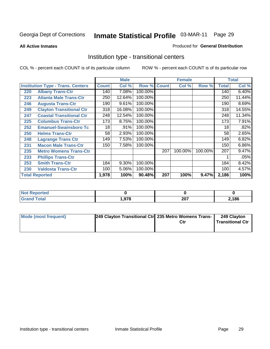#### **All Active Inmates**

#### Produced for **General Distribution**

### Institution type - transitional centers

|     |                                          |              | <b>Male</b> |         |              | <b>Female</b> |         |              | <b>Total</b> |
|-----|------------------------------------------|--------------|-------------|---------|--------------|---------------|---------|--------------|--------------|
|     | <b>Institution Type - Trans. Centers</b> | <b>Count</b> | Col %       | Row %   | <b>Count</b> | Col %         | Row %   | <b>Total</b> | Col %        |
| 220 | <b>Albany Trans-Ctr</b>                  | 140          | 7.08%       | 100.00% |              |               |         | 140          | 6.40%        |
| 223 | <b>Atlanta Male Trans-Ctr</b>            | 250          | 12.64%      | 100.00% |              |               |         | 250          | 11.44%       |
| 246 | <b>Augusta Trans-Ctr</b>                 | 190          | 9.61%       | 100.00% |              |               |         | 190          | 8.69%        |
| 249 | <b>Clayton Transitional Ctr</b>          | 318          | 16.08%      | 100.00% |              |               |         | 318          | 14.55%       |
| 247 | <b>Coastal Transitional Ctr</b>          | 248          | 12.54%      | 100.00% |              |               |         | 248          | 11.34%       |
| 225 | <b>Columbus Trans-Ctr</b>                | 173          | 8.75%       | 100.00% |              |               |         | 173          | 7.91%        |
| 252 | <b>Emanuel-Swainsboro Tc</b>             | 18           | .91%        | 100.00% |              |               |         | 18           | .82%         |
| 250 | <b>Helms Trans-Ctr</b>                   | 58           | 2.93%       | 100.00% |              |               |         | 58           | 2.65%        |
| 248 | <b>Lagrange Trans Ctr</b>                | 149          | 7.53%       | 100.00% |              |               |         | 149          | 6.82%        |
| 231 | <b>Macon Male Trans-Ctr</b>              | 150          | 7.58%       | 100.00% |              |               |         | 150          | 6.86%        |
| 235 | <b>Metro Womens Trans-Ctr</b>            |              |             |         | 207          | 100.00%       | 100.00% | 207          | 9.47%        |
| 233 | <b>Phillips Trans-Ctr</b>                |              |             |         |              |               |         |              | .05%         |
| 253 | <b>Smith Trans-Ctr</b>                   | 184          | 9.30%       | 100.00% |              |               |         | 184          | 8.42%        |
| 230 | <b>Valdosta Trans-Ctr</b>                | 100          | 5.06%       | 100.00% |              |               |         | 100          | 4.57%        |
|     | <b>Total Reported</b>                    | 1,978        | 100%        | 90.48%  | 207          | 100%          | 9.47%   | 2,186        | 100%         |

| <b>Reported</b> |      |             |      |  |
|-----------------|------|-------------|------|--|
| 'ota.           | .978 | כמפ<br>ZV I | ,186 |  |

| Mode (most frequent) | 249 Clayton Transitional Ctr 235 Metro Womens Trans- | 249 Clayton<br><b>Transitional Ctr</b> |
|----------------------|------------------------------------------------------|----------------------------------------|
|                      |                                                      |                                        |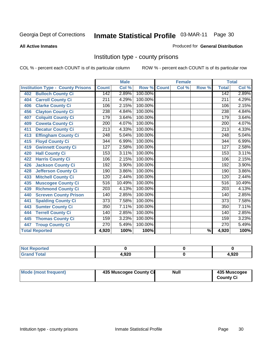#### **All Active Inmates**

#### Produced for **General Distribution**

### Institution type - county prisons

|                                          |                  | <b>Male</b> |         |              | <b>Female</b>             |                          |                  | <b>Total</b> |
|------------------------------------------|------------------|-------------|---------|--------------|---------------------------|--------------------------|------------------|--------------|
| <b>Institution Type - County Prisons</b> | <b>Count</b>     | Col %       | Row %   | <b>Count</b> | $\overline{\text{Col}}$ % | Row %                    | <b>Total</b>     | Col %        |
| <b>Bulloch County Ci</b><br>402          | 142              | 2.89%       | 100.00% |              |                           |                          | 142              | 2.89%        |
| <b>Carroll County Ci</b><br>404          | $\overline{211}$ | 4.29%       | 100.00% |              |                           |                          | 211              | 4.29%        |
| <b>Clarke County Ci</b><br>406           | 106              | 2.15%       | 100.00% |              |                           |                          | 106              | 2.15%        |
| <b>Clayton County Ci</b><br>456          | 238              | 4.84%       | 100.00% |              |                           |                          | 238              | 4.84%        |
| <b>Colquitt County Ci</b><br>407         | 179              | 3.64%       | 100.00% |              |                           |                          | 179              | 3.64%        |
| <b>Coweta County Ci</b><br>409           | 200              | 4.07%       | 100.00% |              |                           |                          | 200              | 4.07%        |
| <b>Decatur County Ci</b><br>411          | $\overline{213}$ | 4.33%       | 100.00% |              |                           |                          | $\overline{213}$ | 4.33%        |
| <b>Effingham County Ci</b><br>413        | 248              | 5.04%       | 100.00% |              |                           |                          | 248              | 5.04%        |
| <b>Floyd County Ci</b><br>415            | 344              | 6.99%       | 100.00% |              |                           |                          | 344              | 6.99%        |
| <b>Gwinnett County Ci</b><br>419         | $\overline{127}$ | 2.58%       | 100.00% |              |                           |                          | 127              | 2.58%        |
| <b>Hall County Ci</b><br>420             | 153              | 3.11%       | 100.00% |              |                           |                          | 153              | 3.11%        |
| <b>Harris County Ci</b><br>422           | 106              | 2.15%       | 100.00% |              |                           |                          | 106              | 2.15%        |
| <b>Jackson County Ci</b><br>426          | 192              | 3.90%       | 100.00% |              |                           |                          | 192              | 3.90%        |
| <b>Jefferson County Ci</b><br>428        | 190              | 3.86%       | 100.00% |              |                           |                          | 190              | 3.86%        |
| <b>Mitchell County Ci</b><br>433         | 120              | 2.44%       | 100.00% |              |                           |                          | 120              | 2.44%        |
| <b>Muscogee County Ci</b><br>435         | 516              | 10.49%      | 100.00% |              |                           |                          | 516              | 10.49%       |
| <b>Richmond County Ci</b><br>439         | $\overline{203}$ | 4.13%       | 100.00% |              |                           |                          | $\overline{203}$ | 4.13%        |
| <b>Screven County Prison</b><br>440      | 140              | 2.85%       | 100.00% |              |                           |                          | 140              | 2.85%        |
| <b>Spalding County Ci</b><br>441         | 373              | 7.58%       | 100.00% |              |                           |                          | $\overline{373}$ | 7.58%        |
| <b>Sumter County Ci</b><br>443           | 350              | 7.11%       | 100.00% |              |                           |                          | 350              | 7.11%        |
| <b>Terrell County Ci</b><br>444          | 140              | 2.85%       | 100.00% |              |                           |                          | 140              | 2.85%        |
| <b>Thomas County Ci</b><br>445           | 159              | 3.23%       | 100.00% |              |                           |                          | 159              | 3.23%        |
| <b>Troup County Ci</b><br>447            | 270              | 5.49%       | 100.00% |              |                           |                          | 270              | 5.49%        |
| <b>Total Reported</b>                    | 4,920            | 100%        | 100%    |              |                           | $\overline{\frac{9}{6}}$ | 4,920            | 100%         |

| <b>Not Reported</b>          |      |       |
|------------------------------|------|-------|
| <b>Total</b><br><b>Grand</b> | ,920 | 1,920 |

| <b>Mode (most frequent)</b><br>435 Muscogee County Ci | Null | 435 Muscogee<br><b>County Ci</b> |
|-------------------------------------------------------|------|----------------------------------|
|-------------------------------------------------------|------|----------------------------------|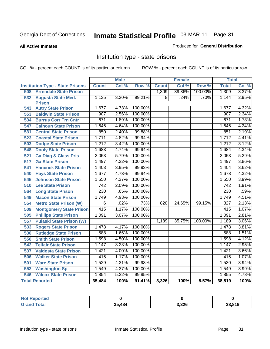**All Active Inmates**

#### Produced for **General Distribution**

### Institution type - state prisons

|                                         | <b>Male</b>      |       | <b>Female</b> |                |        | <b>Total</b> |                  |       |
|-----------------------------------------|------------------|-------|---------------|----------------|--------|--------------|------------------|-------|
| <b>Institution Type - State Prisons</b> | <b>Count</b>     | Col % | Row %         | <b>Count</b>   | Col %  | Row %        | <b>Total</b>     | Col % |
| <b>Arrendale State Prison</b><br>508    |                  |       |               | 1,309          | 39.36% | 100.00%      | 1,309            | 3.37% |
| 532<br><b>Augusta State Med.</b>        | 1,135            | 3.20% | 99.21%        | $\overline{8}$ | .24%   | .70%         | 1,144            | 2.95% |
| <b>Prison</b>                           |                  |       |               |                |        |              |                  |       |
| <b>Autry State Prison</b><br>543        | 1,677            | 4.73% | 100.00%       |                |        |              | 1,677            | 4.32% |
| <b>Baldwin State Prison</b><br>553      | 907              | 2.56% | 100.00%       |                |        |              | 907              | 2.34% |
| 534<br><b>Burrus Corr Trn Cntr</b>      | 671              | 1.89% | 100.00%       |                |        |              | 671              | 1.73% |
| <b>Calhoun State Prison</b><br>547      | 1,646            | 4.64% | 100.00%       |                |        |              | 1,646            | 4.24% |
| <b>Central State Prison</b><br>531      | 850              | 2.40% | 99.88%        |                |        |              | 851              | 2.19% |
| 523<br><b>Coastal State Prison</b>      | 1,711            | 4.82% | 99.94%        |                |        |              | 1,712            | 4.41% |
| 503<br><b>Dodge State Prison</b>        | 1,212            | 3.42% | 100.00%       |                |        |              | 1,212            | 3.12% |
| <b>Dooly State Prison</b><br>548        | 1,683            | 4.74% | 99.94%        |                |        |              | 1,684            | 4.34% |
| 521<br><b>Ga Diag &amp; Class Pris</b>  | 2,053            | 5.79% | 100.00%       |                |        |              | 2,053            | 5.29% |
| <b>Ga State Prison</b><br>517           | 1,497            | 4.22% | 100.00%       |                |        |              | 1,497            | 3.86% |
| <b>Hancock State Prison</b><br>541      | 1,403            | 3.95% | 99.93%        |                |        |              | 1,404            | 3.62% |
| <b>Hays State Prison</b><br>540         | 1,677            | 4.73% | 99.94%        |                |        |              | 1,678            | 4.32% |
| <b>Johnson State Prison</b><br>545      | 1,550            | 4.37% | 100.00%       |                |        |              | 1,550            | 3.99% |
| 510<br><b>Lee State Prison</b>          | $\overline{742}$ | 2.09% | 100.00%       |                |        |              | $\overline{742}$ | 1.91% |
| 564<br><b>Long State Prison</b>         | 230              | .65%  | 100.00%       |                |        |              | 230              | .59%  |
| <b>Macon State Prison</b><br>549        | 1,749            | 4.93% | 100.00%       |                |        |              | 1,749            | 4.51% |
| <b>Metro State Prison (W)</b><br>554    | $\overline{6}$   | .02%  | .73%          | 820            | 24.65% | 99.15%       | 827              | 2.13% |
| 509<br><b>Montgomery State Prison</b>   | 415              | 1.17% | 100.00%       |                |        |              | 415              | 1.07% |
| <b>Phillips State Prison</b><br>505     | 1,091            | 3.07% | 100.00%       |                |        |              | 1,091            | 2.81% |
| <b>Pulaski State Prison (W)</b><br>557  |                  |       |               | 1,189          | 35.75% | 100.00%      | 1,189            | 3.06% |
| <b>Rogers State Prison</b><br>533       | 1,478            | 4.17% | 100.00%       |                |        |              | 1,478            | 3.81% |
| <b>Rutledge State Prison</b><br>530     | 588              | 1.66% | 100.00%       |                |        |              | 588              | 1.51% |
| <b>Smith State Prison</b><br>550        | 1,598            | 4.50% | 100.00%       |                |        |              | 1,598            | 4.12% |
| 542<br><b>Telfair State Prison</b>      | 1,147            | 3.23% | 100.00%       |                |        |              | 1,147            | 2.95% |
| 537<br><b>Valdosta State Prison</b>     | 1,421            | 4.00% | 100.00%       |                |        |              | 1,421            | 3.66% |
| <b>Walker State Prison</b><br>506       | 415              | 1.17% | 100.00%       |                |        |              | 415              | 1.07% |
| <b>Ware State Prison</b><br>501         | 1,529            | 4.31% | 99.93%        |                |        |              | 1,530            | 3.94% |
| 552<br><b>Washington Sp</b>             | 1,549            | 4.37% | 100.00%       |                |        |              | 1,549            | 3.99% |
| <b>Wilcox State Prison</b><br>546       | 1,854            | 5.22% | 99.95%        |                |        |              | 1,855            | 4.78% |
| <b>Total Reported</b>                   | 35,484           | 100%  | 91.41%        | 3,326          | 100%   | 8.57%        | 38,819           | 100%  |

| <b>Not</b><br><b>orted</b> |        |       |        |
|----------------------------|--------|-------|--------|
| Total<br>Cror              | 35.484 | 3,326 | 38,819 |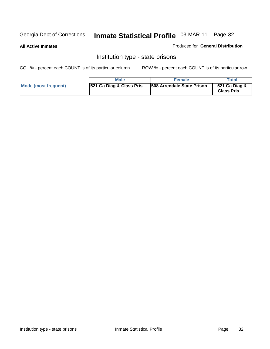#### **All Active Inmates**

Produced for **General Distribution**

### Institution type - state prisons

|                      | <b>Male</b>              | <b>Female</b>                     | Total                              |
|----------------------|--------------------------|-----------------------------------|------------------------------------|
| Mode (most frequent) | 521 Ga Diag & Class Pris | <b>508 Arrendale State Prison</b> | 521 Ga Diag &<br><b>Class Pris</b> |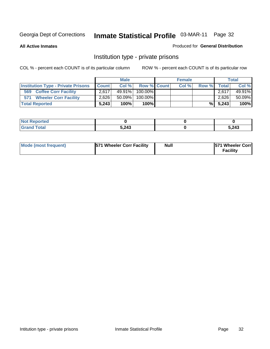**All Active Inmates**

#### Produced for **General Distribution**

### Institution type - private prisons

|                                           |              | <b>Male</b> |               | <b>Female</b> |       |       | <b>Total</b> |
|-------------------------------------------|--------------|-------------|---------------|---------------|-------|-------|--------------|
| <b>Institution Type - Private Prisons</b> | <b>Count</b> | Col %       | Row % Count   | Col %         | Row % | Total | Col %        |
| <b>Coffee Corr Facility</b><br>569        | 2.617        | $49.91\%$   | $100.00\%$    |               |       | 2,617 | 49.91%       |
| 571<br><b>Wheeler Corr Facility</b>       | 2.626        | 50.09%      | $100.00\%$    |               |       | 2.626 | 50.09%       |
| <b>Total Reported</b>                     | 5,243        | 100%        | 100% <b>I</b> |               | %     | 5,243 | 100%         |

| τeα                   |       |       |
|-----------------------|-------|-------|
| <b>otal</b><br>$\sim$ | 5,243 | 5,243 |

| Mode (most frequent) | 571 Wheeler Corr Facility | <b>Null</b> | <b>1571 Wheeler Corrl</b><br>Facility |
|----------------------|---------------------------|-------------|---------------------------------------|
|----------------------|---------------------------|-------------|---------------------------------------|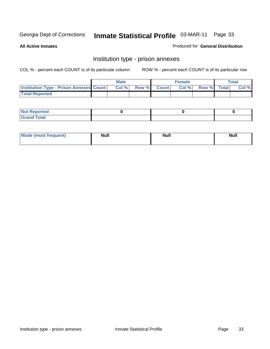**All Active Inmates**

#### Produced for **General Distribution**

### Institution type - prison annexes

|                                                | <b>Male</b> |             | <b>Female</b> |             | <b>Total</b> |
|------------------------------------------------|-------------|-------------|---------------|-------------|--------------|
| <b>Institution Type - Prison Annexes Count</b> | Col %       | Row % Count | Col%          | Row % Total | Col %        |
| <b>Total Reported</b>                          |             |             |               |             |              |

| <b>Not Reported</b>   |  |  |
|-----------------------|--|--|
| <b>Total</b><br>Grand |  |  |

| Mode (most frequent) | <b>Null</b> | <b>Null</b> | <b>Null</b> |
|----------------------|-------------|-------------|-------------|
|                      |             |             |             |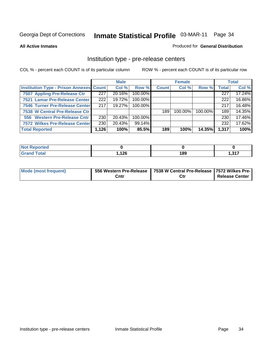#### **All Active Inmates**

#### Produced for **General Distribution**

#### Institution type - pre-release centers

|                                                |       | <b>Male</b> |            |              | <b>Female</b> |         |              | <b>Total</b> |
|------------------------------------------------|-------|-------------|------------|--------------|---------------|---------|--------------|--------------|
| <b>Institution Type - Prison Annexes Count</b> |       | Col %       | Row %      | <b>Count</b> | Col %         | Row %   | <b>Total</b> | Col %        |
| 7507 Appling Pre-Release Ctr                   | 227   | 20.16%      | 100.00%    |              |               |         | 227          | 17.24%       |
| 7521 Lamar Pre-Release Center                  | 222   | 19.72%      | $100.00\%$ |              |               |         | 222          | 16.86%       |
| 7546 Turner Pre-Release Center                 | 217   | 19.27%      | 100.00%    |              |               |         | 217          | 16.48%       |
| 7538 W Central Pre-Release Ctr                 |       |             |            | 189          | $100.00\%$    | 100.00% | 189          | 14.35%       |
| 556 Western Pre-Release Cntr                   | 230   | 20.43%      | 100.00%    |              |               |         | 230          | 17.46%       |
| 7572 Wilkes Pre-Release Center                 | 230   | 20.43%      | 99.14%     |              |               |         | 232          | 17.62%       |
| <b>Total Reported</b>                          | 1,126 | 100%        | 85.5%      | 189          | 100%          | 14.35%  | 1,317        | 100%         |

| Reported<br>NOI |      |     |                |
|-----------------|------|-----|----------------|
| <b>Total</b>    | 126. | 189 | 247<br>1.J I 1 |

| <b>Mode (most frequent)</b> |      | 556 Western Pre-Release   7538 W Central Pre-Release   7572 Wilkes Pre- |                       |
|-----------------------------|------|-------------------------------------------------------------------------|-----------------------|
|                             | Cntr | Ctr                                                                     | <b>Release Center</b> |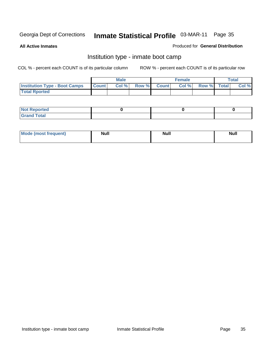**All Active Inmates**

#### Produced for **General Distribution**

### Institution type - inmate boot camp

|                                      |              | Male  |             | <b>Female</b> |             | $\tau$ otal |
|--------------------------------------|--------------|-------|-------------|---------------|-------------|-------------|
| <b>Institution Type - Boot Camps</b> | <b>Count</b> | Col % | Row % Count | Col %         | Row % Total | Col %       |
| <b>Total Rported</b>                 |              |       |             |               |             |             |

| <b>Not Reported</b>  |  |  |
|----------------------|--|--|
| <b>Total</b><br>Cusu |  |  |

| Mode (most frequent) | <b>Null</b> | <b>Null</b> | Null |
|----------------------|-------------|-------------|------|
|                      |             |             |      |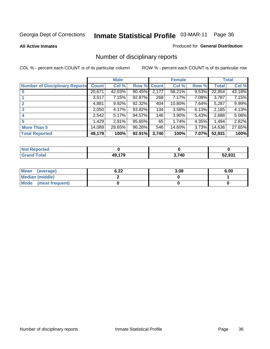**All Active Inmates**

### Produced for **General Distribution**

# Number of disciplinary reports

|                                       |              | <b>Male</b> |        |              | <b>Female</b> |          |              | <b>Total</b> |
|---------------------------------------|--------------|-------------|--------|--------------|---------------|----------|--------------|--------------|
| <b>Number of Disciplinary Reports</b> | <b>Count</b> | Col %       | Row %  | <b>Count</b> | Col %         | Row %    | <b>Total</b> | Col %        |
|                                       | 20,671       | 42.03%      | 90.45% | 2,177        | 58.21%        | 9.53%    | 22,854       | 43.18%       |
|                                       | 3,517        | 7.15%       | 92.87% | 268          | 7.17%         | 7.08%    | 3,787        | 7.15%        |
| 2                                     | 4,881        | $9.92\%$    | 92.32% | 404          | 10.80%        | $7.64\%$ | 5,287        | 9.99%        |
| 3                                     | 2,050        | 4.17%       | 93.82% | 134          | 3.58%         | 6.13%    | 2,185        | 4.13%        |
|                                       | 2,542        | 5.17%       | 94.57% | 146          | 3.90%         | $5.43\%$ | 2,688        | 5.08%        |
| 5                                     | .429         | $2.91\%$    | 95.65% | 65           | 1.74%         | 4.35%    | 1,494        | 2.82%        |
| <b>More Than 5</b>                    | 14,089       | 28.65%      | 96.26% | 546          | 14.60%        | 3.73%    | 14,636       | 27.65%       |
| <b>Total Reported</b>                 | 49,179       | 100%        | 92.91% | 3,740        | 100%          | 7.07%    | 52,931       | 100%         |

| orted<br>NO  |           |       |                       |
|--------------|-----------|-------|-----------------------|
| <b>Total</b> | 170<br>ЛC | 3,740 | <b>EQ 024</b><br>.931 |

| Mean (average)       | 6.22 | 3.08 | 6.00 |
|----------------------|------|------|------|
| Median (middle)      |      |      |      |
| Mode (most frequent) |      |      |      |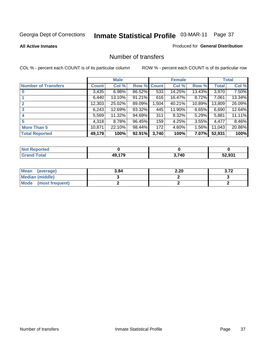### **All Active Inmates**

### Produced for **General Distribution**

## Number of transfers

|                            |         | <b>Male</b> |        |              | <b>Female</b> |          |              | <b>Total</b> |
|----------------------------|---------|-------------|--------|--------------|---------------|----------|--------------|--------------|
| <b>Number of Transfers</b> | Count l | Col %       | Row %  | <b>Count</b> | Col %         | Row %    | <b>Total</b> | Col %        |
|                            | 3,435   | 6.98%       | 86.52% | 533          | 14.25%        | 13.43%   | 3,970        | 7.50%        |
|                            | 6,440   | $13.10\%$   | 91.21% | 616          | 16.47%        | 8.72%    | 7,061        | 13.34%       |
|                            | 12,303  | 25.02%      | 89.09% | 1,504        | 40.21%        | 10.89%   | 13,809       | 26.09%       |
| 3                          | 6,243   | 12.69%      | 93.32% | 445          | 11.90%        | 6.65%    | 6,690        | 12.64%       |
|                            | 5,569   | $11.32\%$   | 94.69% | 311          | 8.32%         | $5.29\%$ | 5,881        | 11.11%       |
| 5                          | 4,318   | 8.78%       | 96.45% | 159          | 4.25%         | $3.55\%$ | 4,477        | 8.46%        |
| <b>More Than 5</b>         | 10,871  | 22.10%      | 98.44% | 172          | 4.60%         | $1.56\%$ | 11,043       | 20.86%       |
| <b>Total Reported</b>      | 49,179  | 100%        | 92.91% | 3,740        | 100%          | 7.07%    | 52,931       | 100%         |

| ---<br>N        |           |      |        |
|-----------------|-----------|------|--------|
| fote'<br>______ | 470<br>ЛC | ,740 | EQ 004 |

| Mean (average)       | 3.84 | 2.20 | 3.72 |
|----------------------|------|------|------|
| Median (middle)      |      |      |      |
| Mode (most frequent) |      |      |      |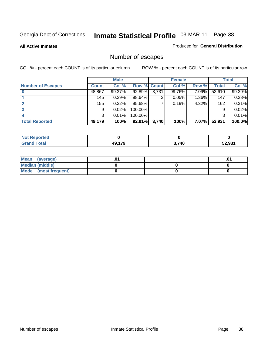**All Active Inmates**

### Produced for **General Distribution**

# Number of escapes

|                          |              | <b>Male</b> |                    |       | <b>Female</b> |          |        | <b>Total</b> |
|--------------------------|--------------|-------------|--------------------|-------|---------------|----------|--------|--------------|
| <b>Number of Escapes</b> | <b>Count</b> | Col %       | <b>Row % Count</b> |       | Col %         | Row %    | Total  | Col %        |
|                          | 48,867       | 99.37%      | 92.89%             | 3,731 | 99.76%        | 7.09%    | 52,610 | 99.39%       |
|                          | 145          | 0.29%       | 98.64%             | ◠     | 0.05%         | $1.36\%$ | 147    | 0.28%        |
|                          | 155          | 0.32%       | 95.68%             |       | 0.19%         | 4.32%    | 162    | 0.31%        |
|                          | 9            | 0.02%       | 100.00%            |       |               |          | 9      | 0.02%        |
|                          | 3            | 0.01%       | $100.00\%$         |       |               |          | 3      | 0.01%        |
| <b>Total Reported</b>    | 49,179       | 100%        | 92.91%             | 3,740 | 100%          | 7.07%    | 52,931 | 100.0%       |

| <b>Not Reported</b> |     |      |       |
|---------------------|-----|------|-------|
| <b>Total</b>        | 170 | 740. | 2.931 |

| Mean (average)       |  | ו ש. |
|----------------------|--|------|
| Median (middle)      |  |      |
| Mode (most frequent) |  |      |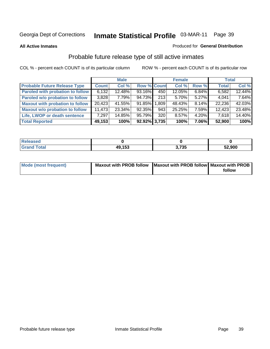### **All Active Inmates**

### Produced for **General Distribution**

# Probable future release type of still active inmates

|                                         |        | <b>Male</b> |                    |                    | <b>Female</b> |          | <b>Total</b> |        |
|-----------------------------------------|--------|-------------|--------------------|--------------------|---------------|----------|--------------|--------|
| <b>Probable Future Release Type</b>     | Count  | Col %       | <b>Row % Count</b> |                    | Col %         | Row %    | <b>Total</b> | Col %  |
| <b>Paroled with probation to follow</b> | 6,132  | 12.48%      | 93.16%             | 450                | 12.05%        | $6.84\%$ | 6,582        | 12.44% |
| Paroled w/o probation to follow         | 3.828  | 7.79%       | 94.73%             | 213                | $5.70\%$      | $5.27\%$ | 4,041        | 7.64%  |
| <b>Maxout with probation to follow</b>  | 20,423 | 41.55%      | $91.85\%$          | 1.809 <sup>1</sup> | 48.43%        | $8.14\%$ | 22.236       | 42.03% |
| <b>Maxout w/o probation to follow</b>   | 11,473 | 23.34%      | 92.35%             | 943                | 25.25%        | $7.59\%$ | 12,423       | 23.48% |
| Life, LWOP or death sentence            | 7,297  | 14.85%      | 95.79%             | 320                | 8.57%         | $4.20\%$ | 7,618        | 14.40% |
| <b>Total Reported</b>                   | 49,153 | 100%        | 92.92% 3.735       |                    | 100%          | 7.06%    | 52,900       | 100%   |

| <b>Sed</b>          |        |                  |        |
|---------------------|--------|------------------|--------|
| <b>Total</b><br>Cro | 49,153 | המד ה<br>J, I JJ | 52,900 |

| Mode (most frequent) | Maxout with PROB follow   Maxout with PROB follow   Maxout with PROB |        |
|----------------------|----------------------------------------------------------------------|--------|
|                      |                                                                      | follow |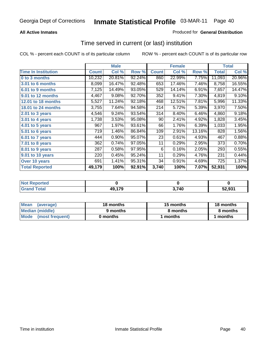## **All Active Inmates**

## Produced for **General Distribution**

## Time served in current (or last) institution

|                              |              | <b>Male</b> |        |              | <b>Female</b> |        |              | <b>Total</b> |
|------------------------------|--------------|-------------|--------|--------------|---------------|--------|--------------|--------------|
| <b>Time In Institution</b>   | <b>Count</b> | Col %       | Row %  | <b>Count</b> | Col %         | Row %  | <b>Total</b> | Col %        |
| 0 to 3 months                | 10,232       | 20.81%      | 92.24% | 860          | 22.99%        | 7.75%  | 11,093       | 20.96%       |
| <b>3.01 to 6 months</b>      | 8,099        | 16.47%      | 92.48% | 653          | 17.46%        | 7.46%  | 8,758        | 16.55%       |
| 6.01 to 9 months             | 7,125        | 14.49%      | 93.05% | 529          | 14.14%        | 6.91%  | 7,657        | 14.47%       |
| 9.01 to 12 months            | 4,467        | 9.08%       | 92.70% | 352          | 9.41%         | 7.30%  | 4,819        | 9.10%        |
| <b>12.01 to 18 months</b>    | 5,527        | 11.24%      | 92.18% | 468          | 12.51%        | 7.81%  | 5,996        | 11.33%       |
| <b>18.01 to 24 months</b>    | 3,755        | 7.64%       | 94.58% | 214          | 5.72%         | 5.39%  | 3,970        | 7.50%        |
| 2.01 to 3 years              | 4,546        | 9.24%       | 93.54% | 314          | 8.40%         | 6.46%  | 4,860        | 9.18%        |
| 3.01 to 4 years              | 1,738        | 3.53%       | 95.08% | 90           | 2.41%         | 4.92%  | 1,828        | 3.45%        |
| $\overline{4.01}$ to 5 years | 967          | 1.97%       | 93.61% | 66           | 1.76%         | 6.39%  | 1,033        | 1.95%        |
| 5.01 to 6 years              | 719          | 1.46%       | 86.84% | 109          | 2.91%         | 13.16% | 828          | 1.56%        |
| $6.01$ to 7 years            | 444          | 0.90%       | 95.07% | 23           | 0.61%         | 4.93%  | 467          | 0.88%        |
| 7.01 to 8 years              | 362          | 0.74%       | 97.05% | 11           | 0.29%         | 2.95%  | 373          | 0.70%        |
| 8.01 to 9 years              | 287          | 0.58%       | 97.95% | 6            | 0.16%         | 2.05%  | 293          | 0.55%        |
| 9.01 to 10 years             | 220          | 0.45%       | 95.24% | 11           | 0.29%         | 4.76%  | 231          | 0.44%        |
| Over 10 years                | 691          | 1.41%       | 95.31% | 34           | 0.91%         | 4.69%  | 725          | 1.37%        |
| <b>Total Reported</b>        | 49,179       | 100%        | 92.91% | 3,740        | 100%          | 7.07%  | 52,931       | 100%         |

| <b>Not Reported</b> |        |       |        |
|---------------------|--------|-------|--------|
| <b>Total</b>        | 49,179 | 3,740 | 2.931ء |

| Mean<br>(average)       | 18 months | 15 months | 18 months |
|-------------------------|-----------|-----------|-----------|
| Median (middle)         | 9 months  | 8 months  | 8 months  |
| Mode<br>(most frequent) | 0 months  | 1 months  | months    |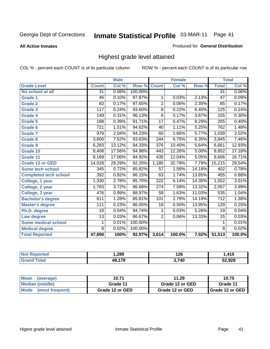**All Active Inmates**

### Produced for **General Distribution**

## Highest grade level attained

|                              |                 | <b>Male</b> |         |                  | <b>Female</b>             |        |                  | <b>Total</b> |
|------------------------------|-----------------|-------------|---------|------------------|---------------------------|--------|------------------|--------------|
| <b>Grade Level</b>           | <b>Count</b>    | Col %       | Row %   | <b>Count</b>     | $\overline{\text{Col}}$ % | Row %  | <b>Total</b>     | Col %        |
| No school at all             | 31              | 0.06%       | 100.00% |                  |                           |        | $\overline{31}$  | 0.06%        |
| <b>Grade 1</b>               | 46              | 0.10%       | 97.87%  | 1                | 0.03%                     | 2.13%  | $\overline{47}$  | 0.09%        |
| <b>Grade 2</b>               | $\overline{83}$ | 0.17%       | 97.65%  | $\overline{2}$   | 0.06%                     | 2.35%  | 85               | 0.17%        |
| <b>Grade 3</b>               | 117             | 0.24%       | 93.60%  | $\overline{8}$   | 0.22%                     | 6.40%  | 125              | 0.24%        |
| <b>Grade 4</b>               | 149             | 0.31%       | 96.13%  | $\overline{6}$   | 0.17%                     | 3.87%  | 155              | 0.30%        |
| Grade 5                      | 188             | 0.39%       | 91.71%  | $\overline{17}$  | 0.47%                     | 8.29%  | $\overline{205}$ | 0.40%        |
| Grade 6                      | 721             | 1.51%       | 94.62%  | 40               | 1.11%                     | 5.25%  | 762              | 1.48%        |
| <b>Grade 7</b>               | 979             | 2.04%       | 94.23%  | 60               | 1.66%                     | 5.77%  | 1,039            | 2.02%        |
| <b>Grade 8</b>               | 3,600           | 7.52%       | 93.63%  | 244              | 6.75%                     | 6.35%  | 3,845            | 7.46%        |
| Grade 9                      | 6,283           | 13.12%      | 94.33%  | 376              | 10.40%                    | 5.64%  | 6,661            | 12.93%       |
| Grade 10                     | 8,408           | 17.56%      | 94.98%  | $\overline{443}$ | 12.26%                    | 5.00%  | 8,852            | 17.18%       |
| Grade 11                     | 8,169           | 17.06%      | 94.92%  | 435              | 12.04%                    | 5.05%  | 8,606            | 16.71%       |
| <b>Grade 12 or GED</b>       | 14,028          | 29.29%      | 92.20%  | 1,185            | 32.79%                    | 7.79%  | 15,215           | 29.54%       |
| <b>Some tech school</b>      | 345             | 0.72%       | 85.82%  | $\overline{57}$  | 1.58%                     | 14.18% | 402              | 0.78%        |
| <b>Completed tech school</b> | 392             | 0.82%       | 86.15%  | 63               | 1.74%                     | 13.85% | 455              | 0.88%        |
| College, 1 year              | 1,330           | 2.78%       | 85.70%  | 222              | 6.14%                     | 14.30% | 1,552            | 3.01%        |
| College, 2 year              | 1,783           | 3.72%       | 86.68%  | $\overline{274}$ | 7.58%                     | 13.32% | 2,057            | 3.99%        |
| College, 3 year              | 476             | 0.99%       | 88.97%  | 59               | 1.63%                     | 11.03% | 535              | 1.04%        |
| <b>Bachelor's degree</b>     | 611             | 1.28%       | 85.81%  | 101              | 2.79%                     | 14.19% | $\overline{712}$ | 1.38%        |
| <b>Master's degree</b>       | 111             | 0.23%       | 86.05%  | 18               | 0.50%                     | 13.95% | 129              | 0.25%        |
| Ph.D. degree                 | 18              | 0.04%       | 94.74%  | 1                | 0.03%                     | 5.26%  | 19               | 0.04%        |
| Law degree                   | $\overline{13}$ | 0.03%       | 86.67%  | $\overline{2}$   | 0.06%                     | 13.33% | $\overline{15}$  | 0.03%        |
| <b>Some medical school</b>   | 1               | 0.01%       | 100.00% |                  |                           |        | 1                | 0.01%        |
| <b>Medical degree</b>        | 8               | 0.02%       | 100.00% |                  |                           |        | $\overline{8}$   | 0.02%        |
| <b>Total Reported</b>        | 47,890          | 100%        | 92.97%  | 3,614            | 100.0%                    | 7.02%  | 51,513           | 100.0%       |

| ,289  | 126   | . <i>A</i> 15<br>- 19 |
|-------|-------|-----------------------|
| 1 7 O | הול י | 52.928                |

| <b>Mean</b><br>(average)       | 10.71           | 11.29           | 10.75             |
|--------------------------------|-----------------|-----------------|-------------------|
| Median (middle)                | Grade 11        | Grade 12 or GED | Grade 11          |
| <b>Mode</b><br>(most frequent) | Grade 12 or GED | Grade 12 or GED | I Grade 12 or GED |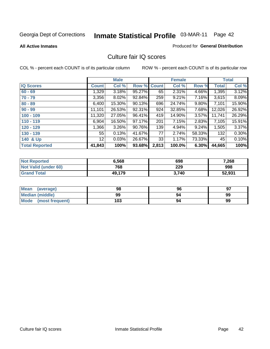**All Active Inmates**

### Produced for **General Distribution**

## Culture fair IQ scores

|                       |              | <b>Male</b> |        |              | <b>Female</b> |                 |              | <b>Total</b> |
|-----------------------|--------------|-------------|--------|--------------|---------------|-----------------|--------------|--------------|
| <b>IQ Scores</b>      | <b>Count</b> | Col %       | Row %  | <b>Count</b> | Col %         | Row %           | <b>Total</b> | Col %        |
| $60 - 69$             | 1,329        | $3.18\%$    | 95.27% | 65           | 2.31%         | 4.66%           | 1,395        | 3.12%        |
| $70 - 79$             | 3,356        | $8.02\%$    | 92.84% | 259          | 9.21%         | 7.16%           | 3,615        | 8.09%        |
| $80 - 89$             | 6,400        | 15.30%      | 90.13% | 696          | 24.74%        | $9.80\%$        | 7,101        | 15.90%       |
| $90 - 99$             | 11,101       | 26.53%      | 92.31% | 924          | 32.85%        | 7.68%           | 12,026       | 26.92%       |
| $100 - 109$           | 11,320       | 27.05%      | 96.41% | 419          | 14.90%        | 3.57%           | 11,741       | 26.29%       |
| $110 - 119$           | 6,904        | 16.50%      | 97.17% | 201          | 7.15%         | 2.83%           | 7,105        | 15.91%       |
| $120 - 129$           | 1,366        | 3.26%       | 90.76% | 139          | 4.94%         | $9.24\%$        | 1,505        | 3.37%        |
| $130 - 139$           | 55           | 0.13%       | 41.67% | 77           | 2.74%         | 58.33%          | 132          | $0.30\%$     |
| 140 & Up              | 12           | 0.03%       | 26.67% | 33           | 1.17%         | 73.33% <b>I</b> | 45           | 0.10%        |
| <b>Total Reported</b> | 41,843       | 100%        | 93.68% | 2,813        | 100.0%        | $6.30\%$        | 44,665       | 100%         |

| <b>Not Reported</b>  | 6,568  | 698   | 7,268  |
|----------------------|--------|-------|--------|
| Not Valid (under 60) | 768    | 229   | 998    |
| <b>Grand Total</b>   | 49,179 | 3.740 | 52,931 |

| <b>Mean</b><br>(average) | 98  | 96 | 97 |
|--------------------------|-----|----|----|
| Median (middle)          | 99  | 94 | 99 |
| Mode (most frequent)     | 103 | 94 | 99 |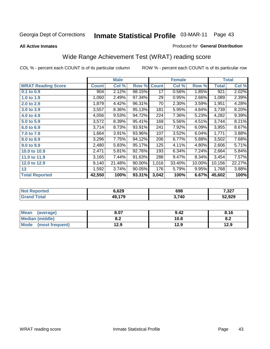### **All Active Inmates**

### Produced for **General Distribution**

# Wide Range Achievement Test (WRAT) reading score

|                           |              | <b>Male</b> |        |              | <b>Female</b> |        |              | <b>Total</b> |
|---------------------------|--------------|-------------|--------|--------------|---------------|--------|--------------|--------------|
| <b>WRAT Reading Score</b> | <b>Count</b> | Col %       | Row %  | <b>Count</b> | Col %         | Row %  | <b>Total</b> | Col %        |
| 0.1 to 0.9                | 904          | 2.12%       | 98.15% | 17           | 0.56%         | 1.85%  | 921          | 2.02%        |
| 1.0 to 1.9                | 1,060        | 2.49%       | 97.34% | 29           | 0.95%         | 2.66%  | 1,089        | 2.39%        |
| 2.0 to 2.9                | 1,879        | 4.42%       | 96.31% | 70           | 2.30%         | 3.59%  | 1,951        | 4.28%        |
| 3.0 to 3.9                | 3,557        | 8.36%       | 95.13% | 181          | 5.95%         | 4.84%  | 3,739        | 8.20%        |
| 4.0 to 4.9                | 4,056        | 9.53%       | 94.72% | 224          | 7.36%         | 5.23%  | 4,282        | 9.39%        |
| 5.0 to 5.9                | 3,572        | 8.39%       | 95.41% | 169          | 5.56%         | 4.51%  | 3,744        | 8.21%        |
| 6.0 to 6.9                | 3,714        | 8.73%       | 93.91% | 241          | 7.92%         | 6.09%  | 3,955        | 8.67%        |
| 7.0 to 7.9                | 1,664        | 3.91%       | 93.96% | 107          | 3.52%         | 6.04%  | 1,771        | 3.88%        |
| 8.0 to 8.9                | 3,296        | 7.75%       | 94.12% | 206          | 6.77%         | 5.88%  | 3,502        | 7.68%        |
| 9.0 to 9.9                | 2,480        | 5.83%       | 95.17% | 125          | 4.11%         | 4.80%  | 2,606        | 5.71%        |
| 10.0 to 10.9              | 2,471        | 5.81%       | 92.76% | 193          | 6.34%         | 7.24%  | 2,664        | 5.84%        |
| 11.0 to 11.9              | 3,165        | 7.44%       | 91.63% | 288          | 9.47%         | 8.34%  | 3,454        | 7.57%        |
| 12.0 to 12.9              | 9,140        | 21.48%      | 90.00% | 1,016        | 33.40%        | 10.00% | 10,156       | 22.27%       |
| 13                        | 1,592        | 3.74%       | 90.05% | 176          | 5.79%         | 9.95%  | 1,768        | 3.88%        |
| <b>Total Reported</b>     | 42,550       | 100%        | 93.31% | 3,042        | 100%          | 6.67%  | 45,602       | 100%         |

| NG | ን.629           | 698   | 7,327  |
|----|-----------------|-------|--------|
|    | <b>470</b><br>. | 3,740 | 52,929 |

| <b>Mean</b><br>(average) | 8.07       | 9.42 | 8.16       |
|--------------------------|------------|------|------------|
| <b>Median (middle)</b>   | ה ה<br>o.z | 10.8 | о о<br>O.A |
| Mode<br>(most frequent)  | 12.9       | 12.9 | 12.9       |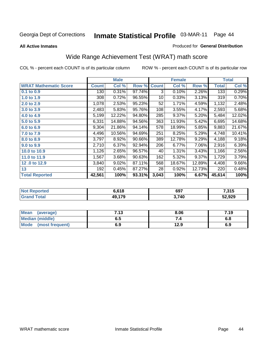**All Active Inmates**

### Produced for **General Distribution**

# Wide Range Achievement Test (WRAT) math score

|                              |              | <b>Male</b> |        |              | <b>Female</b> |        |              | <b>Total</b> |
|------------------------------|--------------|-------------|--------|--------------|---------------|--------|--------------|--------------|
| <b>WRAT Mathematic Score</b> | <b>Count</b> | Col %       | Row %  | <b>Count</b> | Col %         | Row %  | <b>Total</b> | Col %        |
| 0.1 to 0.9                   | 130          | 0.31%       | 97.74% | 3            | 0.10%         | 2.26%  | 133          | 0.29%        |
| 1.0 to 1.9                   | 308          | 0.72%       | 96.55% | 10           | 0.33%         | 3.13%  | 319          | 0.70%        |
| 2.0 to 2.9                   | 1,078        | 2.53%       | 95.23% | 52           | 1.71%         | 4.59%  | 1,132        | 2.48%        |
| 3.0 to 3.9                   | 2,483        | 5.83%       | 95.76% | 108          | 3.55%         | 4.17%  | 2,593        | 5.68%        |
| 4.0 to 4.9                   | 5,199        | 12.22%      | 94.80% | 285          | 9.37%         | 5.20%  | 5,484        | 12.02%       |
| 5.0 to 5.9                   | 6,331        | 14.88%      | 94.56% | 363          | 11.93%        | 5.42%  | 6,695        | 14.68%       |
| 6.0 to 6.9                   | 9,304        | 21.86%      | 94.14% | 578          | 18.99%        | 5.85%  | 9,883        | 21.67%       |
| 7.0 to 7.9                   | 4,496        | 10.56%      | 94.69% | 251          | 8.25%         | 5.29%  | 4,748        | 10.41%       |
| 8.0 to 8.9                   | 3,797        | 8.92%       | 90.66% | 389          | 12.78%        | 9.29%  | 4,188        | 9.18%        |
| 9.0 to 9.9                   | 2,710        | 6.37%       | 92.94% | 206          | 6.77%         | 7.06%  | 2,916        | 6.39%        |
| 10.0 to 10.9                 | 1,126        | 2.65%       | 96.57% | 40           | 1.31%         | 3.43%  | 1,166        | 2.56%        |
| 11.0 to 11.9                 | 1,567        | 3.68%       | 90.63% | 162          | 5.32%         | 9.37%  | 1,729        | 3.79%        |
| 12.0 to 12.9                 | 3,840        | 9.02%       | 87.11% | 568          | 18.67%        | 12.89% | 4,408        | 9.66%        |
| 13                           | 192          | 0.45%       | 87.27% | 28           | 0.92%         | 12.73% | 220          | 0.48%        |
| <b>Total Reported</b>        | 42,561       | 100%        | 93.31% | 3,043        | 100%          | 6.67%  | 45,614       | 100%         |

| orted<br>NO. | 6.618       | 697   | 7,315  |
|--------------|-------------|-------|--------|
| $\sim$<br>Gr | .179<br>AO. | 3,740 | 52,929 |

| <b>Mean</b><br>(average)       | 712<br>. | 8.06 | 7.19 |
|--------------------------------|----------|------|------|
| Median (middle)                | ნ. O     |      | o.o  |
| <b>Mode</b><br>(most frequent) | 6.9      | 12.9 | 6.9  |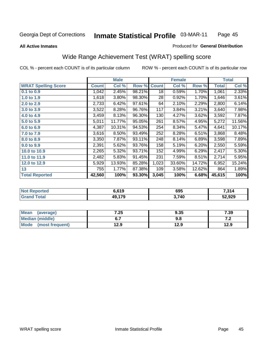**All Active Inmates**

### Produced for **General Distribution**

## Wide Range Achievement Test (WRAT) spelling score

|                            |              | <b>Male</b> |        |              | <b>Female</b> |        |              | <b>Total</b> |
|----------------------------|--------------|-------------|--------|--------------|---------------|--------|--------------|--------------|
| <b>WRAT Spelling Score</b> | <b>Count</b> | Col %       | Row %  | <b>Count</b> | Col %         | Row %  | <b>Total</b> | Col %        |
| 0.1 to 0.9                 | 1,042        | 2.45%       | 98.21% | 18           | 0.59%         | 1.70%  | 1,061        | 2.33%        |
| 1.0 to 1.9                 | 1,618        | 3.80%       | 98.30% | 28           | 0.92%         | 1.70%  | 1,646        | 3.61%        |
| 2.0 to 2.9                 | 2,733        | 6.42%       | 97.61% | 64           | 2.10%         | 2.29%  | 2,800        | 6.14%        |
| 3.0 to 3.9                 | 3,522        | 8.28%       | 96.76% | 117          | 3.84%         | 3.21%  | 3,640        | 7.98%        |
| 4.0 to 4.9                 | 3,459        | 8.13%       | 96.30% | 130          | 4.27%         | 3.62%  | 3,592        | 7.87%        |
| 5.0 to 5.9                 | 5,011        | 11.77%      | 95.05% | 261          | 8.57%         | 4.95%  | 5,272        | 11.56%       |
| 6.0 to 6.9                 | 4,387        | 10.31%      | 94.53% | 254          | 8.34%         | 5.47%  | 4,641        | 10.17%       |
| 7.0 to 7.9                 | 3,616        | 8.50%       | 93.49% | 252          | 8.28%         | 6.51%  | 3,868        | 8.48%        |
| 8.0 to 8.9                 | 3,350        | 7.87%       | 93.11% | 248          | 8.14%         | 6.89%  | 3,598        | 7.89%        |
| 9.0 to 9.9                 | 2,391        | 5.62%       | 93.76% | 158          | 5.19%         | 6.20%  | 2,550        | 5.59%        |
| 10.0 to 10.9               | 2,265        | 5.32%       | 93.71% | 152          | 4.99%         | 6.29%  | 2,417        | 5.30%        |
| 11.0 to 11.9               | 2,482        | 5.83%       | 91.45% | 231          | 7.59%         | 8.51%  | 2,714        | 5.95%        |
| 12.0 to 12.9               | 5,929        | 13.93%      | 85.28% | 1,023        | 33.60%        | 14.72% | 6,952        | 15.24%       |
| 13                         | 755          | 1.77%       | 87.38% | 109          | 3.58%         | 12.62% | 864          | 1.89%        |
| <b>Total Reported</b>      | 42,560       | 100%        | 93.30% | 3,045        | 100%          | 6.68%  | 45,615       | 100%         |

| <b>rted</b><br>NO | 6.619    | 695   | 7,314  |
|-------------------|----------|-------|--------|
|                   | 170<br>. | 3,740 | 52,929 |

| <b>Mean</b><br>(average) | 7.25 | 9.35 | 7.39  |
|--------------------------|------|------|-------|
| Median (middle)          | ν.,  | ง.๐  | . . Z |
| Mode<br>(most frequent)  | 12.9 | 12.9 | 12.9  |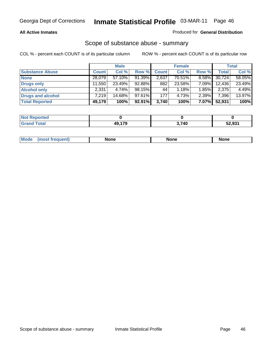## **All Active Inmates**

## Produced for **General Distribution**

## Scope of substance abuse - summary

|                        |              | <b>Male</b> |        |              | <b>Female</b> |          |              | <b>Total</b> |
|------------------------|--------------|-------------|--------|--------------|---------------|----------|--------------|--------------|
| <b>Substance Abuse</b> | <b>Count</b> | Col %       | Row %  | <b>Count</b> | Col %         | Row %    | <b>Total</b> | Col %        |
| <b>None</b>            | 28,079       | 57.10%      | 91.39% | 2,637        | 70.51%        | $8.58\%$ | 30,724       | 58.05%       |
| <b>Drugs only</b>      | 11.550       | $23.49\%$   | 92.88% | 882          | 23.58%        | 7.09%    | 12,436       | 23.49%       |
| <b>Alcohol only</b>    | 2,331        | 4.74%       | 98.15% | 44           | 1.18%         | 1.85%    | 2,375        | 4.49%        |
| Drugs and alcohol      | 7.219        | 14.68%      | 97.61% | 177          | 4.73%         | 2.39%    | 7,396        | 13.97%       |
| <b>Total Reported</b>  | 49,179       | 100%        | 92.91% | 3,740        | 100%          | 7.07%    | 52,931       | 100%         |

| 'Not<br><b>Reported</b> |        |       |        |
|-------------------------|--------|-------|--------|
| <b>Total</b>            | 40 170 | 3,740 | 52,931 |

|  | Mode<br>nuemm | <b>None</b> | <b>None</b> | None |
|--|---------------|-------------|-------------|------|
|--|---------------|-------------|-------------|------|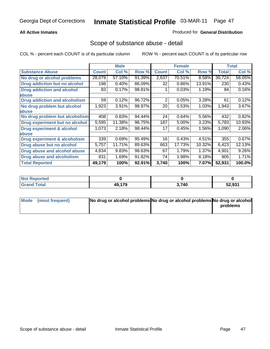## **All Active Inmates**

## Produced for **General Distribution**

## Scope of substance abuse - detail

|                                      |              | <b>Male</b> |        |              | <b>Female</b> |        |              | <b>Total</b> |
|--------------------------------------|--------------|-------------|--------|--------------|---------------|--------|--------------|--------------|
| <b>Substance Abuse</b>               | <b>Count</b> | Col %       | Row %  | <b>Count</b> | Col %         | Row %  | <b>Total</b> | Col %        |
| No drug or alcohol problems          | 28,079       | 57.10%      | 91.39% | 2,637        | 70.51%        | 8.58%  | 30,724       | 58.05%       |
| Drug addiction but no alcohol        | 198          | 0.40%       | 86.09% | 32           | 0.86%         | 13.91% | 230          | 0.43%        |
| <b>Drug addiction and alcohol</b>    | 83           | 0.17%       | 98.81% |              | 0.03%         | 1.19%  | 84           | 0.16%        |
| abuse                                |              |             |        |              |               |        |              |              |
| <b>Drug addiction and alcoholism</b> | 59           | 0.12%       | 96.72% | 2            | 0.05%         | 3.28%  | 61           | 0.12%        |
| No drug problem but alcohol          | 1,923        | 3.91%       | 98.97% | 20           | 0.53%         | 1.03%  | 1,943        | $3.67\%$     |
| <b>labuse</b>                        |              |             |        |              |               |        |              |              |
| No drug problem but alcoholism       | 408          | 0.83%       | 94.44% | 24           | 0.64%         | 5.56%  | 432          | 0.82%        |
| Drug experiment but no alcohol       | 5,595        | 11.38%      | 96.75% | 187          | 5.00%         | 3.23%  | 5,783        | 10.93%       |
| <b>Drug experiment &amp; alcohol</b> | 1,073        | 2.18%       | 98.44% | 17           | 0.45%         | 1.56%  | 1,090        | 2.06%        |
| <b>labuse</b>                        |              |             |        |              |               |        |              |              |
| Drug experiment & alcoholism         | 339          | 0.69%       | 95.49% | 16           | 0.43%         | 4.51%  | 355          | 0.67%        |
| Drug abuse but no alcohol            | 5,757        | 11.71%      | 89.63% | 663          | 17.73%        | 10.32% | 6,423        | 12.13%       |
| Drug abuse and alcohol abuse         | 4,834        | 9.83%       | 98.63% | 67           | 1.79%         | 1.37%  | 4,901        | 9.26%        |
| <b>Drug abuse and alcoholism</b>     | 831          | 1.69%       | 91.82% | 74           | 1.98%         | 8.18%  | 905          | 1.71%        |
| <b>Total Reported</b>                | 49,179       | 100%        | 92.91% | 3,740        | 100%          | 7.07%  | 52,931       | 100.0%       |

| <b>Not Reported</b> |        |       |        |
|---------------------|--------|-------|--------|
| <b>c</b> otal       | 49,179 | 3,740 | 52,931 |

| Mode (most frequent) | No drug or alcohol problems No drug or alcohol problems No drug or alcohol |          |
|----------------------|----------------------------------------------------------------------------|----------|
|                      |                                                                            | problems |
|                      |                                                                            |          |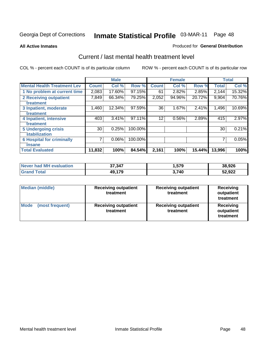### **All Active Inmates**

### Produced for **General Distribution**

## Current / last mental health treatment level

|                                    |              | <b>Male</b> |         |              | <b>Female</b> |        |              | <b>Total</b> |
|------------------------------------|--------------|-------------|---------|--------------|---------------|--------|--------------|--------------|
| <b>Mental Health Treatment Lev</b> | <b>Count</b> | Col %       | Row %   | <b>Count</b> | Col %         | Row %  | <b>Total</b> | Col %        |
| 1 No problem at current time       | 2,083        | 17.60%      | 97.15%  | 61           | 2.82%         | 2.85%  | 2,144        | 15.32%       |
| 2 Receiving outpatient             | 7,849        | 66.34%      | 79.25%  | 2,052        | 94.96%        | 20.72% | 9,904        | 70.76%       |
| treatment                          |              |             |         |              |               |        |              |              |
| 3 Inpatient, moderate              | 1,460        | 12.34%      | 97.59%  | 36           | $1.67\%$      | 2.41%  | 1,496        | 10.69%       |
| treatment                          |              |             |         |              |               |        |              |              |
| 4 Inpatient, intensive             | 403          | 3.41%       | 97.11%  | 12           | 0.56%         | 2.89%  | 415          | 2.97%        |
| treatment                          |              |             |         |              |               |        |              |              |
| <b>5 Undergoing crisis</b>         | 30           | 0.25%       | 100.00% |              |               |        | 30           | 0.21%        |
| stabilization                      |              |             |         |              |               |        |              |              |
| <b>6 Hospital for criminally</b>   | 7            | 0.06%       | 100.00% |              |               |        | 7            | 0.05%        |
| insane                             |              |             |         |              |               |        |              |              |
| <b>Total Evaluated</b>             | 11,832       | 100%        | 84.54%  | 2,161        | 100%          | 15.44% | 13,996       | 100%         |

| Never had MH evaluation | 37,347 | .,579 | 38,926 |
|-------------------------|--------|-------|--------|
| <b>Grand Total</b>      | 49,179 | 3,740 | 52,922 |

| <b>Median (middle)</b>         | <b>Receiving outpatient</b><br>treatment | <b>Receiving outpatient</b><br>treatment | <b>Receiving</b><br>outpatient<br>treatment |  |
|--------------------------------|------------------------------------------|------------------------------------------|---------------------------------------------|--|
| <b>Mode</b><br>(most frequent) | <b>Receiving outpatient</b><br>treatment | <b>Receiving outpatient</b><br>treatment | <b>Receiving</b><br>outpatient<br>treatment |  |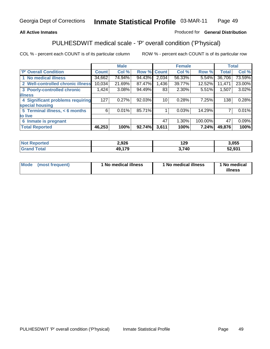## **All Active Inmates**

## Produced for **General Distribution**

## PULHESDWIT medical scale - 'P' overall condition ('P'hysical)

|                                   |        | <b>Male</b> |        |              | <b>Female</b> |         |              | <b>Total</b> |
|-----------------------------------|--------|-------------|--------|--------------|---------------|---------|--------------|--------------|
| 'P' Overall Condition             | Count  | Col %       | Row %  | <b>Count</b> | Col %         | Row %   | <b>Total</b> | Col %        |
| 1 No medical illness              | 34,662 | 74.94%      | 94.43% | 2,034        | 56.33%        | 5.54%   | 36,706       | 73.59%       |
| 2 Well-controlled chronic illness | 10,034 | 21.69%      | 87.47% | 1,436        | 39.77%        | 12.52%  | 11,471       | 23.00%       |
| 3 Poorly-controlled chronic       | 1,424  | 3.08%       | 94.49% | 83           | 2.30%         | 5.51%   | 1,507        | 3.02%        |
| <b>illness</b>                    |        |             |        |              |               |         |              |              |
| 4 Significant problems requiring  | 127    | 0.27%       | 92.03% | 10           | 0.28%         | 7.25%   | 138          | 0.28%        |
| special housing                   |        |             |        |              |               |         |              |              |
| 5 Terminal illness, < 6 months    | 6      | 0.01%       | 85.71% |              | 0.03%         | 14.29%  |              | 0.01%        |
| to live                           |        |             |        |              |               |         |              |              |
| Inmate is pregnant<br>6           |        |             |        | 47           | 1.30%         | 100.00% | 47           | 0.09%        |
| <b>Total Reported</b>             | 46,253 | 100%        | 92.74% | 3,611        | 100%          | 7.24%   | 49,876       | 100%         |

| Not F<br><b>Reported</b> | 2,926  | 129  | 3,055  |
|--------------------------|--------|------|--------|
| <b>Grand Total</b>       | 49,179 | ,740 | 52,931 |

| Mode (most frequent) | 1 No medical illness | 1 No medical illness | 1 No medical |
|----------------------|----------------------|----------------------|--------------|
|                      |                      |                      | illness      |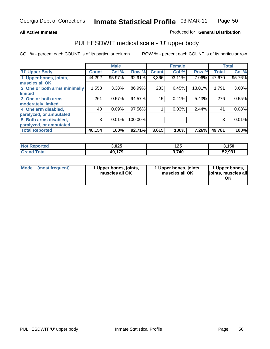## **All Active Inmates**

## Produced for **General Distribution**

## PULHESDWIT medical scale - 'U' upper body

|                              |              | <b>Male</b> |         |              | <b>Female</b> |        |              | <b>Total</b> |
|------------------------------|--------------|-------------|---------|--------------|---------------|--------|--------------|--------------|
| <b>U' Upper Body</b>         | <b>Count</b> | Col %       | Row %   | <b>Count</b> | Col %         | Row %  | <b>Total</b> | Col %        |
| 1 Upper bones, joints,       | 44,292       | 95.97%      | 92.91%  | 3,366        | 93.11%        | 7.06%  | 47,670       | 95.76%       |
| muscles all OK               |              |             |         |              |               |        |              |              |
| 2 One or both arms minimally | 1,558        | 3.38%       | 86.99%  | 233          | 6.45%         | 13.01% | 1,791        | 3.60%        |
| limited                      |              |             |         |              |               |        |              |              |
| 3 One or both arms           | 261          | 0.57%       | 94.57%  | 15           | 0.41%         | 5.43%  | 276          | 0.55%        |
| moderately limited           |              |             |         |              |               |        |              |              |
| 4 One arm disabled,          | 40           | 0.09%       | 97.56%  |              | 0.03%         | 2.44%  | 41           | 0.08%        |
| paralyzed, or amputated      |              |             |         |              |               |        |              |              |
| 5 Both arms disabled,        | 3            | 0.01%       | 100.00% |              |               |        | 3            | 0.01%        |
| paralyzed, or amputated      |              |             |         |              |               |        |              |              |
| <b>Total Reported</b>        | 46,154       | 100%        | 92.71%  | 3,615        | 100%          | 7.26%  | 49,781       | 100%         |

| <b>Not</b><br><b>orted</b><br>₹Ann | 3,025  | 125   | , 150  |
|------------------------------------|--------|-------|--------|
| $\tau$ otal                        | 49,179 | 3,740 | 52,931 |

| <b>Mode</b> | (most frequent) | 1 Upper bones, joints,<br>muscles all OK | 1 Upper bones, joints,<br>muscles all OK | 1 Upper bones,<br>joints, muscles all<br>ΟK |
|-------------|-----------------|------------------------------------------|------------------------------------------|---------------------------------------------|
|-------------|-----------------|------------------------------------------|------------------------------------------|---------------------------------------------|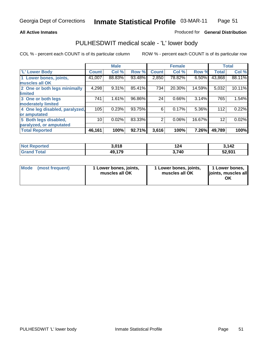### **All Active Inmates**

## Produced for **General Distribution**

## PULHESDWIT medical scale - 'L' lower body

|                                |              | <b>Male</b> |        |                | <b>Female</b> |        |              | <b>Total</b> |
|--------------------------------|--------------|-------------|--------|----------------|---------------|--------|--------------|--------------|
| 'L' Lower Body                 | <b>Count</b> | Col %       | Row %  | <b>Count</b>   | Col %         | Row %  | <b>Total</b> | Col %        |
| 1 Lower bones, joints,         | 41,007       | 88.83%      | 93.48% | 2,850          | 78.82%        | 6.50%  | 43,868       | 88.11%       |
| muscles all OK                 |              |             |        |                |               |        |              |              |
| 2 One or both legs minimally   | 4,298        | 9.31%       | 85.41% | 734            | 20.30%        | 14.59% | 5,032        | 10.11%       |
| limited                        |              |             |        |                |               |        |              |              |
| 3 One or both legs             | 741          | 1.61%       | 96.86% | 24             | 0.66%         | 3.14%  | 765          | 1.54%        |
| moderately limited             |              |             |        |                |               |        |              |              |
| 4 One leg disabled, paralyzed, | 105          | 0.23%       | 93.75% | 6              | 0.17%         | 5.36%  | 112          | 0.22%        |
| or amputated                   |              |             |        |                |               |        |              |              |
| 5 Both legs disabled,          | 10           | 0.02%       | 83.33% | $\overline{2}$ | 0.06%         | 16.67% | 12           | 0.02%        |
| paralyzed, or amputated        |              |             |        |                |               |        |              |              |
| <b>Total Reported</b>          | 46,161       | 100%        | 92.71% | 3,616          | 100%          | 7.26%  | 49,789       | 100%         |

| <b>Not Reported</b>   | 3,018  | 124   | 142،   |
|-----------------------|--------|-------|--------|
| Total<br><b>Grand</b> | 49,179 | 3.740 | 52,931 |

|  | Mode (most frequent) | 1 Lower bones, joints,<br>muscles all OK | 1 Lower bones, joints,<br>muscles all OK | 1 Lower bones,<br>joints, muscles all<br>OK |
|--|----------------------|------------------------------------------|------------------------------------------|---------------------------------------------|
|--|----------------------|------------------------------------------|------------------------------------------|---------------------------------------------|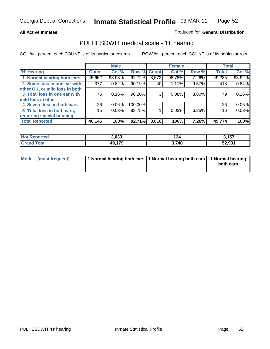### **All Active Inmates**

## Produced for **General Distribution**

## PULHESDWIT medical scale - 'H' hearing

|                                |        | <b>Male</b> |             |       | <b>Female</b> |       | <b>Total</b> |        |
|--------------------------------|--------|-------------|-------------|-------|---------------|-------|--------------|--------|
| <b>H'</b> Hearing              | Count  | Col %       | Row % Count |       | Col %         | Row % | <b>Total</b> | Col %  |
| 1 Normal hearing both ears     | 45,652 | 98.93%      | 92.72%      | 3,572 | 98.78%        | 7.26% | 49,235       | 98.92% |
| 2 Some loss in one ear with    | 377    | 0.82%       | 90.19%      | 40    | 1.11%         | 9.57% | 418          | 0.84%  |
| other OK, or mild loss in both |        |             |             |       |               |       |              |        |
| 3 Total loss in one ear with   | 76     | 0.16%       | 96.20%      | 3     | 0.08%         | 3.80% | 79           | 0.16%  |
| mild loss in other             |        |             |             |       |               |       |              |        |
| 4 Severe loss in both ears     | 26     | $0.06\%$    | 100.00%     |       |               |       | 26           | 0.05%  |
| 5 Total loss in both ears,     | 15     | 0.03%       | 93.75%      |       | 0.03%         | 6.25% | 16           | 0.03%  |
| requiring special housing      |        |             |             |       |               |       |              |        |
| <b>Total Reported</b>          | 46,146 | 100%        | 92.71%      | 3,616 | 100%          | 7.26% | 49,774       | 100%   |

| orted       | ההה ה<br>ა.საა | 124   | <b>457</b><br>וטו, |
|-------------|----------------|-------|--------------------|
| $C = 4 - 7$ | 49,179         | 3,740 | גרה ה<br>ວ∠,ອວ ເ   |

| Mode (most frequent) | 1 Normal hearing both ears 11 Normal hearing both ears 1 Normal hearing |           |
|----------------------|-------------------------------------------------------------------------|-----------|
|                      |                                                                         | both ears |
|                      |                                                                         |           |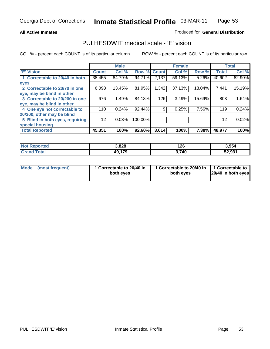## **All Active Inmates**

## Produced for **General Distribution**

## PULHESDWIT medical scale - 'E' vision

|                                 |              | <b>Male</b> |                    |       | <b>Female</b> |              |              | <b>Total</b> |
|---------------------------------|--------------|-------------|--------------------|-------|---------------|--------------|--------------|--------------|
| 'E' Vision                      | <b>Count</b> | Col %       | <b>Row % Count</b> |       | Col %         | Row %        | <b>Total</b> | Col %        |
| 1 Correctable to 20/40 in both  | 38,455       | 84.79%      | 94.71%             | 2,137 | 59.13%        | 5.26%        | 40,602       | 82.90%       |
| eyes                            |              |             |                    |       |               |              |              |              |
| 2 Correctable to 20/70 in one   | 6,098        | 13.45%      | 81.95%             | 1,342 | 37.13%        | 18.04%       | 7,441        | 15.19%       |
| eye, may be blind in other      |              |             |                    |       |               |              |              |              |
| 3 Correctable to 20/200 in one  | 676          | 1.49%       | 84.18%             | 126   | 3.49%         | 15.69%       | 803          | 1.64%        |
| eye, may be blind in other      |              |             |                    |       |               |              |              |              |
| 4 One eye not correctable to    | 110          | 0.24%       | 92.44%             | 9     | 0.25%         | 7.56%        | 119          | 0.24%        |
| 20/200, other may be blind      |              |             |                    |       |               |              |              |              |
| 5 Blind in both eyes, requiring | 12           | 0.03%       | 100.00%            |       |               |              | 12           | 0.02%        |
| special housing                 |              |             |                    |       |               |              |              |              |
| <b>Total Reported</b>           | 45,351       | 100%        | 92.60%             | 3,614 | 100%          | <b>7.38%</b> | 48,977       | 100%         |

| <b>Not Reported</b>        | 3,828  | 126   | 3,954  |
|----------------------------|--------|-------|--------|
| $\tau$ otal<br><b>Gran</b> | 49,179 | 3,740 | 52,931 |

|  | Mode (most frequent) | 1 Correctable to 20/40 in<br>both eves | 1 Correctable to 20/40 in   1 Correctable to<br>both eves | 20/40 in both eyes |
|--|----------------------|----------------------------------------|-----------------------------------------------------------|--------------------|
|--|----------------------|----------------------------------------|-----------------------------------------------------------|--------------------|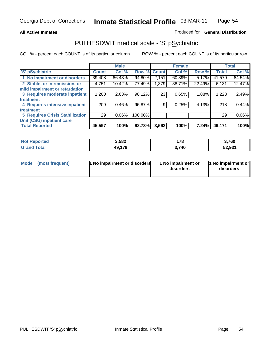### **All Active Inmates**

## Produced for **General Distribution**

## PULHESDWIT medical scale - 'S' pSychiatric

|                                        |              | <b>Male</b> |         |       | <b>Female</b> |              |              | <b>Total</b> |
|----------------------------------------|--------------|-------------|---------|-------|---------------|--------------|--------------|--------------|
| 'S' pSychiatric                        | <b>Count</b> | Col %       | Row %   | Count | Col %         | Row %        | <b>Total</b> | Col %        |
| 1 No impairment or disorders           | 39,408       | 86.43%      | 94.80%  | 2,151 | 60.39%        | 5.17%        | 41,570       | 84.54%       |
| 2 Stable, or in remission, or          | 4,751        | 10.42%      | 77.49%  | 1,379 | 38.71%        | 22.49%       | 6,131        | 12.47%       |
| mild impairment or retardation         |              |             |         |       |               |              |              |              |
| 3 Requires moderate inpatient          | 1,200        | 2.63%       | 98.12%  | 23    | 0.65%         | 1.88%        | 1,223        | 2.49%        |
| treatment                              |              |             |         |       |               |              |              |              |
| 4 Requires intensive inpatient         | 209          | $0.46\%$    | 95.87%  | 9     | 0.25%         | 4.13%        | 218          | 0.44%        |
| treatment                              |              |             |         |       |               |              |              |              |
| <b>5 Requires Crisis Stabilization</b> | 29           | $0.06\%$    | 100.00% |       |               |              | 29           | 0.06%        |
| Unit (CSU) inpatient care              |              |             |         |       |               |              |              |              |
| <b>Total Reported</b>                  | 45,597       | 100%        | 92.73%  | 3,562 | 100%          | <b>7.24%</b> | 49,171       | 100%         |

| <b>Not Reported</b> | 3,582  | 178   | 3,760  |
|---------------------|--------|-------|--------|
| Total<br>' Grand 1  | 49,179 | 3,740 | 52,931 |

| Mode (most frequent) | <b>1</b> No impairment or disorders | 1 No impairment or<br>disorders | 1 No impairment or<br>disorders |
|----------------------|-------------------------------------|---------------------------------|---------------------------------|
|                      |                                     |                                 |                                 |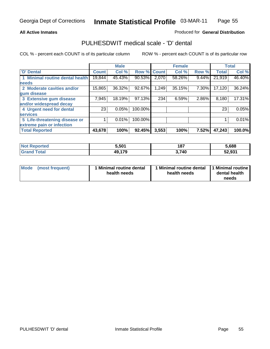### **All Active Inmates**

## Produced for **General Distribution**

## PULHESDWIT medical scale - 'D' dental

|                                 |              | <b>Male</b> |             |       | <b>Female</b> |       |              | <b>Total</b> |
|---------------------------------|--------------|-------------|-------------|-------|---------------|-------|--------------|--------------|
| 'D' Dental                      | <b>Count</b> | Col %       | Row % Count |       | Col %         | Row % | <b>Total</b> | Col %        |
| 1 Minimal routine dental health | 19,844       | 45.43%      | 90.53%      | 2,070 | 58.26%        | 9.44% | 21,919       | 46.40%       |
| <b>needs</b>                    |              |             |             |       |               |       |              |              |
| 2 Moderate cavities and/or      | 15,865       | 36.32%      | 92.67%      | 1,249 | 35.15%        | 7.30% | 17,120       | 36.24%       |
| gum disease                     |              |             |             |       |               |       |              |              |
| 3 Extensive gum disease         | 7,945        | 18.19%      | 97.13%      | 234   | 6.59%         | 2.86% | 8,180        | 17.31%       |
| and/or widespread decay         |              |             |             |       |               |       |              |              |
| 4 Urgent need for dental        | 23           | 0.05%       | 100.00%     |       |               |       | 23           | 0.05%        |
| <b>services</b>                 |              |             |             |       |               |       |              |              |
| 5 Life-threatening disease or   |              | 0.01%       | 100.00%     |       |               |       |              | 0.01%        |
| extreme pain or infection       |              |             |             |       |               |       |              |              |
| <b>Total Reported</b>           | 43,678       | 100%        | 92.45%      | 3,553 | 100%          | 7.52% | 47,243       | 100.0%       |

| <b>Not Reported</b>  | 5,501             | 187   | 5,688  |
|----------------------|-------------------|-------|--------|
| Total<br><b>Gran</b> | 170<br>49.<br>. . | 3,740 | 52,931 |

| <b>Mode</b><br><b>Minimal routine dental</b><br>(most frequent)<br>health needs | 1 Minimal routine dental<br>health needs | 1 Minimal routine  <br>dental health<br>needs |
|---------------------------------------------------------------------------------|------------------------------------------|-----------------------------------------------|
|---------------------------------------------------------------------------------|------------------------------------------|-----------------------------------------------|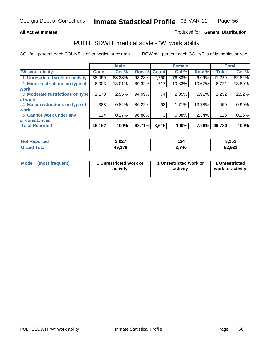## **All Active Inmates**

## Produced for **General Distribution**

## PULHESDWIT medical scale - 'W' work ability

|                                 |              | <b>Male</b> |        |              | <b>Female</b> |        |              | <b>Total</b> |
|---------------------------------|--------------|-------------|--------|--------------|---------------|--------|--------------|--------------|
| <b>W' work ability</b>          | <b>Count</b> | Col %       | Row %  | <b>Count</b> | Col %         | Row %  | <b>Total</b> | Col %        |
| 1 Unrestricted work or activity | 38,459       | 83.33%      | 93.28% | 2,760        | 76.33%        | 6.69%  | 41,229       | 82.82%       |
| 2 Minor restrictions on type of | 6,003        | $13.01\%$   | 89.32% | 717          | 19.83%        | 10.67% | 6,721        | 13.50%       |
| <b>work</b>                     |              |             |        |              |               |        |              |              |
| 3 Moderate restrictions on type | 1,178        | 2.55%       | 94.09% | 74           | 2.05%         | 5.91%  | 1,252        | 2.52%        |
| of work                         |              |             |        |              |               |        |              |              |
| 4 Major restrictions on type of | 388          | 0.84%       | 86.22% | 62           | 1.71%         | 13.78% | 450          | $0.90\%$     |
| <b>work</b>                     |              |             |        |              |               |        |              |              |
| 5 Cannot work under any         | 124          | 0.27%       | 96.88% | 3            | 0.08%         | 2.34%  | 128          | 0.26%        |
| <b>circumstances</b>            |              |             |        |              |               |        |              |              |
| <b>Total Reported</b>           | 46,152       | 100%        | 92.71% | 3,616        | 100%          | 7.26%  | 49,780       | 100%         |

| <b>Not Reported</b> | 3,027  | 124   | 3,151  |
|---------------------|--------|-------|--------|
| <b>Grand Total</b>  | 49,179 | 3,740 | 52,931 |

| Mode (most frequent) | 1 Unrestricted work or | 1 Unrestricted work or | 1 Unrestricted   |
|----------------------|------------------------|------------------------|------------------|
|                      | activity               | activity               | work or activity |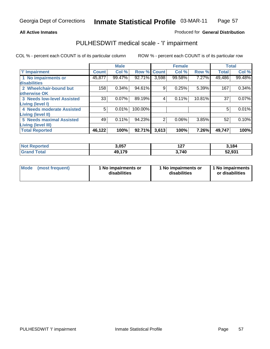### **All Active Inmates**

## Produced for **General Distribution**

## PULHESDWIT medical scale - 'I' impairment

|                                   |              | <b>Male</b> |         |              | <b>Female</b> |        |              | <b>Total</b> |
|-----------------------------------|--------------|-------------|---------|--------------|---------------|--------|--------------|--------------|
| <b>T' Impairment</b>              | <b>Count</b> | Col %       | Row %   | <b>Count</b> | Col %         | Row %  | <b>Total</b> | Col %        |
| 1 No impairments or               | 45,877       | 99.47%      | 92.71%  | 3,598        | 99.58%        | 7.27%  | 49,486       | 99.48%       |
| disabilities                      |              |             |         |              |               |        |              |              |
| 2 Wheelchair-bound but            | 158          | 0.34%       | 94.61%  | 9            | 0.25%         | 5.39%  | 167          | 0.34%        |
| otherwise OK                      |              |             |         |              |               |        |              |              |
| <b>3 Needs low-level Assisted</b> | 33           | 0.07%       | 89.19%  | 4            | 0.11%         | 10.81% | 37           | $0.07\%$     |
| Living (level I)                  |              |             |         |              |               |        |              |              |
| 4 Needs moderate Assisted         | 5            | 0.01%       | 100.00% |              |               |        | 5            | 0.01%        |
| Living (level II)                 |              |             |         |              |               |        |              |              |
| <b>5 Needs maximal Assisted</b>   | 49           | 0.11%       | 94.23%  | 2            | 0.06%         | 3.85%  | 52           | 0.10%        |
| Living (level III)                |              |             |         |              |               |        |              |              |
| <b>Total Reported</b>             | 46,122       | 100%        | 92.71%  | 3,613        | 100%          | 7.26%  | 49,747       | 100%         |

| Not F<br>Reported  | 3,057  | 1.27<br>I 41 | 3,184  |
|--------------------|--------|--------------|--------|
| <b>Grand Total</b> | 49,179 | 3,740        | 52,931 |

| Mode | (most frequent) | 1 No impairments or<br>disabilities | 1 No impairments or<br>disabilities | 1 No impairments<br>or disabilities |
|------|-----------------|-------------------------------------|-------------------------------------|-------------------------------------|
|------|-----------------|-------------------------------------|-------------------------------------|-------------------------------------|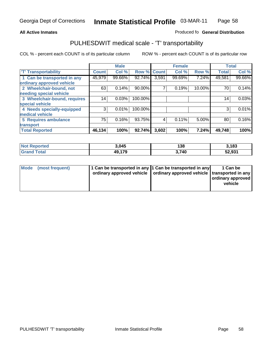#### **Inmate Statistical Profile** 03-MAR-11 Page Page 58

## **All Active Inmates Allowski** Produced fo **General Distribution**

## PULHESDWIT medical scale - 'T' transportability

|                              |              | <b>Male</b> |         |              | <b>Female</b> |          | <b>Total</b> |        |
|------------------------------|--------------|-------------|---------|--------------|---------------|----------|--------------|--------|
| <b>T' Transportability</b>   | <b>Count</b> | Col %       | Row %   | <b>Count</b> | Col %         | Row %    | <b>Total</b> | Col %  |
| 1 Can be transported in any  | 45,979       | 99.66%      | 92.74%  | 3,591        | 99.69%        | 7.24%    | 49,581       | 99.66% |
| ordinary approved vehicle    |              |             |         |              |               |          |              |        |
| 2 Wheelchair-bound, not      | 63           | 0.14%       | 90.00%  | 7            | 0.19%         | 10.00%   | 70           | 0.14%  |
| needing special vehicle      |              |             |         |              |               |          |              |        |
| 3 Wheelchair-bound, requires | 14           | 0.03%       | 100.00% |              |               |          | 14           | 0.03%  |
| special vehicle              |              |             |         |              |               |          |              |        |
| 4 Needs specially-equipped   | 3            | 0.01%       | 100.00% |              |               |          | 3            | 0.01%  |
| medical vehicle              |              |             |         |              |               |          |              |        |
| <b>5 Requires ambulance</b>  | 75           | 0.16%       | 93.75%  | 4            | 0.11%         | $5.00\%$ | 80           | 0.16%  |
| transport                    |              |             |         |              |               |          |              |        |
| <b>Total Reported</b>        | 46,134       | 100%        | 92.74%  | 3,602        | 100%          | 7.24%    | 49,748       | 100%   |

| <b>Not Reported</b> | 3,045  | 138   | 3,183  |
|---------------------|--------|-------|--------|
| <b>Grand Total</b>  | 49,179 | 3,740 | 52,931 |

| Mode (most frequent) | 1 Can be transported in any 1 Can be transported in any | ordinary approved vehicle   ordinary approved vehicle   transported in any | 1 Can be<br>  ordinary approved  <br>vehicle |
|----------------------|---------------------------------------------------------|----------------------------------------------------------------------------|----------------------------------------------|
|                      |                                                         |                                                                            |                                              |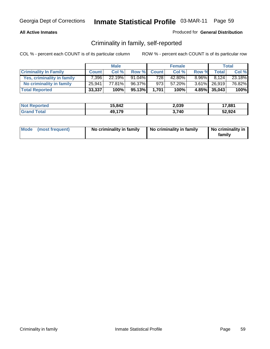## **All Active Inmates**

## Produced for **General Distribution**

## Criminality in family, self-reported

|                              |              | <b>Male</b> |        |              | <b>Female</b> |          |                 | <b>Total</b> |
|------------------------------|--------------|-------------|--------|--------------|---------------|----------|-----------------|--------------|
| <b>Criminality In Family</b> | <b>Count</b> | Col %       | Row %  | <b>Count</b> | Col %         | Row %    | <b>Total</b>    | Col %        |
| Yes, criminality in family   | 7.396        | 22.19%      | 91.04% | 728          | 42.80%        | $8.96\%$ | 8.124           | 23.18%       |
| No criminality in family     | 25,941       | 77.81%      | 96.37% | 973          | 57.20%        |          | $3.61\%$ 26,919 | 76.82%       |
| <b>Total Reported</b>        | 33,337       | 100%        | 95.13% | 1.701        | 100%          |          | 4.85% 35,043    | 100%         |

| <b>Not Reported</b> | 15,842 | 2,039 | 17,881 |
|---------------------|--------|-------|--------|
| <b>Srand Total</b>  | 49,179 | .740  | 52,924 |

|  | Mode (most frequent) | No criminality in family | No criminality in family | No criminality in<br>family |
|--|----------------------|--------------------------|--------------------------|-----------------------------|
|--|----------------------|--------------------------|--------------------------|-----------------------------|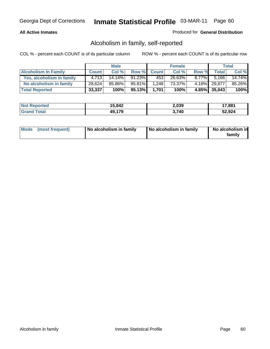## **All Active Inmates**

## Produced for **General Distribution**

## Alcoholism in family, self-reported

|                             |              | <b>Male</b> |           |              | <b>Female</b> |          |              | <b>Total</b> |
|-----------------------------|--------------|-------------|-----------|--------------|---------------|----------|--------------|--------------|
| <b>Alcoholism In Family</b> | <b>Count</b> | Col %       | Row %     | <b>Count</b> | Col %         | Row %    | <b>Total</b> | Col %        |
| Yes, alcoholism in family   | 4.713        | $14.14\%$   | $91.23\%$ | 4531         | 26.63%        | $8.77\%$ | 5.166        | 14.74%       |
| No alcoholism in family     | 28,624       | 85.86%      | 95.81%    | 1,248        | 73.37%        |          | 4.18% 29.877 | 85.26%       |
| <b>Total Reported</b>       | 33,337       | 100%        | 95.13%    | 1.701        | 100%          |          | 4.85% 35,043 | 100%         |

| <b>Not Reported</b> | 15,842 | 2,039 | 17,881 |
|---------------------|--------|-------|--------|
| <b>Srand Total</b>  | 49,179 | .740  | 52,924 |

| Mode (most frequent) | No alcoholism in family | No alcoholism in family | No alcoholism in<br>family |
|----------------------|-------------------------|-------------------------|----------------------------|
|----------------------|-------------------------|-------------------------|----------------------------|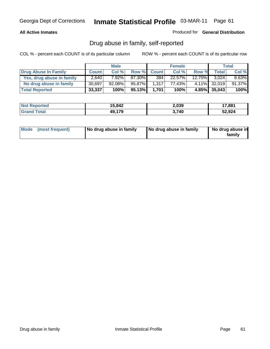## **All Active Inmates**

## Produced for **General Distribution**

## Drug abuse in family, self-reported

|                           |              | <b>Male</b> |        |              | <b>Female</b> |           |              | <b>Total</b> |
|---------------------------|--------------|-------------|--------|--------------|---------------|-----------|--------------|--------------|
| Drug Abuse In Family      | <b>Count</b> | Col %       | Row %  | <b>Count</b> | Col %         | Row %     | <b>Total</b> | Col %        |
| Yes, drug abuse in family | 2,640        | 7.92%       | 87.30% | 384          | 22.57%        | $12.70\%$ | 3.024        | $8.63\%$     |
| No drug abuse in family   | 30,697       | 92.08%      | 95.87% | 1,317        | 77.43%        |           | 4.11% 32,019 | 91.37%       |
| <b>Total Reported</b>     | 33,337       | 100%        | 95.13% | 1.701        | 100%          |           | 4.85% 35,043 | 100%         |

| <b>Not Reported</b> | 15,842 | 2,039 | 17,881 |
|---------------------|--------|-------|--------|
| <b>Srand Total</b>  | 49,179 | .740  | 52,924 |

|  | Mode (most frequent) | No drug abuse in family | No drug abuse in family | No drug abuse in<br>family |
|--|----------------------|-------------------------|-------------------------|----------------------------|
|--|----------------------|-------------------------|-------------------------|----------------------------|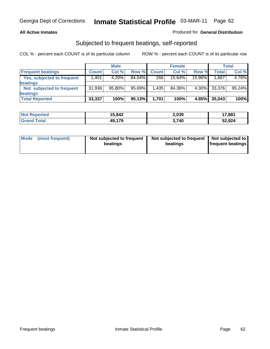## **All Active Inmates**

## Produced for **General Distribution**

## Subjected to frequent beatings, self-reported

|                                   |              | <b>Male</b> |           |              | <b>Female</b> |        |        | <b>Total</b> |
|-----------------------------------|--------------|-------------|-----------|--------------|---------------|--------|--------|--------------|
| <b>Frequent beatings</b>          | <b>Count</b> | Col%        | Row %     | <b>Count</b> | Col%          | Row %  | Total  | Col %        |
| <b>Yes, subjected to frequent</b> | 1,401        | 4.20%       | $84.04\%$ | 266          | 15.64%        | 15.96% | .667   | 4.76%        |
| beatings                          |              |             |           |              |               |        |        |              |
| Not subjected to frequent         | 31,936       | 95.80%      | 95.69%    | 1,435        | 84.36%        | 4.30%  | 33,376 | 95.24%       |
| <b>beatings</b>                   |              |             |           |              |               |        |        |              |
| <b>Total Reported</b>             | 33,337       | 100%        | 95.13%    | 1,701        | 100%          | 4.85%  | 35,043 | 100%         |

| <b>Not Reported</b> | 15,842 | 2,039 | 17,881 |
|---------------------|--------|-------|--------|
| Гоtal<br>⊩Grar      | 49,179 | 3,740 | 52,924 |

| Mode (most frequent) | Not subjected to frequent<br>beatings | Not subjected to frequent<br>beatings | Not subjected to<br>frequent beatings |  |
|----------------------|---------------------------------------|---------------------------------------|---------------------------------------|--|
|                      |                                       |                                       |                                       |  |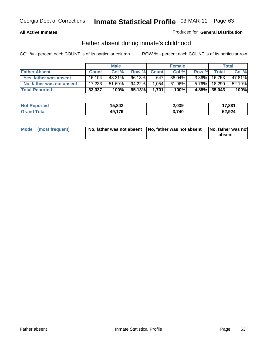## **All Active Inmates**

## Produced for **General Distribution**

## Father absent during inmate's childhood

|                           |              | <b>Male</b> |        |              | <b>Female</b> |          |                 | Total  |
|---------------------------|--------------|-------------|--------|--------------|---------------|----------|-----------------|--------|
| <b>Father Absent</b>      | <b>Count</b> | Col %       | Row %  | <b>Count</b> | Col %         | Row %    | <b>Total</b>    | Col %  |
| Yes, father was absent    | 16.104       | 48.31%      | 96.13% | 647          | 38.04%        |          | $3.86\%$ 16,753 | 47.81% |
| No, father was not absent | 17,233       | 51.69%      | 94.22% | 1.054        | 61.96%        | $5.76\%$ | 18,290          | 52.19% |
| <b>Total Reported</b>     | 33,337       | 100%        | 95.13% | 1.701        | 100%          |          | 4.85% 35,043    | 100%   |

| <b>Not Reported</b> | 15,842 | 2,039 | 17,881 |
|---------------------|--------|-------|--------|
| <b>Grand Total</b>  | 49,179 | .740  | 52,924 |

| Mode (most frequent) |  | 「No, father was not absent ┃No, father was not absent ┃No, father was not | absent |
|----------------------|--|---------------------------------------------------------------------------|--------|
|----------------------|--|---------------------------------------------------------------------------|--------|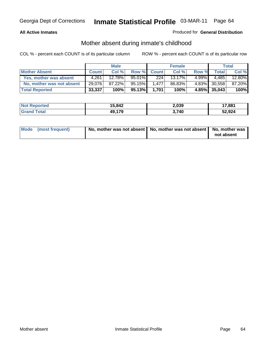## **All Active Inmates**

## Produced for **General Distribution**

## Mother absent during inmate's childhood

|                           |              | <b>Male</b> |        |              | <b>Female</b> |          |              | Total  |
|---------------------------|--------------|-------------|--------|--------------|---------------|----------|--------------|--------|
| <b>Mother Absent</b>      | <b>Count</b> | Col %       | Row %  | <b>Count</b> | Col %         | Row %    | <b>Total</b> | Col %  |
| Yes, mother was absent    | 4,261        | 12.78%      | 95.01% | 224          | $13.17\%$     | $4.99\%$ | 4,485        | 12.80% |
| No, mother was not absent | 29,076       | 87.22%      | 95.15% | 1.477        | 86.83%        |          | 4.83% 30,558 | 87.20% |
| <b>Total Reported</b>     | 33,337       | 100%        | 95.13% | 1,701        | 100%          |          | 4.85% 35,043 | 100%   |

| <b>Not Reported</b> | 15,842 | 2,039 | 17,881 |
|---------------------|--------|-------|--------|
| <b>Grand Total</b>  | 49,179 | 3.740 | 52,924 |

| Mode (most frequent) | No, mother was not absent   No, mother was not absent   No, mother was | not absent |
|----------------------|------------------------------------------------------------------------|------------|
|----------------------|------------------------------------------------------------------------|------------|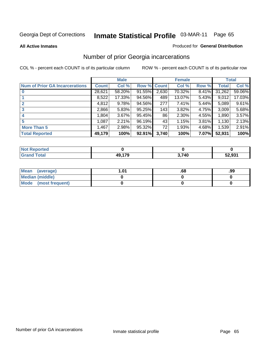### **All Active Inmates**

### Produced for **General Distribution**

## Number of prior Georgia incarcerations

|                                       |              | <b>Male</b> |        |              | <b>Female</b> |       |        | <b>Total</b> |
|---------------------------------------|--------------|-------------|--------|--------------|---------------|-------|--------|--------------|
| <b>Num of Prior GA Incarcerations</b> | <b>Count</b> | Col %       | Row %  | <b>Count</b> | Col %         | Row % | Total  | Col %        |
| $\bf{0}$                              | 28,621       | 58.20%      | 91.55% | 2,630        | 70.32%        | 8.41% | 31,262 | 59.06%       |
|                                       | 8,522        | 17.33%      | 94.56% | 489          | 13.07%        | 5.43% | 9,012  | 17.03%       |
|                                       | 4,812        | 9.78%       | 94.56% | 277          | 7.41%         | 5.44% | 5,089  | 9.61%        |
| 3                                     | 2,866        | 5.83%       | 95.25% | 143          | 3.82%         | 4.75% | 3,009  | 5.68%        |
|                                       | 1,804        | 3.67%       | 95.45% | 86           | 2.30%         | 4.55% | 1,890  | 3.57%        |
| 5                                     | 1,087        | 2.21%       | 96.19% | 43           | 1.15%         | 3.81% | 1,130  | 2.13%        |
| <b>More Than 5</b>                    | 1,467        | 2.98%       | 95.32% | 72           | 1.93%         | 4.68% | 1,539  | 2.91%        |
| <b>Total Reported</b>                 | 49,179       | 100%        | 92.91% | 3,740        | 100%          | 7.07% | 52,931 | 100%         |

| <b>Not</b><br>orted |        |       |        |
|---------------------|--------|-------|--------|
| <b>otal</b>         | 10.470 | 3,740 | 52,931 |

| Mean (average)       | l.01 | .oo | .99 |
|----------------------|------|-----|-----|
| Median (middle)      |      |     |     |
| Mode (most frequent) |      |     |     |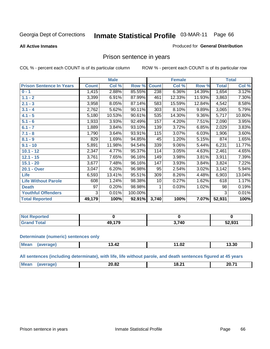**All Active Inmates**

### Produced for **General Distribution**

# Prison sentence in years

COL % - percent each COUNT is of its particular column ROW % - percent each COUNT is of its particular row

|                                 |              | <b>Male</b> |         |              | <b>Female</b> |          |                    | <b>Total</b> |
|---------------------------------|--------------|-------------|---------|--------------|---------------|----------|--------------------|--------------|
| <b>Prison Sentence In Years</b> | <b>Count</b> | Col %       | Row %   | <b>Count</b> | Col %         | Row %    | <b>Total</b>       | Col %        |
| $0 - 1$                         | 1,415        | 2.88%       | 85.55%  | 238          | 6.36%         | 14.39%   | 1,654              | 3.12%        |
| $1.1 - 2$                       | 3,399        | 6.91%       | 87.99%  | 461          | 12.33%        | 11.93%   | 3,863              | 7.30%        |
| $2.1 - 3$                       | 3,958        | 8.05%       | 87.14%  | 583          | 15.59%        | 12.84%   | 4,542              | 8.58%        |
| $3.1 - 4$                       | 2,762        | 5.62%       | 90.11%  | 303          | 8.10%         | 9.89%    | $\overline{3,065}$ | 5.79%        |
| $4.1 - 5$                       | 5,180        | 10.53%      | 90.61%  | 535          | 14.30%        | $9.36\%$ | 5,717              | 10.80%       |
| $5.1 - 6$                       | 1,933        | 3.93%       | 92.49%  | 157          | 4.20%         | 7.51%    | 2,090              | 3.95%        |
| $6.1 - 7$                       | 1,889        | 3.84%       | 93.10%  | 139          | 3.72%         | 6.85%    | 2,029              | 3.83%        |
| $7.1 - 8$                       | 1,790        | 3.64%       | 93.91%  | 115          | 3.07%         | 6.03%    | 1,906              | 3.60%        |
| $8.1 - 9$                       | 829          | 1.69%       | 94.85%  | 45           | 1.20%         | 5.15%    | 874                | 1.65%        |
| $9.1 - 10$                      | 5,891        | 11.98%      | 94.54%  | 339          | 9.06%         | 5.44%    | 6,231              | 11.77%       |
| $10.1 - 12$                     | 2,347        | 4.77%       | 95.37%  | 114          | 3.05%         | 4.63%    | 2,461              | 4.65%        |
| $12.1 - 15$                     | 3,761        | 7.65%       | 96.16%  | 149          | 3.98%         | 3.81%    | 3,911              | 7.39%        |
| $15.1 - 20$                     | 3,677        | 7.48%       | 96.16%  | 147          | 3.93%         | 3.84%    | 3,824              | 7.22%        |
| 20.1 - Over                     | 3,047        | 6.20%       | 96.98%  | 95           | 2.54%         | 3.02%    | 3,142              | 5.94%        |
| <b>Life</b>                     | 6,593        | 13.41%      | 95.51%  | 309          | 8.26%         | 4.48%    | 6,903              | 13.04%       |
| <b>Life Without Parole</b>      | 608          | 1.24%       | 98.38%  | 10           | 0.27%         | 1.62%    | 618                | 1.17%        |
| <b>Death</b>                    | 97           | 0.20%       | 98.98%  |              | 0.03%         | 1.02%    | 98                 | 0.19%        |
| <b>Youthful Offenders</b>       | 3            | 0.01%       | 100.00% |              |               |          | 3                  | 0.01%        |
| <b>Total Reported</b>           | 49,179       | 100%        | 92.91%  | 3,740        | 100%          | 7.07%    | 52,931             | 100%         |

| <b>Not Reported</b>     |     |       |        |
|-------------------------|-----|-------|--------|
| <b>Total</b><br>l Granc | 470 | הול י | 52,931 |

### **Determinate (numeric) sentences only**

| Mean<br>$\sim$ $\sim$ $\sim$ $\sim$ $\sim$ $\sim$ | $\overline{\phantom{a}}$<br><b>אד.טו</b> | $\sim$<br>1 I J J 4 | 3.30 |
|---------------------------------------------------|------------------------------------------|---------------------|------|
|                                                   |                                          |                     |      |

**All sentences (including determinate), with life, life without parole, and death sentences figured at 45 years**

| $^{\prime}$ Me.<br><b>00.74</b><br>$\sim$<br>חר<br>ി ຽ…<br>ZU.OZ<br>____<br>_____ |  |  |  |
|-----------------------------------------------------------------------------------|--|--|--|
|                                                                                   |  |  |  |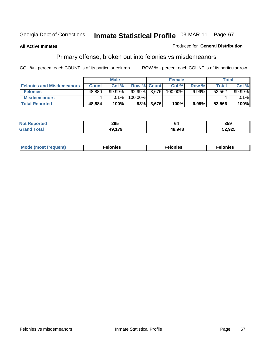## **All Active Inmates**

### Produced for **General Distribution**

# Primary offense, broken out into felonies vs misdemeanors

|                                  |              | <b>Male</b> |                    |           | <b>Female</b> |       | <b>Total</b> |           |
|----------------------------------|--------------|-------------|--------------------|-----------|---------------|-------|--------------|-----------|
| <b>Felonies and Misdemeanors</b> | <b>Count</b> | Col%        | <b>Row % Count</b> |           | Col%          | Row % | Total        | Col%      |
| <b>Felonies</b>                  | 48,880       | 99.99%      | 92.99% 3,676       |           | 100.00%       | 6.99% | 52,562       | $99.99\%$ |
| <b>Misdemeanors</b>              |              | $.01\%$     | 100.00%            |           |               |       |              | $.01\%$   |
| <b>Total Reported</b>            | 48,884       | 100%        |                    | 93% 3,676 | 100%          | 6.99% | 52,566       | 100%      |

| rted.<br>NO:<br>⋯ | 295      |               | 359    |
|-------------------|----------|---------------|--------|
|                   | 10. J 70 | <b>48 948</b> | 52,925 |

| Mode (most frequent) | elonies | elonies | onies<br>-е к |
|----------------------|---------|---------|---------------|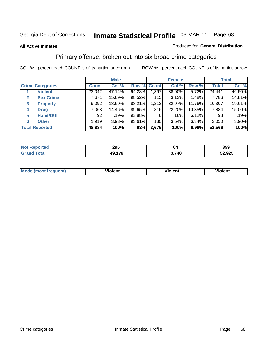### **All Active Inmates**

### Produced for **General Distribution**

## Primary offense, broken out into six broad crime categories

|                                  | <b>Male</b>  |        |             | <b>Female</b> |        |        | <b>Total</b> |        |
|----------------------------------|--------------|--------|-------------|---------------|--------|--------|--------------|--------|
| <b>Crime Categories</b>          | <b>Count</b> | Col %  | Row % Count |               | Col %  | Row %  | <b>Total</b> | Col %  |
| <b>Violent</b>                   | 23,042       | 47.14% | 94.28%      | 1,397         | 38.00% | 5.72%  | 24,441       | 46.50% |
| <b>Sex Crime</b><br>$\mathbf{2}$ | 7,671        | 15.69% | 98.52%      | 115           | 3.13%  | 1.48%  | 7,786        | 14.81% |
| $\mathbf{3}$<br><b>Property</b>  | 9,092        | 18.60% | 88.21%      | 1,212         | 32.97% | 11.76% | 10,307       | 19.61% |
| <b>Drug</b><br>4                 | 7,068        | 14.46% | 89.65%      | 816           | 22.20% | 10.35% | 7,884        | 15.00% |
| <b>Habit/DUI</b><br>5            | 92           | .19%   | 93.88%      | 6             | .16%   | 6.12%  | 98           | .19%   |
| <b>Other</b><br>6                | 1,919        | 3.93%  | 93.61%      | 130           | 3.54%  | 6.34%  | 2,050        | 3.90%  |
| <b>Total Reported</b>            | 48,884       | 100%   | 93%         | 3,676         | 100%   | 6.99%  | 52,566       | 100%   |

| 295       | 64           | 359    |
|-----------|--------------|--------|
| 170<br>49 | : 710<br>- 1 | 52,925 |

| <b>Mo</b><br>'uent) | .<br>วlent | $- -$<br>Violent | --<br>Violent |
|---------------------|------------|------------------|---------------|
|                     |            |                  |               |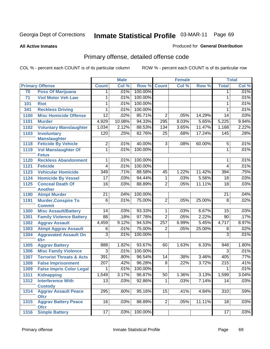**All Active Inmates**

### Produced for **General Distribution**

# Primary offense, detailed offense code

|      |                                             |                  | <b>Male</b> |         |                  | <b>Female</b> |        |                  | <b>Total</b> |
|------|---------------------------------------------|------------------|-------------|---------|------------------|---------------|--------|------------------|--------------|
|      | <b>Primary Offense</b>                      | <b>Count</b>     | Col %       | Row %   | <b>Count</b>     | Col %         | Row %  | <b>Total</b>     | Col %        |
| 70   | <b>Poss Of Marijuana</b>                    | 1                | .01%        | 100.00% |                  |               |        | 1                | .01%         |
| 71   | <b>Viol Motor Veh Law</b>                   | 1                | .01%        | 100.00% |                  |               |        | 1                | .01%         |
| 101  | <b>Riot</b>                                 |                  | .01%        | 100.00% |                  |               |        | 1                | .01%         |
| 341  | <b>Reckless Driving</b>                     | 1                | .01%        | 100.00% |                  |               |        | 1                | .01%         |
| 1100 | <b>Misc Homicide Offense</b>                | $\overline{12}$  | .02%        | 85.71%  | $\overline{2}$   | .05%          | 14.29% | $\overline{14}$  | .03%         |
| 1101 | <b>Murder</b>                               | 4,929            | 10.08%      | 94.33%  | 295              | 8.03%         | 5.65%  | 5,225            | 9.94%        |
| 1102 | <b>Voluntary Manslaughter</b>               | 1,034            | 2.12%       | 88.53%  | 134              | 3.65%         | 11.47% | 1,168            | 2.22%        |
| 1103 | <b>Involuntary</b>                          | 120              | .25%        | 82.76%  | 25               | .68%          | 17.24% | 145              | .28%         |
|      | <b>Manslaughter</b>                         |                  |             |         |                  |               |        |                  |              |
| 1118 | <b>Feticide By Vehicle</b>                  | 2                | .01%        | 40.00%  | 3                | .08%          | 60.00% | 5                | .01%         |
| 1119 | <b>Vol Manslaughter Of</b><br><b>Fetus</b>  | 1                | .01%        | 100.00% |                  |               |        | 1                | .01%         |
| 1120 | <b>Reckless Abandonment</b>                 |                  | .01%        | 100.00% |                  |               |        | 1                | .01%         |
| 1121 | <b>Feticide</b>                             | 4                | .01%        | 100.00% |                  |               |        | 4                | .01%         |
| 1123 | <b>Vehicular Homicide</b>                   | 349              | .71%        | 88.58%  | 45               | 1.22%         | 11.42% | 394              | .75%         |
| 1124 | <b>Homicide By Vessel</b>                   | $\overline{17}$  | .03%        | 94.44%  | 1                | .03%          | 5.56%  | $\overline{18}$  | .03%         |
| 1125 | <b>Conceal Death Of</b>                     | 16               | .03%        | 88.89%  | $\overline{2}$   | .05%          | 11.11% | $\overline{18}$  | .03%         |
|      | <b>Another</b>                              |                  |             |         |                  |               |        |                  |              |
| 1190 | <b>Atmpt Murder</b>                         | $\overline{21}$  | .04%        | 100.00% |                  |               |        | $\overline{21}$  | .04%         |
| 1191 | <b>Murder, Conspire To</b><br><b>Commit</b> | 6                | .01%        | 75.00%  | $\overline{2}$   | .05%          | 25.00% | $\overline{8}$   | .02%         |
| 1300 | <b>Misc Assault/Battery</b>                 | 14               | .03%        | 93.33%  | 1                | .03%          | 6.67%  | 15               | .03%         |
| 1301 | <b>Family Violence Battery</b>              | $\overline{88}$  | .18%        | 97.78%  | $\overline{2}$   | .05%          | 2.22%  | $\overline{90}$  | .17%         |
| 1302 | <b>Aggrav Assault</b>                       | 4,459            | 9.12%       | 94.53%  | $\overline{257}$ | 6.99%         | 5.45%  | 4,717            | 8.97%        |
| 1303 | <b>Atmpt Aggrav Assault</b>                 | 6                | .01%        | 75.00%  | 2                | .05%          | 25.00% | 8                | .02%         |
| 1304 | <b>Aggravated Assault On</b>                | 3                | .01%        | 100.00% |                  |               |        | 3                | .01%         |
|      | $65+$                                       |                  |             |         |                  |               |        |                  |              |
| 1305 | <b>Aggrav Battery</b>                       | 888              | 1.82%       | 93.67%  | 60               | 1.63%         | 6.33%  | 948              | 1.80%        |
| 1306 | <b>Misc Family Violence</b>                 | 3                | .01%        | 100.00% |                  |               |        | 3                | .01%         |
| 1307 | <b>Terrorist Threats &amp; Acts</b>         | 391              | .80%        | 96.54%  | 14               | .38%          | 3.46%  | 405              | .77%         |
| 1308 | <b>False Imprisonment</b>                   | $\overline{207}$ | .42%        | 96.28%  | 8                | .22%          | 3.72%  | $\overline{215}$ | .41%         |
| 1309 | <b>False Impris Color Legal</b>             | 1                | .01%        | 100.00% |                  |               |        | 1                | .01%         |
|      | 1311 Kidnapping                             | 1,549            | 3.17%       | 96.87%  | $\overline{50}$  | 1.36%         | 3.13%  | 1,599            | 3.04%        |
| 1312 | <b>Interference With</b><br><b>Custody</b>  | $\overline{13}$  | .03%        | 92.86%  | 1                | .03%          | 7.14%  | $\overline{14}$  | .03%         |
| 1314 | <b>Aggrav Assault Peace</b>                 | 295              | .60%        | 95.16%  | 15               | .41%          | 4.84%  | 310              | .59%         |
|      | <b>Ofcr</b>                                 |                  |             |         |                  |               |        |                  |              |
| 1315 | <b>Aggrav Battery Peace</b><br><b>Ofcr</b>  | 16               | .03%        | 88.89%  | 2                | .05%          | 11.11% | 18               | .03%         |
| 1316 | <b>Simple Battery</b>                       | 17               | .03%        | 100.00% |                  |               |        | 17               | .03%         |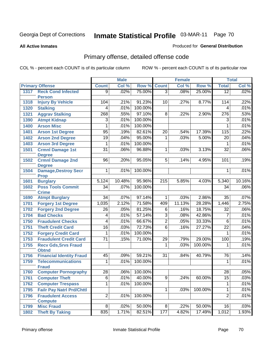**All Active Inmates**

### Produced for **General Distribution**

# Primary offense, detailed offense code

|      |                                             |                 | <b>Male</b> |         |                  | <b>Female</b> |         |                 | <b>Total</b> |
|------|---------------------------------------------|-----------------|-------------|---------|------------------|---------------|---------|-----------------|--------------|
|      | <b>Primary Offense</b>                      | <b>Count</b>    | Col %       | Row %   | <b>Count</b>     | Col %         | Row %   | <b>Total</b>    | Col %        |
| 1317 | <b>Reck Cond Infected</b>                   | $\overline{9}$  | .02%        | 75.00%  | $\overline{3}$   | .08%          | 25.00%  | $\overline{12}$ | .02%         |
|      | <b>Person</b>                               |                 |             |         |                  |               |         |                 |              |
| 1318 | <b>Injury By Vehicle</b>                    | 104             | .21%        | 91.23%  | 10               | .27%          | 8.77%   | 114             | .22%         |
| 1320 | <b>Stalking</b>                             | 4               | .01%        | 100.00% |                  |               |         | $\overline{4}$  | .01%         |
| 1321 | <b>Aggrav Stalking</b>                      | 268             | .55%        | 97.10%  | $\overline{8}$   | $.22\%$       | 2.90%   | 276             | .53%         |
| 1390 | <b>Atmpt Kidnap</b>                         | 3               | .01%        | 100.00% |                  |               |         | 3               | .01%         |
| 1400 | <b>Arson Misc</b>                           | $\overline{1}$  | .01%        | 100.00% |                  |               |         | 1               | .01%         |
| 1401 | <b>Arson 1st Degree</b>                     | 95              | .19%        | 82.61%  | $\overline{20}$  | .54%          | 17.39%  | 115             | .22%         |
| 1402 | <b>Arson 2nd Degree</b>                     | $\overline{19}$ | .04%        | 95.00%  | 1                | .03%          | 5.00%   | 20              | .04%         |
| 1403 | <b>Arson 3rd Degree</b>                     | 1               | .01%        | 100.00% |                  |               |         | 1               | .01%         |
| 1501 | <b>Crmnl Damage 1st</b><br><b>Degree</b>    | $\overline{31}$ | .06%        | 96.88%  | 1                | .03%          | 3.13%   | $\overline{32}$ | .06%         |
| 1502 | <b>Crmnl Damage 2nd</b><br><b>Degree</b>    | 96              | .20%        | 95.05%  | 5                | .14%          | 4.95%   | 101             | .19%         |
| 1504 | <b>Damage, Destroy Secr</b><br><b>Prop</b>  | 1               | .01%        | 100.00% |                  |               |         | 1               | .01%         |
| 1601 | <b>Burglary</b>                             | 5,124           | 10.48%      | 95.96%  | $\overline{215}$ | 5.85%         | 4.03%   | 5,340           | 10.16%       |
| 1602 | <b>Poss Tools Commit</b>                    | $\overline{34}$ | .07%        | 100.00% |                  |               |         | 34              | .06%         |
|      | <b>Crime</b>                                |                 |             |         |                  |               |         |                 |              |
| 1690 | <b>Atmpt Burglary</b>                       | $\overline{34}$ | .07%        | 97.14%  | 1                | .03%          | 2.86%   | $\overline{35}$ | .07%         |
| 1701 | <b>Forgery 1st Degree</b>                   | 1,035           | 2.12%       | 71.58%  | 409              | 11.13%        | 28.28%  | 1,446           | 2.75%        |
| 1702 | <b>Forgery 2nd Degree</b>                   | $\overline{26}$ | .05%        | 81.25%  | $\overline{6}$   | .16%          | 18.75%  | $\overline{32}$ | .06%         |
| 1704 | <b>Bad Checks</b>                           | 4               | .01%        | 57.14%  | $\overline{3}$   | .08%          | 42.86%  | $\overline{7}$  | .01%         |
| 1750 | <b>Fraudulent Checks</b>                    | $\overline{4}$  | .01%        | 66.67%  | $\overline{2}$   | .05%          | 33.33%  | $\overline{6}$  | .01%         |
| 1751 | <b>Theft Credit Card</b>                    | 16              | .03%        | 72.73%  | $\overline{6}$   | .16%          | 27.27%  | $\overline{22}$ | .04%         |
| 1752 | <b>Forgery Credit Card</b>                  | 1               | .01%        | 100.00% |                  |               |         | 1               | .01%         |
| 1753 | <b>Fraudulent Credit Card</b>               | $\overline{71}$ | .15%        | 71.00%  | 29               | .79%          | 29.00%  | 100             | .19%         |
| 1755 | <b>Recv Gds, Srvs Fraud</b><br><b>Obtnd</b> |                 |             |         | 1                | .03%          | 100.00% | 1               | .01%         |
| 1756 | <b>Financial Identity Fraud</b>             | 45              | .09%        | 59.21%  | $\overline{31}$  | .84%          | 40.79%  | 76              | .14%         |
| 1759 | <b>Telecommunications</b>                   | $\overline{1}$  | .01%        | 100.00% |                  |               |         | 1               | .01%         |
|      | <b>Fraud</b>                                |                 |             |         |                  |               |         |                 |              |
| 1760 | <b>Computer Pornography</b>                 | $\overline{28}$ | $.06\%$     | 100.00% |                  |               |         | 28              | .05%         |
| 1761 | <b>Computer Theft</b>                       | $\overline{6}$  | .01%        | 40.00%  | $\overline{9}$   | .24%          | 60.00%  | $\overline{15}$ | .03%         |
| 1762 | <b>Computer Trespass</b>                    | 1               | .01%        | 100.00% |                  |               |         | 1               | .01%         |
| 1795 | <b>Failr Pay Natrl Prd/Chttl</b>            |                 |             |         | $\mathbf{1}$     | .03%          | 100.00% | 1               | .01%         |
| 1796 | <b>Fraudulent Access</b>                    | $\overline{2}$  | .01%        | 100.00% |                  |               |         | $\overline{2}$  | .01%         |
|      | <b>Compute</b>                              |                 |             |         |                  |               |         |                 |              |
| 1799 | <b>Misc Fraud</b>                           | $\overline{8}$  | .02%        | 50.00%  | 8 <sup>1</sup>   | .22%          | 50.00%  | 16              | .03%         |
| 1802 | <b>Theft By Taking</b>                      | 835             | 1.71%       | 82.51%  | 177              | 4.82%         | 17.49%  | 1,012           | 1.93%        |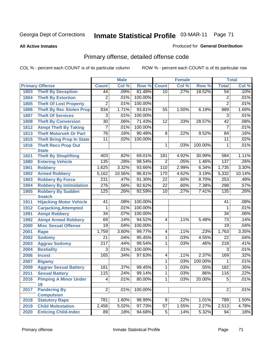**All Active Inmates**

### Produced for **General Distribution**

# Primary offense, detailed offense code

|      |                                                 |                  | <b>Male</b> |         |                 | <b>Female</b> |         |                  | <b>Total</b> |
|------|-------------------------------------------------|------------------|-------------|---------|-----------------|---------------|---------|------------------|--------------|
|      | <b>Primary Offense</b>                          | <b>Count</b>     | Col %       | Row %   | <b>Count</b>    | Col %         | Row %   | <b>Total</b>     | Col %        |
| 1803 | <b>Theft By Deception</b>                       | 44               | .09%        | 81.48%  | 10              | .27%          | 18.52%  | 54               | .10%         |
| 1804 | <b>Theft By Extortion</b>                       | 2                | .01%        | 100.00% |                 |               |         | 2                | .01%         |
| 1805 | <b>Theft Of Lost Property</b>                   | $\overline{2}$   | .01%        | 100.00% |                 |               |         | $\overline{2}$   | .01%         |
| 1806 | <b>Theft By Rec Stolen Prop</b>                 | 834              | 1.71%       | 93.81%  | 55              | 1.50%         | 6.19%   | 889              | 1.69%        |
| 1807 | <b>Theft Of Services</b>                        | $\overline{3}$   | .01%        | 100.00% |                 |               |         | 3                | .01%         |
| 1808 | <b>Theft By Conversion</b>                      | $\overline{30}$  | .06%        | 71.43%  | 12              | .33%          | 28.57%  | $\overline{42}$  | .08%         |
| 1812 | <b>Atmpt Theft By Taking</b>                    | 7                | .01%        | 100.00% |                 |               |         | $\overline{7}$   | .01%         |
| 1813 | <b>Theft Motorveh Or Part</b>                   | 76               | .16%        | 90.48%  | 8               | .22%          | 9.52%   | 84               | .16%         |
| 1815 | <b>Theft Bring Prop In State</b>                | $\overline{11}$  | .02%        | 100.00% |                 |               |         | $\overline{11}$  | .02%         |
| 1816 | <b>Theft Recv Prop Out</b>                      |                  |             |         | 1               | .03%          | 100.00% | 1                | .01%         |
|      | <b>State</b>                                    |                  |             |         |                 |               |         |                  |              |
| 1821 | <b>Theft By Shoplifting</b>                     | 403              | .82%        | 69.01%  | 181             | 4.92%         | 30.99%  | 584              | 1.11%        |
| 1880 | <b>Entering Vehicle</b>                         | 135              | .28%        | 98.54%  | $\overline{2}$  | .05%          | 1.46%   | 137              | .26%         |
| 1901 | <b>Robbery</b>                                  | 1,625            | 3.32%       | 93.66%  | 110             | 2.99%         | 6.34%   | 1,735            | 3.30%        |
| 1902 | <b>Armed Robbery</b>                            | 5,162            | 10.56%      | 96.81%  | 170             | 4.62%         | 3.19%   | 5,332            | 10.14%       |
| 1903 | <b>Robbery By Force</b>                         | 231              | .47%        | 91.30%  | $\overline{22}$ | .60%          | 8.70%   | 253              | .48%         |
| 1904 | <b>Robbery By Intimidation</b>                  | $\overline{276}$ | .56%        | 92.62%  | $\overline{22}$ | .60%          | 7.38%   | 298              | .57%         |
| 1905 | <b>Robbery By Sudden</b>                        | 125              | .26%        | 92.59%  | 10              | .27%          | 7.41%   | 135              | .26%         |
| 1911 | <b>Snatch</b><br><b>Hijacking Motor Vehicle</b> | 41               | .08%        | 100.00% |                 |               |         | 41               | .08%         |
| 1912 | <b>Carjacking, Attempted</b>                    | 1                | .01%        | 100.00% |                 |               |         | 1                | .01%         |
| 1991 | <b>Atmpt Robbery</b>                            | $\overline{34}$  | .07%        | 100.00% |                 |               |         | $\overline{34}$  | .06%         |
| 1992 | <b>Atmpt Armed Robbery</b>                      | 69               | .14%        | 94.52%  | 4               | .11%          | 5.48%   | $\overline{73}$  | .14%         |
| 2000 | <b>Misc Sexual Offense</b>                      | $\overline{19}$  | .04%        | 100.00% |                 |               |         | $\overline{19}$  | .04%         |
| 2001 | <b>Rape</b>                                     | 1,759            | 3.60%       | 99.77%  | 4               | .11%          | .23%    | 1,763            | 3.35%        |
| 2002 | <b>Sodomy</b>                                   | $\overline{21}$  | .04%        | 95.45%  | $\overline{1}$  | .03%          | 4.55%   | $\overline{22}$  | .04%         |
| 2003 | <b>Aggrav Sodomy</b>                            | $\overline{217}$ | .44%        | 99.54%  | 1               | .03%          | .46%    | $\overline{218}$ | .41%         |
| 2004 | <b>Bestiality</b>                               | 3                | .01%        | 100.00% |                 |               |         | 3                | .01%         |
| 2006 | <b>Incest</b>                                   | 165              | .34%        | 97.63%  | 4               | .11%          | 2.37%   | 169              | .32%         |
| 2007 | <b>Bigamy</b>                                   |                  |             |         | 1               | .03%          | 100.00% | 1                | .01%         |
| 2009 | <b>Aggrav Sexual Battery</b>                    | 181              | .37%        | 99.45%  | 1               | .03%          | .55%    | 182              | .35%         |
| 2011 | <b>Sexual Battery</b>                           | 115              | 24%         | 99.14%  | 1               | 03%           | $.86\%$ | 116              | .22%         |
| 2016 | <b>Pimping A Minor Under</b>                    | $\overline{4}$   | .01%        | 80.00%  | 1               | .03%          | 20.00%  | $\overline{5}$   | .01%         |
|      | 18                                              |                  |             |         |                 |               |         |                  |              |
| 2017 | <b>Pandering By</b>                             | $\overline{2}$   | .01%        | 100.00% |                 |               |         | $\overline{2}$   | .01%         |
|      | <b>Compulsion</b>                               |                  |             |         |                 |               |         |                  |              |
| 2018 | <b>Statutory Rape</b>                           | 781              | 1.60%       | 98.99%  | $\overline{8}$  | .22%          | 1.01%   | 789              | 1.50%        |
| 2019 | <b>Child Molestation</b>                        | 2,456            | 5.02%       | 97.73%  | $\overline{57}$ | 1.55%         | 2.27%   | 2,513            | 4.78%        |
| 2020 | <b>Enticing Child-Indec</b>                     | 89               | .18%        | 94.68%  | 5 <sup>1</sup>  | .14%          | 5.32%   | 94               | .18%         |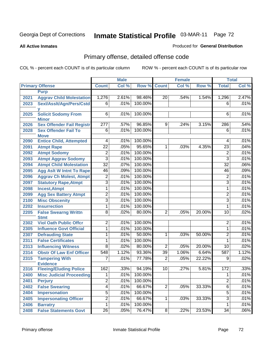#### **All Active Inmates**

#### Produced for **General Distribution**

# Primary offense, detailed offense code

|      |                                                  |                         | <b>Male</b> |         |                | <b>Female</b> |        |                 | <b>Total</b> |
|------|--------------------------------------------------|-------------------------|-------------|---------|----------------|---------------|--------|-----------------|--------------|
|      | <b>Primary Offense</b>                           | <b>Count</b>            | Col %       |         | Row % Count    | Col %         | Row %  | <b>Total</b>    | Col %        |
|      | <b>Purp</b>                                      |                         |             |         |                |               |        |                 |              |
| 2021 | <b>Aggrav Child Molestation</b>                  | 1,276                   | 2.61%       | 98.46%  | 20             | .54%          | 1.54%  | 1,296           | 2.47%        |
| 2023 | Sexl/Asslt/Agn/Pers/Cstd                         | 6                       | .01%        | 100.00% |                |               |        | 6               | .01%         |
|      |                                                  |                         |             |         |                |               |        |                 |              |
| 2025 | <b>Solicit Sodomy From</b>                       | 6 <sup>1</sup>          | .01%        | 100.00% |                |               |        | 6               | .01%         |
|      | <b>Minor</b><br><b>Sex Offender Fail Registr</b> | 277                     | .57%        | 96.85%  | 9              | .24%          |        | 286             | .54%         |
| 2026 | <b>Sex Offender Fail To</b>                      | $\overline{6}$          |             | 100.00% |                |               | 3.15%  | $\overline{6}$  | .01%         |
| 2028 | <b>Move</b>                                      |                         | .01%        |         |                |               |        |                 |              |
| 2090 | <b>Entice Child, Attempted</b>                   | 4                       | .01%        | 100.00% |                |               |        | 4               | .01%         |
| 2091 | <b>Atmpt Rape</b>                                | $\overline{22}$         | .05%        | 95.65%  | 1.             | .03%          | 4.35%  | $\overline{23}$ | .04%         |
| 2092 | <b>Atmpt Sodomy</b>                              | $\overline{2}$          | .01%        | 100.00% |                |               |        | $\overline{2}$  | .01%         |
| 2093 | <b>Atmpt Aggrav Sodomy</b>                       | $\overline{3}$          | .01%        | 100.00% |                |               |        | $\overline{3}$  | .01%         |
| 2094 | <b>Atmpt Child Molestation</b>                   | $\overline{32}$         | .07%        | 100.00% |                |               |        | $\overline{32}$ | .06%         |
| 2095 | <b>Agg Aslt W Intnt To Rape</b>                  | 46                      | .09%        | 100.00% |                |               |        | 46              | .09%         |
| 2096 | <b>Aggrav Ch Molest, Atmpt</b>                   | $\overline{\mathbf{c}}$ | .01%        | 100.00% |                |               |        | $\overline{2}$  | .01%         |
| 2097 | <b>Statutory Rape, Atmpt</b>                     | $\overline{3}$          | .01%        | 100.00% |                |               |        | $\overline{3}$  | .01%         |
| 2098 | <b>Incest, Atmpt</b>                             | $\mathbf{1}$            | .01%        | 100.00% |                |               |        | 1               | .01%         |
| 2099 | <b>Agg Sex Battery Atmpt</b>                     | $\overline{2}$          | .01%        | 100.00% |                |               |        | $\overline{2}$  | .01%         |
| 2100 | <b>Misc Obscenity</b>                            | 3                       | .01%        | 100.00% |                |               |        | $\overline{3}$  | .01%         |
| 2202 | <b>Insurrection</b>                              | $\overline{1}$          | .01%        | 100.00% |                |               |        | 1               | .01%         |
| 2205 | <b>False Swearng Writtn</b>                      | $\overline{8}$          | .02%        | 80.00%  | $\overline{2}$ | .05%          | 20.00% | 10              | .02%         |
|      | <b>Stmt</b>                                      |                         |             |         |                |               |        |                 |              |
| 2302 | <b>Viol Oath Public Offcr</b>                    | $\overline{2}$          | .01%        | 100.00% |                |               |        | 2               | .01%         |
| 2305 | <b>Influence Govt Official</b>                   | 1                       | .01%        | 100.00% |                |               |        | 1               | .01%         |
| 2307 | <b>Defrauding State</b>                          | 1                       | .01%        | 50.00%  | 1              | .03%          | 50.00% | 2               | .01%         |
| 2311 | <b>False Certificates</b>                        | 1                       | .01%        | 100.00% |                |               |        | 1               | .01%         |
| 2313 | <b>Influencing Witness</b>                       | $\overline{8}$          | .02%        | 80.00%  | $\overline{2}$ | .05%          | 20.00% | 10              | .02%         |
| 2314 | <b>Obstr Of Law Enf Officer</b>                  | 548                     | 1.12%       | 93.36%  | 39             | 1.06%         | 6.64%  | 587             | 1.12%        |
| 2315 | <b>Tampering With</b>                            | $\overline{7}$          | .01%        | 77.78%  | $\overline{2}$ | .05%          | 22.22% | $\overline{9}$  | .02%         |
|      | <b>Evidence</b>                                  |                         |             |         |                |               |        |                 |              |
| 2316 | <b>Fleeing/Eluding Police</b>                    | 162                     | .33%        | 94.19%  | 10             | .27%          | 5.81%  | 172             | .33%         |
| 2400 | <b>Misc Judicial Proceeding</b>                  | $\overline{1}$          | .01%        | 100.00% |                |               |        | $\overline{1}$  | .01%         |
| 2401 | <b>Perjury</b>                                   | $\overline{2}$          | .01%        | 100.00% |                |               |        | $\overline{2}$  | .01%         |
| 2402 | <b>False Swearing</b>                            | $\overline{4}$          | .01%        | 66.67%  | $\overline{2}$ | .05%          | 33.33% | $\overline{6}$  | .01%         |
| 2404 | Impersonation                                    | $\overline{5}$          | .01%        | 100.00% |                |               |        | $\overline{5}$  | .01%         |
| 2405 | <b>Impersonating Officer</b>                     | $\overline{2}$          | .01%        | 66.67%  | $\mathbf{1}$   | .03%          | 33.33% | $\overline{3}$  | .01%         |
| 2406 | <b>Barratry</b>                                  | $\overline{1}$          | .01%        | 100.00% |                |               |        | $\mathbf{1}$    | .01%         |
| 2408 | <b>False Statements Govt</b>                     | $\overline{26}$         | .05%        | 76.47%  | 8 <sup>1</sup> | .22%          | 23.53% | $\overline{34}$ | .06%         |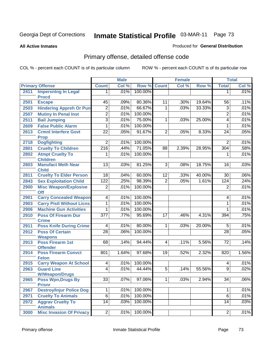#### **All Active Inmates**

#### Produced for **General Distribution**

# Primary offense, detailed offense code

|      |                                            |                  | <b>Male</b> |         |                 | <b>Female</b> |        |                 | <b>Total</b> |
|------|--------------------------------------------|------------------|-------------|---------|-----------------|---------------|--------|-----------------|--------------|
|      | <b>Primary Offense</b>                     | <b>Count</b>     | Col %       | Row %   | <b>Count</b>    | Col %         | Row %  | <b>Total</b>    | Col %        |
| 2411 | <b>Impersntng In Legal</b>                 | 1                | .01%        | 100.00% |                 |               |        | 1               | .01%         |
|      | <b>Procd</b>                               |                  |             |         |                 |               |        |                 |              |
| 2501 | <b>Escape</b>                              | $\overline{45}$  | .09%        | 80.36%  | $\overline{11}$ | .30%          | 19.64% | 56              | .11%         |
| 2503 | <b>Hindering Appreh Or Pun</b>             | $\overline{2}$   | .01%        | 66.67%  | 1               | .03%          | 33.33% | $\overline{3}$  | .01%         |
| 2507 | <b>Mutiny In Penal Inst</b>                | $\overline{2}$   | .01%        | 100.00% |                 |               |        | $\overline{2}$  | .01%         |
| 2511 | <b>Bail Jumping</b>                        | $\overline{3}$   | .01%        | 75.00%  | 1               | .03%          | 25.00% | 4               | .01%         |
| 2609 | <b>False Public Alarm</b>                  | 1                | .01%        | 100.00% |                 |               |        | $\mathbf{1}$    | .01%         |
| 2613 | <b>Crmnl Interfere Govt</b>                | $\overline{22}$  | .05%        | 91.67%  | $\overline{2}$  | .05%          | 8.33%  | $\overline{24}$ | .05%         |
|      | <b>Prop</b>                                |                  |             |         |                 |               |        |                 |              |
| 2718 | <b>Dogfighting</b>                         | $\overline{2}$   | .01%        | 100.00% |                 |               |        | $\overline{2}$  | .01%         |
| 2801 | <b>Cruelty To Children</b>                 | $\overline{216}$ | .44%        | 71.05%  | 88              | 2.39%         | 28.95% | 304             | .58%         |
| 2802 | <b>Atmpt Cruelty To</b>                    | 1                | .01%        | 100.00% |                 |               |        | 1               | .01%         |
|      | <b>Children</b>                            |                  |             |         |                 |               | 18.75% |                 |              |
| 2803 | <b>Manufact Meth Near</b><br><b>Child</b>  | 13               | .03%        | 81.25%  | 3               | .08%          |        | 16              | .03%         |
| 2811 | <b>Cruelty To Elder Person</b>             | $\overline{18}$  | .04%        | 60.00%  | 12              | .33%          | 40.00% | $\overline{30}$ | .06%         |
| 2843 | <b>Sex Exploitation Child</b>              | 122              | .25%        | 98.39%  | $\overline{2}$  | .05%          | 1.61%  | 124             | .24%         |
| 2900 | <b>Misc Weapon/Explosive</b>               | $\overline{2}$   | .01%        | 100.00% |                 |               |        | $\overline{2}$  | .01%         |
|      | <b>Off</b>                                 |                  |             |         |                 |               |        |                 |              |
| 2901 | <b>Carry Concealed Weapon</b>              | 4                | .01%        | 100.00% |                 |               |        | 4               | .01%         |
| 2903 | <b>Carry Pistl Without Licns</b>           | 1                | .01%        | 100.00% |                 |               |        | 1               | .01%         |
| 2906 | <b>Machine Gun Activities</b>              | 1                | .01%        | 100.00% |                 |               |        | 1               | .01%         |
| 2910 | <b>Poss Of Firearm Dur</b>                 | $\overline{377}$ | .77%        | 95.69%  | 17              | .46%          | 4.31%  | 394             | .75%         |
|      | <b>Crime</b>                               |                  |             |         |                 |               |        |                 |              |
| 2911 | <b>Poss Knife During Crime</b>             | 4                | .01%        | 80.00%  | $\mathbf 1$     | .03%          | 20.00% | $\overline{5}$  | .01%         |
| 2912 | <b>Poss Of Certain</b>                     | $\overline{28}$  | .06%        | 100.00% |                 |               |        | $\overline{28}$ | .05%         |
|      | <b>Weapons</b>                             |                  |             |         |                 |               |        |                 |              |
| 2913 | <b>Poss Firearm 1st</b>                    | 68               | .14%        | 94.44%  | $\overline{4}$  | .11%          | 5.56%  | $\overline{72}$ | .14%         |
|      | <b>Offender</b>                            | 801              |             | 97.68%  | 19              | .52%          | 2.32%  |                 | 1.56%        |
| 2914 | <b>Poss Firearm Convct</b><br><b>Felon</b> |                  | 1.64%       |         |                 |               |        | 820             |              |
| 2915 | <b>Carry Weapon At School</b>              | 4                | .01%        | 100.00% |                 |               |        | 4               | .01%         |
| 2963 | <b>Guard Line</b>                          | 4                | .01%        | 44.44%  | $\overline{5}$  | .14%          | 55.56% | $\overline{9}$  | .02%         |
|      | <b>W/Weapon/Drugs</b>                      |                  |             |         |                 |               |        |                 |              |
| 2965 | <b>Poss Wpn, Drugs By</b>                  | $\overline{33}$  | .07%        | 97.06%  | 1 <sup>1</sup>  | .03%          | 2.94%  | $\overline{34}$ | .06%         |
|      | <b>Prisnr</b>                              |                  |             |         |                 |               |        |                 |              |
| 2967 | <b>Destroy/Injur Police Dog</b>            | 1                | .01%        | 100.00% |                 |               |        | 1               | .01%         |
| 2971 | <b>Cruelty To Animals</b>                  | $\overline{6}$   | .01%        | 100.00% |                 |               |        | $\overline{6}$  | .01%         |
| 2972 | <b>Aggrav Cruelty To</b>                   | $\overline{14}$  | .03%        | 100.00% |                 |               |        | 14              | .03%         |
|      | <b>Animals</b>                             |                  |             |         |                 |               |        |                 |              |
| 3000 | <b>Misc Invasion Of Privacy</b>            | $\overline{2}$   | .01%        | 100.00% |                 |               |        | $\overline{2}$  | .01%         |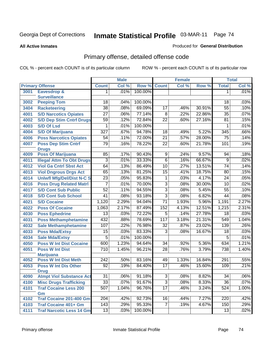**All Active Inmates**

#### Produced for **General Distribution**

# Primary offense, detailed offense code

|      |                                    |                  | <b>Male</b> |         |                 | <b>Female</b> |        |                 | <b>Total</b> |
|------|------------------------------------|------------------|-------------|---------|-----------------|---------------|--------|-----------------|--------------|
|      | <b>Primary Offense</b>             | <b>Count</b>     | Col %       | Row %   | <b>Count</b>    | Col %         | Row %  | <b>Total</b>    | Col %        |
| 3001 | <b>Eavesdrop &amp;</b>             | 1                | .01%        | 100.00% |                 |               |        | $\mathbf 1$     | .01%         |
|      | <b>Surveillance</b>                |                  |             |         |                 |               |        |                 |              |
| 3002 | <b>Peeping Tom</b>                 | 18               | .04%        | 100.00% |                 |               |        | 18              | .03%         |
| 3404 | <b>Racketeering</b>                | $\overline{38}$  | .08%        | 69.09%  | $\overline{17}$ | .46%          | 30.91% | $\overline{55}$ | .10%         |
| 4001 | <b>S/D Narcotics Opiates</b>       | $\overline{27}$  | .06%        | 77.14%  | 8               | .22%          | 22.86% | 35              | .07%         |
| 4002 | <b>S/D Dep Stim Cntrf Drugs</b>    | 59               | .12%        | 72.84%  | $\overline{22}$ | .60%          | 27.16% | 81              | .15%         |
| 4003 | <b>S/D Of Lsd</b>                  | 1                | .01%        | 100.00% |                 |               |        | 1               | .01%         |
| 4004 | <b>S/D Of Marijuana</b>            | 327              | .67%        | 94.78%  | $\overline{18}$ | .49%          | 5.22%  | 345             | .66%         |
| 4006 | <b>Poss Narcotics Opiates</b>      | 54               | .11%        | 72.00%  | $\overline{21}$ | .57%          | 28.00% | $\overline{75}$ | .14%         |
| 4007 | <b>Poss Dep Stim Cntrf</b>         | 79               | .16%        | 78.22%  | $\overline{22}$ | .60%          | 21.78% | 101             | .19%         |
|      | <b>Drugs</b>                       |                  |             |         |                 |               |        |                 |              |
| 4009 | <b>Poss Of Marijuana</b>           | 85               | .17%        | 90.43%  | $\overline{9}$  | .24%          | 9.57%  | 94              | .18%         |
| 4011 | <b>Illegal Attm To Obt Drugs</b>   | $\overline{3}$   | .01%        | 33.33%  | $\overline{6}$  | .16%          | 66.67% | $\overline{9}$  | .02%         |
| 4012 | <b>Viol Ga Cntrl Sbst Act</b>      | 64               | .13%        | 86.49%  | $\overline{10}$ | .27%          | 13.51% | $\overline{74}$ | .14%         |
| 4013 | <b>Viol Dngrous Drgs Act</b>       | 65               | .13%        | 81.25%  | $\overline{15}$ | .41%          | 18.75% | 80              | .15%         |
| 4014 | <b>Uniwfl Mfg/Del/Dist N-C S</b>   | $\overline{23}$  | .05%        | 95.83%  | 1               | .03%          | 4.17%  | $\overline{24}$ | .05%         |
| 4016 | <b>Poss Drug Related Matri</b>     | 7                | .01%        | 70.00%  | $\overline{3}$  | .08%          | 30.00% | 10              | .02%         |
| 4017 | <b>S/D Cont Sub Public</b>         | $\overline{52}$  | .11%        | 94.55%  | $\overline{3}$  | .08%          | 5.45%  | $\overline{55}$ | .10%         |
| 4018 | <b>S/D Cont Sub School</b>         | $\overline{41}$  | .08%        | 93.18%  | $\overline{3}$  | .08%          | 6.82%  | $\overline{44}$ | .08%         |
| 4021 | <b>S/D Cocaine</b>                 | 1,120            | 2.29%       | 94.04%  | $\overline{71}$ | 1.93%         | 5.96%  | 1,191           | 2.27%        |
| 4022 | <b>Poss Of Cocaine</b>             | 1,063            | 2.17%       | 87.49%  | 152             | 4.13%         | 12.51% | 1,215           | 2.31%        |
| 4030 | <b>Poss Ephedrine</b>              | $\overline{13}$  | .03%        | 72.22%  | $\overline{5}$  | .14%          | 27.78% | $\overline{18}$ | .03%         |
| 4031 | <b>Poss Methamphetamine</b>        | 432              | .88%        | 78.69%  | 117             | 3.18%         | 21.31% | 549             | 1.04%        |
| 4032 | <b>Sale Methamphetamine</b>        | 107              | .22%        | 76.98%  | $\overline{32}$ | .87%          | 23.02% | 139             | .26%         |
| 4033 | <b>Poss Mda/Extsy</b>              | $\overline{15}$  | .03%        | 83.33%  | $\overline{3}$  | .08%          | 16.67% | 18              | .03%         |
| 4034 | <b>Sale Mda/Extsy</b>              | $\overline{5}$   | .01%        | 100.00% |                 |               |        | $\overline{5}$  | .01%         |
| 4050 | <b>Poss W Int Dist Cocaine</b>     | 600              | 1.23%       | 94.64%  | $\overline{34}$ | .92%          | 5.36%  | 634             | 1.21%        |
| 4051 | <b>Poss W Int Dist</b>             | 710              | 1.45%       | 96.21%  | $\overline{28}$ | .76%          | 3.79%  | 738             | 1.40%        |
|      | <b>Marijuana</b>                   |                  |             |         |                 |               |        |                 |              |
| 4052 | <b>Poss W Int Dist Meth</b>        | 242              | .50%        | 83.16%  | 49              | 1.33%         | 16.84% | 291             | .55%         |
| 4053 | <b>Poss W Int Dis Other</b>        | 92               | .19%        | 84.40%  | $\overline{17}$ | .46%          | 15.60% | 109             | .21%         |
|      | <b>Drug</b>                        |                  |             |         |                 |               |        |                 |              |
| 4090 | <b>Atmpt Viol Substance Act</b>    | 31               | .06%        | 91.18%  | 3               | .08%          | 8.82%  | 34              | .06%         |
| 4100 | <b>Misc Drugs Trafficking</b>      | $\overline{33}$  | .07%        | 91.67%  | $\overline{3}$  | .08%          | 8.33%  | $\overline{36}$ | .07%         |
| 4101 | <b>Traf Cocaine Less 200</b><br>Gm | $\overline{507}$ | 1.04%       | 96.76%  | 17              | .46%          | 3.24%  | 524             | 1.00%        |
| 4102 | <b>Traf Cocaine 201-400 Gm</b>     | 204              | .42%        | 92.73%  | 16              | .44%          | 7.27%  | 220             | .42%         |
| 4103 | <b>Traf Cocaine 401+ Gm</b>        | $\overline{143}$ | .29%        | 95.33%  | $\overline{7}$  | .19%          | 4.67%  | 150             | .29%         |
| 4111 | <b>Traf Narcotic Less 14 Gm</b>    | 13               | .03%        | 100.00% |                 |               |        | 13              | .02%         |
|      |                                    |                  |             |         |                 |               |        |                 |              |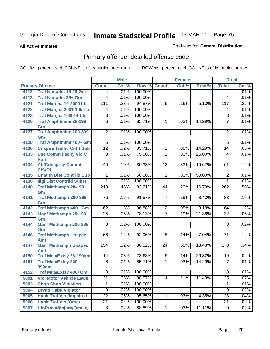**All Active Inmates**

#### Produced for **General Distribution**

# Primary offense, detailed offense code

|      |                                     |                  | <b>Male</b> |         |                | <b>Female</b> |        |                         | <b>Total</b> |
|------|-------------------------------------|------------------|-------------|---------|----------------|---------------|--------|-------------------------|--------------|
|      | <b>Primary Offense</b>              | <b>Count</b>     | Col %       | Row %   | <b>Count</b>   | Col %         | Row %  | <b>Total</b>            | Col %        |
| 4112 | <b>Traf Narcotic 15-28 Gm</b>       | 4                | .01%        | 100.00% |                |               |        | 4                       | .01%         |
| 4113 | <b>Traf Narcotic 29+ Gm</b>         | 4                | .01%        | 100.00% |                |               |        | 4                       | .01%         |
| 4121 | Traf Marijna 10-2000 Lb             | 111              | .23%        | 94.87%  | 6              | .16%          | 5.13%  | 117                     | .22%         |
| 4122 | <b>Traf Marijna 2001-10k Lb</b>     | 4                | .01%        | 100.00% |                |               |        | 4                       | .01%         |
| 4123 | Traf Marijna 10001+ Lb              | $\overline{3}$   | .01%        | 100.00% |                |               |        | $\overline{3}$          | .01%         |
| 4126 | <b>Traf Amphtmine 28-199</b>        | $\overline{6}$   | .01%        | 85.71%  | 1              | .03%          | 14.29% | $\overline{7}$          | .01%         |
|      | Gm                                  |                  |             |         |                |               |        |                         |              |
| 4127 | <b>Traf Amphtmine 200-399</b><br>Gm | $\overline{2}$   | .01%        | 100.00% |                |               |        | $\overline{2}$          | .01%         |
| 4128 | <b>Traf Amphtmine 400+ Gm</b>       | $\overline{5}$   | .01%        | 100.00% |                |               |        | $\overline{5}$          | .01%         |
| 4130 | <b>Cnspire Traffic Cntrl Sub</b>    | $\overline{12}$  | .02%        | 85.71%  | $\overline{2}$ | .05%          | 14.29% | $\overline{14}$         | .03%         |
| 4133 | <b>Use Comm Facity Vio C</b>        | $\overline{3}$   | .01%        | 75.00%  | $\mathbf{1}$   | .03%          | 25.00% | $\overline{4}$          | .01%         |
|      | <b>Sub</b>                          |                  |             |         |                |               |        |                         |              |
| 4134 | <b>Att/Consprcy Commt</b>           | 49               | .10%        | 80.33%  | 12             | .33%          | 19.67% | 61                      | .12%         |
|      | C/S/Of                              |                  |             |         |                |               |        |                         |              |
| 4135 | <b>Unauth Dist Contrild Sub</b>     | 1                | .01%        | 50.00%  | 1              | .03%          | 50.00% | $\overline{\mathbf{c}}$ | .01%         |
| 4136 | <b>Illgl Dist Contrild Subst</b>    | 1                | .01%        | 100.00% |                |               |        | $\mathbf{1}$            | .01%         |
| 4140 | <b>Traf Methamph 28-199</b><br>Gm   | $\overline{218}$ | .45%        | 83.21%  | 44             | 1.20%         | 16.79% | 262                     | .50%         |
| 4141 | <b>Traf Methamph 200-399</b>        | 76               | .16%        | 91.57%  | 7              | .19%          | 8.43%  | 83                      | .16%         |
|      | Gm                                  |                  |             |         |                |               |        |                         |              |
| 4142 | Traf Methamph 400+ Gm               | 62               | .13%        | 96.88%  | $\overline{2}$ | .05%          | 3.13%  | 64                      | .12%         |
| 4143 | <b>Manf Methamph 28-199</b>         | $\overline{25}$  | .05%        | 78.13%  | 7              | .19%          | 21.88% | $\overline{32}$         | .06%         |
|      | Gm                                  |                  |             |         |                |               |        |                         |              |
| 4144 | <b>Manf Methamph 200-399</b>        | 8                | .02%        | 100.00% |                |               |        | 8                       | .02%         |
|      | Gm                                  |                  |             | 92.96%  | $\overline{5}$ |               | 7.04%  | 71                      | .14%         |
| 4146 | <b>Traf Methamph Unspec</b><br>Amt  | 66               | .14%        |         |                | .14%          |        |                         |              |
| 4147 | <b>Manf Methamph Unspec</b>         | 154              | .32%        | 86.52%  | 24             | .65%          | 13.48% | 178                     | .34%         |
|      | Amt                                 |                  |             |         |                |               |        |                         |              |
| 4150 | <b>Traf Mda/Extsy 28-199gm</b>      | $\overline{14}$  | .03%        | 73.68%  | $\overline{5}$ | .14%          | 26.32% | 19                      | .04%         |
| 4151 | <b>Traf Mda/Extsy 200-</b>          | $\overline{6}$   | .01%        | 85.71%  | 1              | .03%          | 14.29% | $\overline{7}$          | .01%         |
|      | <b>399gm</b>                        |                  |             |         |                |               |        |                         |              |
| 4152 | Traf Mda/Extsy 400+Gm               | 3                | $.01\%$     | 100.00% |                |               |        | $\overline{3}$          | .01%         |
| 5001 | <b>Viol Motor Vehicle Laws</b>      | 31               | .06%        | 88.57%  | 4              | .11%          | 11.43% | $\overline{35}$         | .07%         |
| 5003 | <b>Chop Shop Violation</b>          | 1                | .01%        | 100.00% |                |               |        | 1                       | .01%         |
| 5004 | <b>Drvng Habtl Violator</b>         | $\overline{9}$   | .02%        | 100.00% |                |               |        | $\overline{9}$          | .02%         |
| 5005 | <b>Habit Traf Viol/Impaired</b>     | $\overline{22}$  | .05%        | 95.65%  | 1              | .03%          | 4.35%  | $\overline{23}$         | .04%         |
| 5006 | <b>Habit Traf Viol/Other</b>        | $\overline{21}$  | .04%        | 100.00% |                |               |        | $\overline{21}$         | .04%         |
| 5007 | <b>Hit-Run W/Injury/Fatality</b>    | $\overline{8}$   | .02%        | 88.89%  | 1              | .03%          | 11.11% | $\overline{9}$          | .02%         |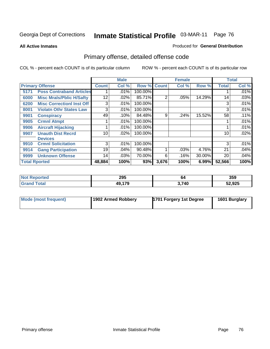**All Active Inmates**

#### Produced for **General Distribution**

# Primary offense, detailed offense code

|                      |                                  |              | <b>Male</b> |         | <b>Female</b> |       |        | <b>Total</b>    |         |
|----------------------|----------------------------------|--------------|-------------|---------|---------------|-------|--------|-----------------|---------|
|                      | <b>Primary Offense</b>           | <b>Count</b> | Col %       | Row %   | <b>Count</b>  | Col % | Row %  | <b>Total</b>    | Col %   |
| 5171                 | <b>Poss Contraband Articles</b>  |              | .01%        | 100.00% |               |       |        |                 | $.01\%$ |
| 6000                 | <b>Misc Mrals/Pblic H/Safty</b>  | 12           | .02%        | 85.71%  | 2             | .05%  | 14.29% | 14 <sub>1</sub> | .03%    |
| 6200                 | <b>Misc CorrectionI Inst Off</b> | 3            | .01%        | 100.00% |               |       |        | 3               | .01%    |
| 8001                 | <b>Violatn Othr States Law</b>   | 3            | .01%        | 100.00% |               |       |        | 3               | .01%    |
| 9901                 | <b>Conspiracy</b>                | 49           | .10%        | 84.48%  | 9             | .24%  | 15.52% | 58              | .11%    |
| 9905                 | <b>Crmnl Atmpt</b>               |              | .01%        | 100.00% |               |       |        |                 | .01%    |
| 9906                 | <b>Aircraft Hijacking</b>        |              | .01%        | 100.00% |               |       |        |                 | .01%    |
| 9907                 | <b>Unauth Dist Recrd</b>         | 10           | .02%        | 100.00% |               |       |        | 10              | .02%    |
|                      | <b>Devices</b>                   |              |             |         |               |       |        |                 |         |
| 9910                 | <b>Crmnl Solicitation</b>        | 3            | .01%        | 100.00% |               |       |        | 3               | .01%    |
| 9914                 | <b>Gang Participation</b>        | 19           | .04%        | 90.48%  |               | .03%  | 4.76%  | 21              | .04%    |
| 9999                 | <b>Unknown Offense</b>           | 14           | .03%        | 70.00%  | 6             | .16%  | 30.00% | 20              | $.04\%$ |
| <b>Total Rported</b> |                                  | 48,884       | 100%        | 93%     | 3,676         | 100%  | 6.99%  | 52,566          | 100%    |

| -N4<br>тео | 295                   | 64    | 359    |
|------------|-----------------------|-------|--------|
|            | 80 A 70<br>/I L<br>−. | ` 740 | 52,925 |

| Mode (most frequent) | 1902 Armed Robbery | 1701 Forgery 1st Degree | 1601 Burglary |
|----------------------|--------------------|-------------------------|---------------|
|----------------------|--------------------|-------------------------|---------------|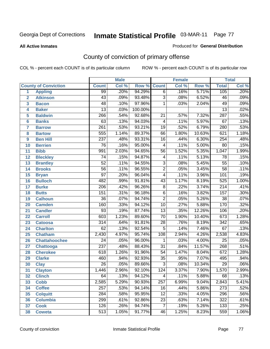#### **All Active Inmates**

#### Produced for **General Distribution**

# County of conviction of primary offense

|                         |                             |                  | <b>Male</b> |         |                 | <b>Female</b> |        |                  | <b>Total</b> |
|-------------------------|-----------------------------|------------------|-------------|---------|-----------------|---------------|--------|------------------|--------------|
|                         | <b>County of Conviction</b> | <b>Count</b>     | Col %       | Row %   | <b>Count</b>    | Col %         | Row %  | <b>Total</b>     | Col %        |
| 1                       | <b>Appling</b>              | 99               | .20%        | 94.29%  | $\overline{6}$  | .16%          | 5.71%  | 105              | .20%         |
| $\overline{2}$          | <b>Atkinson</b>             | $\overline{43}$  | .09%        | 93.48%  | $\overline{3}$  | .08%          | 6.52%  | 46               | .09%         |
| $\overline{\mathbf{3}}$ | <b>Bacon</b>                | 48               | .10%        | 97.96%  | 1               | .03%          | 2.04%  | 49               | .09%         |
| 4                       | <b>Baker</b>                | $\overline{13}$  | .03%        | 100.00% |                 |               |        | $\overline{13}$  | .02%         |
| 5                       | <b>Baldwin</b>              | 266              | .54%        | 92.68%  | $\overline{21}$ | .57%          | 7.32%  | 287              | .55%         |
| 6                       | <b>Banks</b>                | $\overline{63}$  | .13%        | 94.03%  | $\overline{4}$  | .11%          | 5.97%  | $\overline{67}$  | .13%         |
| $\overline{\mathbf{7}}$ | <b>Barrow</b>               | $\overline{261}$ | .53%        | 93.21%  | $\overline{19}$ | .52%          | 6.79%  | 280              | .53%         |
| 8                       | <b>Bartow</b>               | 555              | 1.14%       | 89.37%  | 66              | 1.80%         | 10.63% | 621              | 1.18%        |
| 9                       | <b>Ben Hill</b>             | $\overline{237}$ | .48%        | 93.31%  | $\overline{16}$ | .44%          | 6.30%  | 254              | .48%         |
| 10                      | <b>Berrien</b>              | $\overline{76}$  | .16%        | 95.00%  | $\overline{4}$  | .11%          | 5.00%  | 80               | .15%         |
| 11                      | <b>Bibb</b>                 | 991              | 2.03%       | 94.65%  | $\overline{56}$ | 1.52%         | 5.35%  | 1,047            | 1.99%        |
| 12                      | <b>Bleckley</b>             | 74               | .15%        | 94.87%  | $\overline{4}$  | .11%          | 5.13%  | 78               | .15%         |
| $\overline{13}$         | <b>Brantley</b>             | $\overline{52}$  | .11%        | 94.55%  | $\overline{3}$  | .08%          | 5.45%  | $\overline{55}$  | .10%         |
| $\overline{14}$         | <b>Brooks</b>               | $\overline{56}$  | .11%        | 96.55%  | $\overline{2}$  | .05%          | 3.45%  | $\overline{58}$  | .11%         |
| 15                      | <b>Bryan</b>                | $\overline{97}$  | .20%        | 96.04%  | $\overline{4}$  | .11%          | 3.96%  | 101              | .19%         |
| 16                      | <b>Bulloch</b>              | 482              | .99%        | 91.81%  | $\overline{43}$ | 1.17%         | 8.19%  | 525              | 1.00%        |
| $\overline{17}$         | <b>Burke</b>                | $\overline{206}$ | .42%        | 96.26%  | $\overline{8}$  | .22%          | 3.74%  | $\overline{214}$ | .41%         |
| 18                      | <b>Butts</b>                | 151              | .31%        | 96.18%  | $\overline{6}$  | .16%          | 3.82%  | $\overline{157}$ | .30%         |
| 19                      | <b>Calhoun</b>              | $\overline{36}$  | .07%        | 94.74%  | $\overline{2}$  | .05%          | 5.26%  | $\overline{38}$  | .07%         |
| 20                      | <b>Camden</b>               | 160              | .33%        | 94.12%  | $\overline{10}$ | .27%          | 5.88%  | 170              | .32%         |
| 21                      | <b>Candler</b>              | $\overline{93}$  | .19%        | 87.74%  | $\overline{13}$ | .35%          | 12.26% | 106              | .20%         |
| $\overline{22}$         | <b>Carroll</b>              | 603              | 1.23%       | 89.60%  | $\overline{70}$ | 1.90%         | 10.40% | 673              | 1.28%        |
| 23                      | <b>Catoosa</b>              | $\overline{314}$ | .64%        | 91.81%  | $\overline{28}$ | .76%          | 8.19%  | $\overline{342}$ | .65%         |
| 24                      | <b>Charlton</b>             | 62               | .13%        | 92.54%  | $\overline{5}$  | .14%          | 7.46%  | 67               | .13%         |
| 25                      | <b>Chatham</b>              | 2,430            | 4.97%       | 95.74%  | 108             | 2.94%         | 4.26%  | 2,538            | 4.83%        |
| 26                      | <b>Chattahoochee</b>        | $\overline{24}$  | .05%        | 96.00%  | 1               | .03%          | 4.00%  | $\overline{25}$  | .05%         |
| 27                      | <b>Chattooga</b>            | 237              | .48%        | 88.43%  | $\overline{31}$ | .84%          | 11.57% | 268              | .51%         |
| 28                      | <b>Cherokee</b>             | 618              | 1.26%       | 91.96%  | $\overline{54}$ | 1.47%         | 8.04%  | 672              | 1.28%        |
| 29                      | <b>Clarke</b>               | 460              | .94%        | 92.93%  | $\overline{35}$ | .95%          | 7.07%  | 495              | .94%         |
| 30                      | <b>Clay</b>                 | $\overline{26}$  | .05%        | 89.66%  | $\overline{3}$  | .08%          | 10.34% | $\overline{29}$  | .06%         |
| $\overline{31}$         | <b>Clayton</b>              | 1,446            | 2.96%       | 92.10%  | 124             | 3.37%         | 7.90%  | 1,570            | 2.99%        |
| 32                      | <b>Clinch</b>               | 64               | .13%        | 94.12%  | 4               | .11%          | 5.88%  | 68               | .13%         |
| 33                      | <b>Cobb</b>                 | 2,585            | 5.29%       | 90.93%  | 257             | 6.99%         | 9.04%  | 2,843            | 5.41%        |
| 34                      | <b>Coffee</b>               | $\overline{257}$ | .53%        | 94.14%  | 16              | .44%          | 5.86%  | $\overline{273}$ | .52%         |
| 35                      | <b>Colquitt</b>             | 284              | .58%        | 95.95%  | $\overline{12}$ | .33%          | 4.05%  | 296              | .56%         |
| 36                      | <b>Columbia</b>             | 299              | .61%        | 92.86%  | 23              | .63%          | 7.14%  | 322              | .61%         |
| 37                      | <b>Cook</b>                 | 126              | .26%        | 94.74%  | $\overline{7}$  | .19%          | 5.26%  | 133              | .25%         |
| 38                      | <b>Coweta</b>               | $\overline{513}$ | 1.05%       | 91.77%  | 46              | 1.25%         | 8.23%  | 559              | 1.06%        |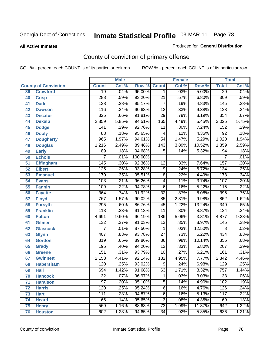#### **All Active Inmates**

#### Produced for **General Distribution**

# County of conviction of primary offense

|                 |                             |                  | <b>Male</b> |         |                          | Female |        |                  | <b>Total</b> |
|-----------------|-----------------------------|------------------|-------------|---------|--------------------------|--------|--------|------------------|--------------|
|                 | <b>County of Conviction</b> | <b>Count</b>     | Col %       | Row %   | <b>Count</b>             | Col %  | Row %  | <b>Total</b>     | Col %        |
| 39              | <b>Crawford</b>             | $\overline{19}$  | .04%        | 95.00%  | $\mathbf 1$              | .03%   | 5.00%  | $\overline{20}$  | .04%         |
| 40              | <b>Crisp</b>                | 288              | .59%        | 93.20%  | $\overline{21}$          | .57%   | 6.80%  | 309              | .59%         |
| 41              | <b>Dade</b>                 | 138              | .28%        | 95.17%  | $\overline{7}$           | .19%   | 4.83%  | $\overline{145}$ | .28%         |
| 42              | <b>Dawson</b>               | 116              | .24%        | 90.63%  | $\overline{12}$          | .33%   | 9.38%  | 128              | .24%         |
| 43              | <b>Decatur</b>              | $\overline{325}$ | .66%        | 91.81%  | $\overline{29}$          | .79%   | 8.19%  | 354              | .67%         |
| 44              | <b>Dekalb</b>               | 2,859            | 5.85%       | 94.51%  | 165                      | 4.49%  | 5.45%  | 3,025            | 5.75%        |
| 45              | <b>Dodge</b>                | 141              | .29%        | 92.76%  | $\overline{11}$          | .30%   | 7.24%  | 152              | .29%         |
| 46              | <b>Dooly</b>                | 88               | .18%        | 95.65%  | $\overline{\mathcal{A}}$ | .11%   | 4.35%  | $\overline{92}$  | .18%         |
| 47              | <b>Dougherty</b>            | $\overline{965}$ | 1.97%       | 94.61%  | $\overline{54}$          | 1.47%  | 5.29%  | 1,020            | 1.94%        |
| 48              | <b>Douglas</b>              | 1,216            | 2.49%       | 89.48%  | 143                      | 3.89%  | 10.52% | 1,359            | 2.59%        |
| 49              | <b>Early</b>                | 89               | .18%        | 94.68%  | 5                        | .14%   | 5.32%  | 94               | .18%         |
| 50              | <b>Echols</b>               | $\overline{7}$   | .01%        | 100.00% |                          |        |        | 7                | .01%         |
| $\overline{51}$ | <b>Effingham</b>            | 145              | .30%        | 92.36%  | $\overline{12}$          | .33%   | 7.64%  | 157              | .30%         |
| 52              | <b>Elbert</b>               | $\overline{125}$ | .26%        | 93.28%  | $\overline{9}$           | .24%   | 6.72%  | 134              | .25%         |
| 53              | <b>Emanuel</b>              | 170              | .35%        | 95.51%  | $\overline{8}$           | .22%   | 4.49%  | 178              | .34%         |
| $\overline{54}$ | <b>Evans</b>                | 103              | .21%        | 96.26%  | $\overline{4}$           | .11%   | 3.74%  | 107              | .20%         |
| 55              | <b>Fannin</b>               | 109              | .22%        | 94.78%  | $\overline{6}$           | .16%   | 5.22%  | 115              | .22%         |
| 56              | <b>Fayette</b>              | 364              | .74%        | 91.92%  | $\overline{32}$          | .87%   | 8.08%  | 396              | .75%         |
| 57              | <b>Floyd</b>                | 767              | 1.57%       | 90.02%  | 85                       | 2.31%  | 9.98%  | 852              | 1.62%        |
| 58              | <b>Forsyth</b>              | $\overline{295}$ | .60%        | 86.76%  | 45                       | 1.22%  | 13.24% | $\overline{340}$ | .65%         |
| 59              | <b>Franklin</b>             | $\overline{113}$ | .23%        | 91.13%  | $\overline{11}$          | .30%   | 8.87%  | $\overline{124}$ | .24%         |
| 60              | <b>Fulton</b>               | 4,691            | 9.60%       | 96.19%  | 186                      | 5.06%  | 3.81%  | 4,877            | 9.28%        |
| 61              | Gilmer                      | 132              | .27%        | 91.03%  | $\overline{13}$          | .35%   | 8.97%  | $\overline{145}$ | .28%         |
| 62              | <b>Glascock</b>             | $\overline{7}$   | .01%        | 87.50%  | $\mathbf{1}$             | .03%   | 12.50% | $\overline{8}$   | .02%         |
| 63              | <b>Glynn</b>                | 407              | .83%        | 93.78%  | $\overline{27}$          | .73%   | 6.22%  | 434              | .83%         |
| 64              | <b>Gordon</b>               | 319              | .65%        | 89.86%  | $\overline{36}$          | .98%   | 10.14% | 355              | .68%         |
| 65              | <b>Grady</b>                | 195              | .40%        | 94.20%  | $\overline{12}$          | .33%   | 5.80%  | 207              | .39%         |
| 66              | <b>Greene</b>               | 151              | .31%        | 93.79%  | $\overline{10}$          | .27%   | 6.21%  | 161              | .31%         |
| 67              | <b>Gwinnett</b>             | 2,158            | 4.41%       | 92.14%  | 182                      | 4.95%  | 7.77%  | 2,342            | 4.46%        |
| 68              | <b>Habersham</b>            | 120              | .25%        | 93.02%  | $\overline{9}$           | .24%   | 6.98%  | 129              | .25%         |
| 69              | <b>Hall</b>                 | 694              | 1.42%       | 91.68%  | 63                       | 1.71%  | 8.32%  | 757              | 1.44%        |
| 70              | <b>Hancock</b>              | 32               | .07%        | 96.97%  | 1                        | .03%   | 3.03%  | 33               | .06%         |
| 71              | <b>Haralson</b>             | $\overline{97}$  | .20%        | 95.10%  | $\overline{5}$           | .14%   | 4.90%  | 102              | .19%         |
| 72              | <b>Harris</b>               | 120              | .25%        | 95.24%  | $\overline{6}$           | .16%   | 4.76%  | 126              | .24%         |
| 73              | <b>Hart</b>                 | 111              | .23%        | 94.87%  | $\overline{6}$           | .16%   | 5.13%  | 117              | .22%         |
| 74              | <b>Heard</b>                | 66               | .14%        | 95.65%  | $\overline{3}$           | .08%   | 4.35%  | 69               | .13%         |
| 75              | <b>Henry</b>                | 569              | 1.16%       | 88.63%  | 73                       | 1.99%  | 11.37% | 642              | 1.22%        |
| 76              | <b>Houston</b>              | 602              | 1.23%       | 94.65%  | $\overline{34}$          | .92%   | 5.35%  | 636              | 1.21%        |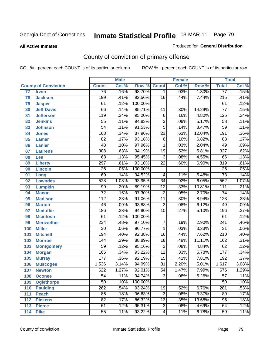#### **All Active Inmates**

#### Produced for **General Distribution**

# County of conviction of primary offense

|                 |                             |                  | <b>Male</b> |         |                 | <b>Female</b> |        |                  | <b>Total</b> |
|-----------------|-----------------------------|------------------|-------------|---------|-----------------|---------------|--------|------------------|--------------|
|                 | <b>County of Conviction</b> | <b>Count</b>     | Col %       | Row %   | <b>Count</b>    | Col %         | Row %  | <b>Total</b>     | Col %        |
| $\overline{77}$ | <b>Irwin</b>                | 76               | .16%        | 98.70%  | $\mathbf 1$     | .03%          | 1.30%  | 77               | .15%         |
| 78              | <b>Jackson</b>              | 199              | .41%        | 92.56%  | $\overline{16}$ | .44%          | 7.44%  | $\overline{215}$ | .41%         |
| 79              | <b>Jasper</b>               | 61               | .12%        | 100.00% |                 |               |        | 61               | .12%         |
| 80              | <b>Jeff Davis</b>           | 66               | .14%        | 85.71%  | 11              | .30%          | 14.29% | $\overline{77}$  | .15%         |
| 81              | <b>Jefferson</b>            | $\overline{119}$ | .24%        | 95.20%  | $\overline{6}$  | .16%          | 4.80%  | $\overline{125}$ | .24%         |
| 82              | <b>Jenkins</b>              | $\overline{55}$  | .11%        | 94.83%  | $\overline{3}$  | .08%          | 5.17%  | $\overline{58}$  | .11%         |
| 83              | <b>Johnson</b>              | $\overline{54}$  | .11%        | 91.53%  | $\overline{5}$  | .14%          | 8.47%  | $\overline{59}$  | .11%         |
| 84              | <b>Jones</b>                | 168              | .34%        | 87.96%  | $\overline{23}$ | .63%          | 12.04% | 191              | .36%         |
| 85              | <b>Lamar</b>                | $\overline{82}$  | .17%        | 93.18%  | $\overline{6}$  | .16%          | 6.82%  | $\overline{88}$  | .17%         |
| 86              | <b>Lanier</b>               | $\overline{48}$  | .10%        | 97.96%  | $\mathbf{1}$    | .03%          | 2.04%  | 49               | .09%         |
| 87              | <b>Laurens</b>              | 308              | .63%        | 94.19%  | 19              | .52%          | 5.81%  | $\overline{327}$ | .62%         |
| 88              | Lee                         | 63               | .13%        | 95.45%  | $\overline{3}$  | .08%          | 4.55%  | 66               | .13%         |
| 89              | <b>Liberty</b>              | 297              | .61%        | 93.10%  | $\overline{22}$ | .60%          | 6.90%  | $\overline{319}$ | .61%         |
| 90              | <b>Lincoln</b>              | $\overline{26}$  | .05%        | 100.00% |                 |               |        | $\overline{26}$  | .05%         |
| 91              | Long                        | 69               | .14%        | 94.52%  | 4               | .11%          | 5.48%  | $\overline{73}$  | .14%         |
| 92              | <b>Lowndes</b>              | 528              | 1.08%       | 93.95%  | $\overline{34}$ | .92%          | 6.05%  | 562              | 1.07%        |
| 93              | <b>Lumpkin</b>              | 99               | .20%        | 89.19%  | $\overline{12}$ | .33%          | 10.81% | $\overline{111}$ | .21%         |
| 94              | <b>Macon</b>                | $\overline{72}$  | .15%        | 97.30%  | $\overline{2}$  | .05%          | 2.70%  | $\overline{74}$  | .14%         |
| 95              | <b>Madison</b>              | $\overline{112}$ | .23%        | 91.06%  | $\overline{11}$ | .30%          | 8.94%  | $\overline{123}$ | .23%         |
| 96              | <b>Marion</b>               | 46               | .09%        | 93.88%  | $\overline{3}$  | .08%          | 6.12%  | 49               | .09%         |
| 97              | <b>Mcduffie</b>             | 186              | .38%        | 94.90%  | $\overline{10}$ | .27%          | 5.10%  | 196              | .37%         |
| 98              | <b>Mcintosh</b>             | $\overline{61}$  | .12%        | 100.00% |                 |               |        | 61               | .12%         |
| 99              | <b>Meriwether</b>           | 234              | .48%        | 97.10%  | $\overline{7}$  | .19%          | 2.90%  | 241              | .46%         |
| 100             | <b>Miller</b>               | $\overline{30}$  | .06%        | 96.77%  | $\mathbf{1}$    | .03%          | 3.23%  | $\overline{31}$  | .06%         |
| 101             | <b>Mitchell</b>             | 194              | .40%        | 92.38%  | $\overline{16}$ | .44%          | 7.62%  | $\overline{210}$ | .40%         |
| 102             | <b>Monroe</b>               | 144              | .29%        | 88.89%  | $\overline{18}$ | .49%          | 11.11% | 162              | .31%         |
| 103             | <b>Montgomery</b>           | $\overline{59}$  | .12%        | 95.16%  | $\overline{3}$  | .08%          | 4.84%  | 62               | .12%         |
| 104             | <b>Morgan</b>               | 165              | .34%        | 93.22%  | $\overline{12}$ | .33%          | 6.78%  | $\overline{177}$ | .34%         |
| 105             | <b>Murray</b>               | 177              | .36%        | 92.19%  | $\overline{15}$ | .41%          | 7.81%  | 192              | .37%         |
| 106             | <b>Muscogee</b>             | 1,536            | 3.14%       | 94.99%  | $\overline{81}$ | 2.20%         | 5.01%  | 1,617            | 3.08%        |
| 107             | <b>Newton</b>               | 622              | 1.27%       | 92.01%  | 54              | 1.47%         | 7.99%  | 676              | 1.29%        |
| 108             | <b>Oconee</b>               | 54               | .11%        | 94.74%  | 3               | .08%          | 5.26%  | 57               | .11%         |
| 109             | <b>Oglethorpe</b>           | $\overline{50}$  | .10%        | 100.00% |                 |               |        | $\overline{50}$  | .10%         |
| 110             | <b>Paulding</b>             | $\overline{262}$ | .54%        | 93.24%  | $\overline{19}$ | .52%          | 6.76%  | 281              | .53%         |
| 111             | <b>Peach</b>                | 86               | .18%        | 96.63%  | $\overline{3}$  | .08%          | 3.37%  | 89               | .17%         |
| 112             | <b>Pickens</b>              | $\overline{82}$  | .17%        | 86.32%  | $\overline{13}$ | .35%          | 13.68% | $\overline{95}$  | .18%         |
| 113             | <b>Pierce</b>               | 61               | .12%        | 95.31%  | $\overline{3}$  | .08%          | 4.69%  | 64               | .12%         |
| 114             | <b>Pike</b>                 | $\overline{55}$  | .11%        | 93.22%  | 4               | .11%          | 6.78%  | $\overline{59}$  | .11%         |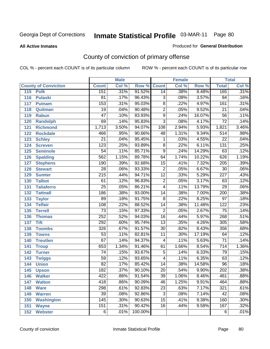#### **All Active Inmates**

#### Produced for **General Distribution**

# County of conviction of primary offense

|                             |                  | <b>Male</b> |         | <b>Female</b>   |       |        | <b>Total</b>     |       |
|-----------------------------|------------------|-------------|---------|-----------------|-------|--------|------------------|-------|
| <b>County of Conviction</b> | <b>Count</b>     | Col %       | Row %   | <b>Count</b>    | Col % | Row %  | <b>Total</b>     | Col % |
| 115<br><b>Polk</b>          | 151              | .31%        | 91.52%  | 14              | .38%  | 8.48%  | 165              | .31%  |
| <b>Pulaski</b><br>116       | $\overline{81}$  | .17%        | 96.43%  | $\overline{3}$  | .08%  | 3.57%  | $\overline{84}$  | .16%  |
| 117<br><b>Putnam</b>        | 153              | .31%        | 95.03%  | $\overline{8}$  | .22%  | 4.97%  | 161              | .31%  |
| 118<br>Quitman              | $\overline{19}$  | .04%        | 90.48%  | $\overline{2}$  | .05%  | 9.52%  | $\overline{21}$  | .04%  |
| 119<br><b>Rabun</b>         | $\overline{47}$  | .10%        | 83.93%  | $\overline{9}$  | .24%  | 16.07% | $\overline{56}$  | .11%  |
| 120<br><b>Randolph</b>      | $\overline{69}$  | .14%        | 95.83%  | $\overline{3}$  | .08%  | 4.17%  | $\overline{72}$  | .14%  |
| 121<br><b>Richmond</b>      | 1,713            | 3.50%       | 94.07%  | 108             | 2.94% | 5.93%  | 1,821            | 3.46% |
| 122<br><b>Rockdale</b>      | 466              | .95%        | 90.66%  | 48              | 1.31% | 9.34%  | $\overline{514}$ | .98%  |
| 123<br><b>Schley</b>        | $\overline{21}$  | .04%        | 95.45%  | 1               | .03%  | 4.55%  | $\overline{22}$  | .04%  |
| 124<br><b>Screven</b>       | $\overline{123}$ | .25%        | 93.89%  | $\overline{8}$  | .22%  | 6.11%  | 131              | .25%  |
| <b>Seminole</b><br>125      | $\overline{54}$  | .11%        | 85.71%  | $\overline{9}$  | .24%  | 14.29% | 63               | .12%  |
| <b>Spalding</b><br>126      | 562              | 1.15%       | 89.78%  | 64              | 1.74% | 10.22% | 626              | 1.19% |
| 127<br><b>Stephens</b>      | 190              | .39%        | 92.68%  | $\overline{15}$ | .41%  | 7.32%  | $\overline{205}$ | .39%  |
| 128<br><b>Stewart</b>       | $\overline{28}$  | .06%        | 93.33%  | $\overline{2}$  | .05%  | 6.67%  | $\overline{30}$  | .06%  |
| 129<br><b>Sumter</b>        | $\overline{215}$ | .44%        | 94.71%  | $\overline{12}$ | .33%  | 5.29%  | $\overline{227}$ | .43%  |
| <b>Talbot</b><br>130        | 61               | .12%        | 96.83%  | $\overline{2}$  | .05%  | 3.17%  | 63               | .12%  |
| 131<br><b>Taliaferro</b>    | $\overline{25}$  | .05%        | 86.21%  | $\overline{4}$  | .11%  | 13.79% | $\overline{29}$  | .06%  |
| 132<br><b>Tattnall</b>      | 186              | .38%        | 93.00%  | $\overline{14}$ | .38%  | 7.00%  | $\overline{200}$ | .38%  |
| 133<br><b>Taylor</b>        | 89               | .18%        | 91.75%  | $\overline{8}$  | .22%  | 8.25%  | $\overline{97}$  | .18%  |
| <b>Telfair</b><br>134       | 108              | .22%        | 88.52%  | $\overline{14}$ | .38%  | 11.48% | 122              | .23%  |
| 135<br><b>Terrell</b>       | $\overline{73}$  | .15%        | 97.33%  | $\overline{2}$  | .05%  | 2.67%  | $\overline{75}$  | .14%  |
| 136<br><b>Thomas</b>        | 252              | .52%        | 94.03%  | $\overline{16}$ | .44%  | 5.97%  | 268              | .51%  |
| 137<br><b>Tift</b>          | 292              | .60%        | 95.74%  | $\overline{13}$ | .35%  | 4.26%  | 305              | .58%  |
| <b>Toombs</b><br>138        | 326              | .67%        | 91.57%  | $\overline{30}$ | .82%  | 8.43%  | 356              | .68%  |
| 139<br><b>Towns</b>         | $\overline{53}$  | .11%        | 82.81%  | $\overline{11}$ | .30%  | 17.19% | 64               | .12%  |
| 140<br><b>Treutlen</b>      | $\overline{67}$  | .14%        | 94.37%  | $\overline{4}$  | .11%  | 5.63%  | $\overline{71}$  | .14%  |
| 141<br><b>Troup</b>         | 653              | 1.34%       | 91.46%  | 61              | 1.66% | 8.54%  | $\overline{714}$ | 1.36% |
| 142<br><b>Turner</b>        | $\overline{74}$  | .15%        | 93.67%  | $\overline{5}$  | .14%  | 6.33%  | 79               | .15%  |
| 143<br><b>Twiggs</b>        | $\overline{59}$  | .12%        | 93.65%  | 4               | .11%  | 6.35%  | 63               | .12%  |
| 144<br><b>Union</b>         | $\overline{82}$  | .17%        | 85.42%  | $\overline{14}$ | .38%  | 14.58% | 96               | .18%  |
| 145<br><b>Upson</b>         | 182              | .37%        | 90.10%  | $\overline{20}$ | .54%  | 9.90%  | $\overline{202}$ | .38%  |
| 146<br><b>Walker</b>        | 422              | .86%        | 91.54%  | 39              | 1.06% | 8.46%  | 461              | .88%  |
| 147<br><b>Walton</b>        | 418              | .86%        | 90.09%  | 46              | 1.25% | 9.91%  | 464              | .88%  |
| 148<br><b>Ware</b>          | 298              | .61%        | 92.83%  | $\overline{23}$ | .63%  | 7.17%  | 321              | .61%  |
| 149<br><b>Warren</b>        | $\overline{39}$  | .08%        | 92.86%  | $\overline{3}$  | .08%  | 7.14%  | 42               | .08%  |
| 150<br><b>Washington</b>    | $\overline{145}$ | .30%        | 90.63%  | $\overline{15}$ | .41%  | 9.38%  | 160              | .30%  |
| 151<br><b>Wayne</b>         | 151              | .31%        | 90.42%  | $\overline{16}$ | .44%  | 9.58%  | 167              | .32%  |
| 152<br><b>Webster</b>       | $\overline{6}$   | .01%        | 100.00% |                 |       |        | 6                | .01%  |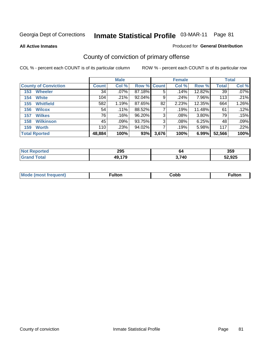**All Active Inmates**

#### Produced for **General Distribution**

# County of conviction of primary offense

|                             |              | <b>Male</b> |             |       | <b>Female</b> |          |              | <b>Total</b> |
|-----------------------------|--------------|-------------|-------------|-------|---------------|----------|--------------|--------------|
| <b>County of Conviction</b> | <b>Count</b> | Col %       | Row % Count |       | Col %         | Row %    | <b>Total</b> | Col %        |
| <b>Wheeler</b><br>153       | 34           | $.07\%$     | 87.18%      | 5     | .14%          | 12.82%   | 39           | $.07\%$      |
| <b>White</b><br>154         | 104          | .21%        | 92.04%      | 9     | .24%          | 7.96%    | 113          | $.21\%$      |
| <b>Whitfield</b><br>155     | 582          | 1.19%       | 87.65%      | 82    | 2.23%         | 12.35%   | 664          | 1.26%        |
| 156<br><b>Wilcox</b>        | 54           | .11%        | 88.52%      |       | .19%          | 11.48%   | 61           | .12%         |
| <b>Wilkes</b><br>157        | 76           | .16%        | 96.20%      | 3     | .08%          | $3.80\%$ | 79           | .15%         |
| <b>Wilkinson</b><br>158     | 45           | $.09\%$     | 93.75%      | 3     | $.08\%$       | 6.25%    | 48           | .09%         |
| <b>Worth</b><br>159         | 110          | .23%        | 94.02%      |       | .19%          | 5.98%    | 117          | .22%         |
| <b>Total Rported</b>        | 48,884       | 100%        | 93%         | 3,676 | 100%          | 6.99%    | 52,566       | 100%         |

| ted.<br>NG | 295    | 64    | 359    |
|------------|--------|-------|--------|
|            | 49,179 | 3,740 | 52,925 |

| Mc | ™ulton | Cobb |  |
|----|--------|------|--|
|    |        |      |  |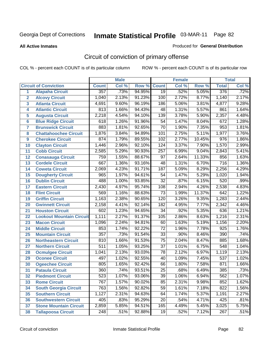**All Active Inmates**

#### Produced for **General Distribution**

# Circuit of conviction of primary offense

|                |                                 |                  | <b>Male</b> |        |                  | <b>Female</b> |        |                  | <b>Total</b> |
|----------------|---------------------------------|------------------|-------------|--------|------------------|---------------|--------|------------------|--------------|
|                | <b>Circuit of Conviction</b>    | <b>Count</b>     | Col %       | Row %  | <b>Count</b>     | Col %         | Row %  | <b>Total</b>     | Col %        |
| 1              | <b>Alapaha Circuit</b>          | 357              | .73%        | 94.95% | $\overline{19}$  | .52%          | 5.05%  | 376              | .72%         |
| $\overline{2}$ | <b>Alcovy Circuit</b>           | 1,040            | 2.13%       | 91.23% | 100              | 2.72%         | 8.77%  | 1,140            | 2.17%        |
| 3              | <b>Atlanta Circuit</b>          | 4,691            | 9.60%       | 96.19% | 186              | 5.06%         | 3.81%  | 4,877            | 9.28%        |
| 4              | <b>Atlantic Circuit</b>         | 813              | 1.66%       | 94.43% | 48               | 1.31%         | 5.57%  | 861              | 1.64%        |
| 5              | <b>Augusta Circuit</b>          | 2,218            | 4.54%       | 94.10% | 139              | 3.78%         | 5.90%  | 2,357            | 4.48%        |
| 6              | <b>Blue Ridge Circuit</b>       | 618              | 1.26%       | 91.96% | 54               | 1.47%         | 8.04%  | 672              | 1.28%        |
| 7              | <b>Brunswick Circuit</b>        | 883              | 1.81%       | 92.65% | $\overline{70}$  | 1.90%         | 7.35%  | 953              | 1.81%        |
| 8              | <b>Chattahoochee Circuit</b>    | 1,876            | 3.84%       | 94.89% | 101              | 2.75%         | 5.11%  | 1,977            | 3.76%        |
| 9              | <b>Cherokee Circuit</b>         | 874              | 1.79%       | 89.55% | 102              | 2.77%         | 10.45% | $\overline{976}$ | 1.86%        |
| 10             | <b>Clayton Circuit</b>          | 1,446            | 2.96%       | 92.10% | 124              | 3.37%         | 7.90%  | 1,570            | 2.99%        |
| 11             | <b>Cobb Circuit</b>             | 2,585            | 5.29%       | 90.93% | $\overline{257}$ | 6.99%         | 9.04%  | 2,843            | 5.41%        |
| 12             | <b>Conasauga Circuit</b>        | 759              | 1.55%       | 88.67% | $\overline{97}$  | 2.64%         | 11.33% | 856              | 1.63%        |
| 13             | <b>Cordele Circuit</b>          | 667              | 1.36%       | 93.16% | 48               | 1.31%         | 6.70%  | $\overline{716}$ | 1.36%        |
| 14             | <b>Coweta Circuit</b>           | 2,069            | 4.23%       | 91.71% | 187              | 5.09%         | 8.29%  | 2,256            | 4.29%        |
| 15             | <b>Dougherty Circuit</b>        | 965              | 1.97%       | 94.61% | 54               | 1.47%         | 5.29%  | 1,020            | 1.94%        |
| 16             | <b>Dublin Circuit</b>           | 488              | 1.00%       | 93.85% | $\overline{32}$  | .87%          | 6.15%  | 520              | .99%         |
| 17             | <b>Eastern Circuit</b>          | 2,430            | 4.97%       | 95.74% | 108              | 2.94%         | 4.26%  | 2,538            | 4.83%        |
| 18             | <b>Flint Circuit</b>            | 569              | 1.16%       | 88.63% | $\overline{73}$  | 1.99%         | 11.37% | 642              | 1.22%        |
| 19             | <b>Griffin Circuit</b>          | 1,163            | 2.38%       | 90.65% | 120              | 3.26%         | 9.35%  | 1,283            | 2.44%        |
| 20             | <b>Gwinnett Circuit</b>         | 2,158            | 4.41%       | 92.14% | 182              | 4.95%         | 7.77%  | 2,342            | 4.46%        |
| 21             | <b>Houston Circuit</b>          | 602              | 1.23%       | 94.65% | $\overline{34}$  | .92%          | 5.35%  | 636              | 1.21%        |
| 22             | <b>Lookout Mountain Circuit</b> | 1,111            | 2.27%       | 91.37% | 105              | 2.86%         | 8.63%  | 1,216            | 2.31%        |
| 23             | <b>Macon Circuit</b>            | 1,096            | 2.24%       | 94.81% | 60               | 1.63%         | 5.19%  | 1,156            | 2.20%        |
| 24             | <b>Middle Circuit</b>           | 853              | 1.74%       | 92.22% | 72               | 1.96%         | 7.78%  | $\overline{925}$ | 1.76%        |
| 25             | <b>Mountain Circuit</b>         | $\overline{357}$ | .73%        | 91.54% | $\overline{33}$  | .90%          | 8.46%  | 390              | .74%         |
| 26             | <b>Northeastern Circuit</b>     | 810              | 1.66%       | 91.53% | $\overline{75}$  | 2.04%         | 8.47%  | 885              | 1.68%        |
| 27             | <b>Northern Circuit</b>         | $\overline{511}$ | 1.05%       | 93.25% | $\overline{37}$  | 1.01%         | 6.75%  | 548              | 1.04%        |
| 28             | <b>Ocmulgee Circuit</b>         | 1,041            | 2.13%       | 93.03% | 78               | 2.12%         | 6.97%  | 1,119            | 2.13%        |
| 29             | <b>Oconee Circuit</b>           | 497              | 1.02%       | 92.55% | $\overline{40}$  | 1.09%         | 7.45%  | $\overline{537}$ | 1.02%        |
| 30             | <b>Ogeechee Circuit</b>         | 805              | 1.65%       | 92.42% | 66               | 1.80%         | 7.58%  | 871              | 1.66%        |
| 31             | <b>Pataula Circuit</b>          | 360              | .74%        | 93.51% | 25               | .68%          | 6.49%  | 385              | .73%         |
| 32             | <b>Piedmont Circuit</b>         | 523              | 1.07%       | 93.06% | 39               | 1.06%         | 6.94%  | 562              | 1.07%        |
| 33             | <b>Rome Circuit</b>             | 767              | 1.57%       | 90.02% | 85               | 2.31%         | 9.98%  | 852              | 1.62%        |
| 34             | <b>South Georgia Circuit</b>    | 763              | 1.56%       | 92.82% | 59               | 1.61%         | 7.18%  | 822              | 1.56%        |
| 35             | <b>Southern Circuit</b>         | 1,127            | 2.31%       | 94.63% | 64               | 1.74%         | 5.37%  | 1,191            | 2.27%        |
| 36             | <b>Southwestern Circuit</b>     | 405              | .83%        | 95.29% | 20               | .54%          | 4.71%  | 425              | .81%         |
| 37             | <b>Stone Mountain Circuit</b>   | 2,859            | 5.85%       | 94.51% | 165              | 4.49%         | 5.45%  | 3,025            | 5.75%        |
| 38             | <b>Tallapoosa Circuit</b>       | 248              | .51%        | 92.88% | 19               | .52%          | 7.12%  | 267              | .51%         |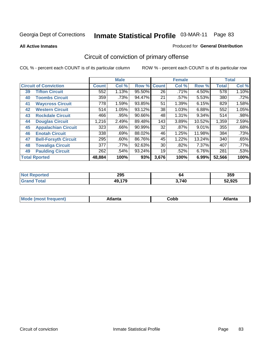**All Active Inmates**

#### Produced for **General Distribution**

# Circuit of conviction of primary offense

|    |                              |              | <b>Male</b> |        |              | <b>Female</b> |        |              | <b>Total</b> |
|----|------------------------------|--------------|-------------|--------|--------------|---------------|--------|--------------|--------------|
|    | <b>Circuit of Conviction</b> | <b>Count</b> | Col %       | Row %  | <b>Count</b> | Col %         | Row %  | <b>Total</b> | Col %        |
| 39 | <b>Tifton Circuit</b>        | 552          | 1.13%       | 95.50% | 26           | .71%          | 4.50%  | 578          | 1.10%        |
| 40 | <b>Toombs Circuit</b>        | 359          | .73%        | 94.47% | 21           | .57%          | 5.53%  | 380          | .72%         |
| 41 | <b>Waycross Circuit</b>      | 778          | 1.59%       | 93.85% | 51           | 1.39%         | 6.15%  | 829          | 1.58%        |
| 42 | <b>Western Circuit</b>       | 514          | 1.05%       | 93.12% | 38           | 1.03%         | 6.88%  | 552          | 1.05%        |
| 43 | <b>Rockdale Circuit</b>      | 466          | .95%        | 90.66% | 48           | 1.31%         | 9.34%  | 514          | .98%         |
| 44 | <b>Douglas Circuit</b>       | 1,216        | 2.49%       | 89.48% | 143          | 3.89%         | 10.52% | 1,359        | 2.59%        |
| 45 | <b>Appalachian Circuit</b>   | 323          | $.66\%$     | 90.99% | 32           | $.87\%$       | 9.01%  | 355          | .68%         |
| 46 | <b>Enotah Circuit</b>        | 338          | .69%        | 88.02% | 46           | 1.25%         | 11.98% | 384          | .73%         |
| 47 | <b>Bell-Forsyth Circuit</b>  | 295          | $.60\%$     | 86.76% | 45           | 1.22%         | 13.24% | 340          | .65%         |
| 48 | <b>Towaliga Circuit</b>      | 377          | .77%        | 92.63% | 30           | .82%          | 7.37%  | 407          | .77%         |
| 49 | <b>Paulding Circuit</b>      | 262          | .54%        | 93.24% | 19           | .52%          | 6.76%  | 281          | .53%         |
|    | <b>Total Rported</b>         | 48,884       | 100%        | 93%    | 3,676        | 100%          | 6.99%  | 52,566       | 100%         |

| TV.<br>тео | 295       | 64    | 359    |
|------------|-----------|-------|--------|
|            | 170<br>49 | 3,740 | 52,925 |

| <b>M</b> ດ<br>.<br>. | $+1$ ant $\cdot$<br>ιαπιω<br>. <i>. .</i> | ∶obb<br>- - - - - | 'anta |
|----------------------|-------------------------------------------|-------------------|-------|
|----------------------|-------------------------------------------|-------------------|-------|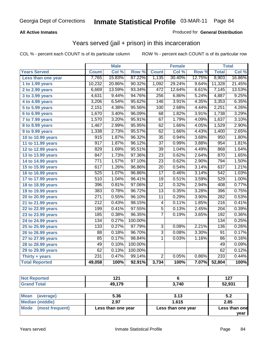### **All Active Inmates**

### Produced for **General Distribution**

## Years served (jail + prison) in this incarceration

|                       |                  | <b>Male</b> |         |                  | <b>Female</b> |        |                  | <b>Total</b> |
|-----------------------|------------------|-------------|---------|------------------|---------------|--------|------------------|--------------|
| <b>Years Served</b>   | <b>Count</b>     | Col %       | Row %   | <b>Count</b>     | Col %         | Row %  | <b>Total</b>     | Col %        |
| Less than one year    | 7,765            | 15.83%      | 87.22%  | 1,135            | 30.40%        | 12.75% | 8,903            | 16.86%       |
| 1 to 1.99 years       | 10,232           | 20.86%      | 90.32%  | 1,092            | 29.24%        | 9.64%  | 11,328           | 21.45%       |
| 2 to 2.99 years       | 6,669            | 13.59%      | 93.34%  | 472              | 12.64%        | 6.61%  | 7,145            | 13.53%       |
| 3 to 3.99 years       | 4,631            | 9.44%       | 94.76%  | $\overline{256}$ | 6.86%         | 5.24%  | 4,887            | 9.25%        |
| 4 to 4.99 years       | 3,206            | 6.54%       | 95.62%  | 146              | 3.91%         | 4.35%  | 3,353            | 6.35%        |
| 5 to 5.99 years       | 2,151            | 4.38%       | 95.56%  | 100              | 2.68%         | 4.44%  | 2,251            | 4.26%        |
| $6$ to 6.99 years     | 1,670            | 3.40%       | 96.09%  | 68               | 1.82%         | 3.91%  | 1,738            | 3.29%        |
| 7 to 7.99 years       | 1,570            | 3.20%       | 95.91%  | 67               | 1.79%         | 4.09%  | 1,637            | 3.10%        |
| 8 to 8.99 years       | 1,467            | 2.99%       | 95.95%  | $\overline{62}$  | 1.66%         | 4.05%  | 1,529            | 2.90%        |
| 9 to 9.99 years       | 1,338            | 2.73%       | 95.57%  | 62               | 1.66%         | 4.43%  | 1,400            | 2.65%        |
| 10 to 10.99 years     | 915              | 1.87%       | 96.32%  | 35               | 0.94%         | 3.68%  | 950              | 1.80%        |
| 11 to 11.99 years     | $\overline{917}$ | 1.87%       | 96.12%  | $\overline{37}$  | 0.99%         | 3.88%  | 954              | 1.81%        |
| 12 to 12.99 years     | 829              | 1.69%       | 95.51%  | $\overline{39}$  | 1.04%         | 4.49%  | 868              | 1.64%        |
| 13 to 13.99 years     | 847              | 1.73%       | 97.36%  | $\overline{23}$  | 0.62%         | 2.64%  | 870              | 1.65%        |
| 14 to 14.99 years     | $\overline{771}$ | 1.57%       | 97.10%  | $\overline{23}$  | 0.62%         | 2.90%  | 794              | 1.50%        |
| 15 to 15.99 years     | 617              | 1.26%       | 96.86%  | 20               | 0.54%         | 3.14%  | 637              | 1.21%        |
| 16 to 16.99 years     | $\overline{525}$ | 1.07%       | 96.86%  | $\overline{17}$  | 0.46%         | 3.14%  | 542              | 1.03%        |
| 17 to 17.99 years     | 510              | 1.04%       | 96.41%  | $\overline{19}$  | 0.51%         | 3.59%  | 529              | 1.00%        |
| 18 to 18.99 years     | 396              | 0.81%       | 97.06%  | $\overline{12}$  | 0.32%         | 2.94%  | 408              | 0.77%        |
| 19 to 19.99 years     | 383              | 0.78%       | 96.72%  | $\overline{13}$  | 0.35%         | 3.28%  | 396              | 0.75%        |
| 20 to 20.99 years     | $\overline{271}$ | 0.55%       | 96.10%  | $\overline{11}$  | 0.29%         | 3.90%  | $\overline{282}$ | 0.53%        |
| 21 to 21.99 years     | $\overline{212}$ | 0.43%       | 98.15%  | 4                | 0.11%         | 1.85%  | 216              | 0.41%        |
| 22 to 22.99 years     | 199              | 0.41%       | 97.55%  | 5                | 0.13%         | 2.45%  | 204              | 0.39%        |
| 23 to 23.99 years     | 185              | 0.38%       | 96.35%  | $\overline{7}$   | 0.19%         | 3.65%  | 192              | 0.36%        |
| 24 to 24.99 years     | 134              | 0.27%       | 100.00% |                  |               |        | 134              | 0.25%        |
| 25 to 25.99 years     | $\overline{133}$ | 0.27%       | 97.79%  | $\overline{3}$   | 0.08%         | 2.21%  | 136              | 0.26%        |
| 26 to 26.99 years     | $\overline{88}$  | 0.18%       | 96.70%  | $\overline{3}$   | 0.08%         | 3.30%  | $\overline{91}$  | 0.17%        |
| 27 to 27.99 years     | 85               | 0.17%       | 98.84%  | 1                | 0.03%         | 1.16%  | 86               | 0.16%        |
| 28 to 28.99 years     | 49               | 0.10%       | 100.00% |                  |               |        | 49               | 0.09%        |
| 29 to 29.99 years     | $\overline{62}$  | 0.13%       | 100.00% |                  |               |        | 62               | 0.12%        |
| Thirty + years        | 231              | 0.47%       | 99.14%  | $\overline{2}$   | 0.05%         | 0.86%  | 233              | 0.44%        |
| <b>Total Reported</b> | 49,058           | 100%        | 92.91%  | 3,734            | 100%          | 7.07%  | 52,804           | 100%         |

| <b>Not Reported</b>      | 121    |       | 127    |
|--------------------------|--------|-------|--------|
| <b>Grand Total</b>       | 49,179 | 3,740 | 52,931 |
|                          |        |       |        |
| <b>Mean</b><br>(average) | 5.36   | 3.13  | 5.2    |

| <b>Mode</b><br>(most frequent) | Less than one year | Less than one year | Less than one<br>vear |
|--------------------------------|--------------------|--------------------|-----------------------|
| Median (middle)                | 2.97               | 1.615              | 2.85                  |
| <b>I</b> iviean (average)      | ว.งง               | J. I J             | ວ.∠                   |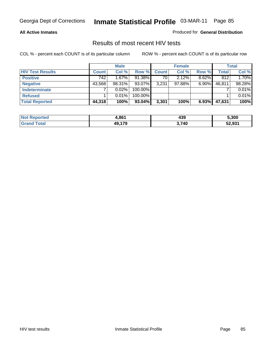#### **All Active Inmates**

Produced for **General Distribution**

### Results of most recent HIV tests

|                         |              | <b>Male</b> |           |              | <b>Female</b> |          | <b>Total</b> |        |
|-------------------------|--------------|-------------|-----------|--------------|---------------|----------|--------------|--------|
| <b>HIV Test Results</b> | <b>Count</b> | Col %       | Row %     | <b>Count</b> | Col %         | Row %    | Total        | Col %  |
| <b>Positive</b>         | 742          | 1.67%       | 91.38%    | 70           | 2.12%         | 8.62%    | 812          | 1.70%  |
| <b>Negative</b>         | 43,568       | 98.31%      | 93.07%    | 3,231        | 97.88%        | $6.90\%$ | 46,811       | 98.28% |
| Indeterminate           |              | 0.02%       | 100.00%   |              |               |          |              | 0.01%  |
| <b>Refused</b>          |              | 0.01%       | 100.00%   |              |               |          |              | 0.01%  |
| <b>Total Reported</b>   | 44,318       | 100%        | $93.04\%$ | 3,301        | 100%          | 6.93%    | 47,631       | 100%   |

| <b>Not</b><br><b>Reported</b> | 4.861     | 439   | 5,300  |
|-------------------------------|-----------|-------|--------|
| Гоtal<br><b>Grand</b>         | 179<br>лυ | 3,740 | 52,931 |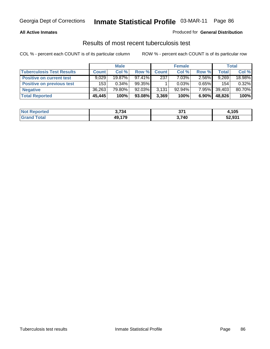#### **All Active Inmates**

#### Produced for **General Distribution**

### Results of most recent tuberculosis test

|                                  | <b>Male</b>  |           |           | <b>Female</b> |           |          | Total        |        |
|----------------------------------|--------------|-----------|-----------|---------------|-----------|----------|--------------|--------|
| <b>Tuberculosis Test Results</b> | <b>Count</b> | Col%      | Row %     | <b>Count</b>  | Col%      | Row %    | <b>Total</b> | Col %  |
| <b>Positive on current test</b>  | 9.029        | $19.87\%$ | $97.41\%$ | 237           | 7.03%     | $2.56\%$ | 9,269        | 18.98% |
| <b>Positive on previous test</b> | 153          | 0.34%     | $99.35\%$ |               | 0.03%     | $0.65\%$ | 154          | 0.32%  |
| <b>Negative</b>                  | 36,263       | 79.80%    | 92.03%    | 3,131         | $92.94\%$ | $7.95\%$ | 39.403       | 80.70% |
| <b>Total Reported</b>            | 45,445       | 100%      | 93.08%    | 3,369         | 100%      | $6.90\%$ | 48,826       | 100%   |

| <b>Not Reported</b> | 3,734  | 274<br><u>ы.</u> | <b>J,105</b> |
|---------------------|--------|------------------|--------------|
| <b>Fotal</b>        | 49,179 | 3,740            | 52,931       |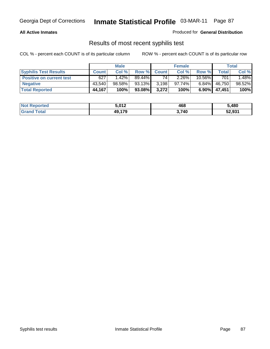#### **All Active Inmates**

Produced for **General Distribution**

### Results of most recent syphilis test

|                                 | <b>Male</b>  |          |           | <b>Female</b> |        |           | Total  |        |
|---------------------------------|--------------|----------|-----------|---------------|--------|-----------|--------|--------|
| <b>Syphilis Test Results</b>    | <b>Count</b> | Col %    | Row %     | <b>Count</b>  | Col %  | Row %     | Total  | Col %  |
| <b>Positive on current test</b> | 627          | $1.42\%$ | $89.44\%$ | 74            | 2.26%  | $10.56\%$ | 701    | 1.48%  |
| <b>Negative</b>                 | 43.540       | 98.58%   | 93.13%    | 3,198         | 97.74% | $6.84\%$  | 46,750 | 98.52% |
| <b>Total Reported</b>           | 44,167       | 100%     | 93.08%    | 3,272         | 100%   | $6.90\%$  | 47,451 | 100%   |

| <b>Not Reported</b> | 5.012  | 468   | 5,480  |
|---------------------|--------|-------|--------|
| <b>Grand Total</b>  | 49.179 | 3,740 | 52,931 |